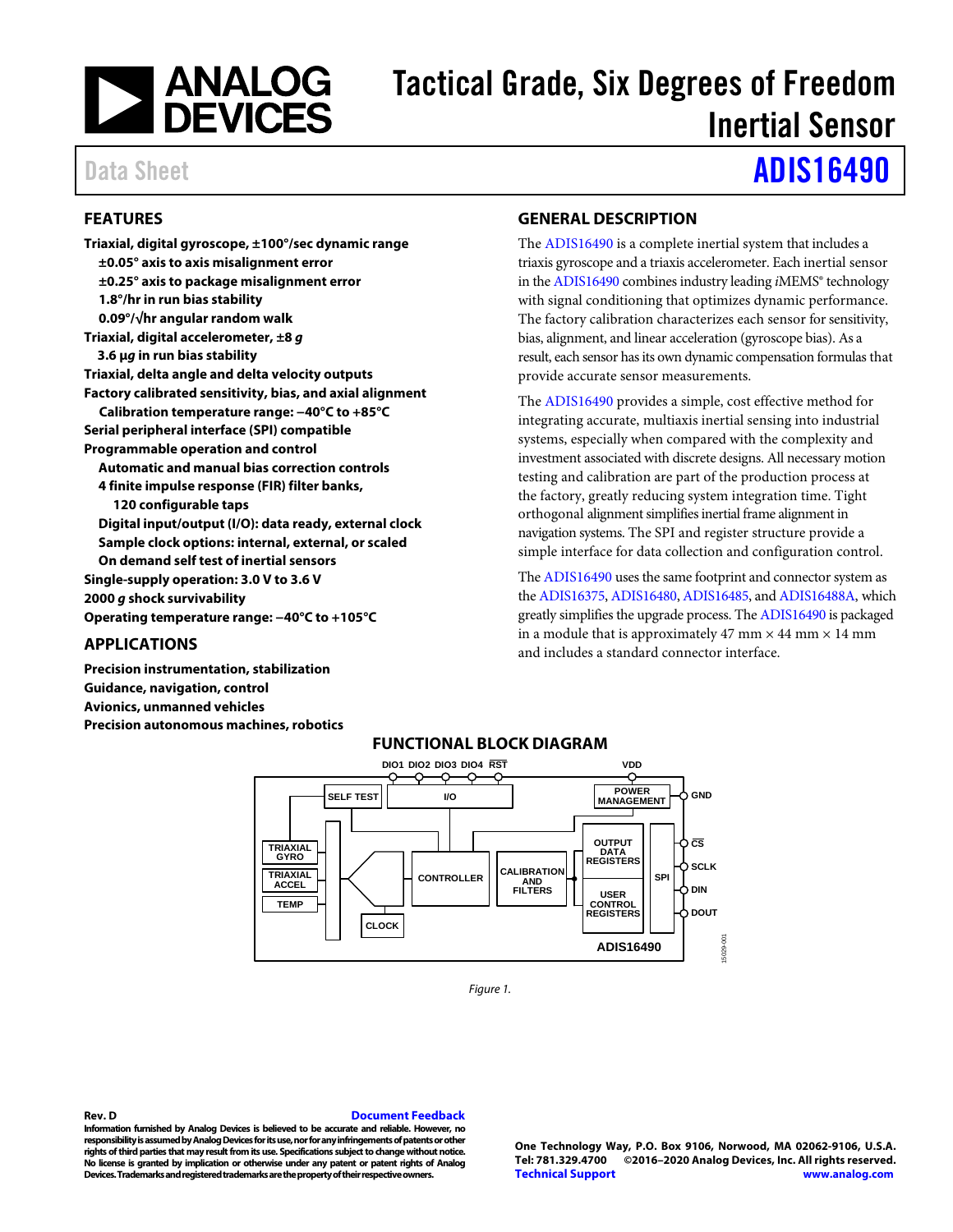

# Tactical Grade, Six Degrees of Freedom Inertial Sensor

# Data Sheet **[ADIS16490](https://www.analog.com/ADIS16490?doc=ADIS16490.pdf)**

# <span id="page-0-0"></span>**FEATURES**

**Triaxial, digital gyroscope, ±100°/sec dynamic range ±0.05° axis to axis misalignment error ±0.25° axis to package misalignment error 1.8°/hr in run bias stability 0.09°/√hr angular random walk Triaxial, digital accelerometer, ±8** *g* **3.6 μ***g* **in run bias stability Triaxial, delta angle and delta velocity outputs Factory calibrated sensitivity, bias, and axial alignment Calibration temperature range: −40°C to +85°C Serial peripheral interface (SPI) compatible Programmable operation and control Automatic and manual bias correction controls 4 finite impulse response (FIR) filter banks, 120 configurable taps Digital input/output (I/O): data ready, external clock Sample clock options: internal, external, or scaled On demand self test of inertial sensors Single-supply operation: 3.0 V to 3.6 V 2000** *g* **shock survivability Operating temperature range: −40°C to +105°C**

# <span id="page-0-1"></span>**APPLICATIONS**

<span id="page-0-3"></span>**Precision instrumentation, stabilization Guidance, navigation, control Avionics, unmanned vehicles Precision autonomous machines, robotics**

# <span id="page-0-2"></span>**GENERAL DESCRIPTION**

The [ADIS16490](http://www.analog.com/ADIS16490?doc=ADIS16490.pdf) is a complete inertial system that includes a triaxis gyroscope and a triaxis accelerometer. Each inertial sensor in th[e ADIS16490](http://www.analog.com/ADIS16490?doc=ADIS16490.pdf) combines industry leading *i*MEMS® technology with signal conditioning that optimizes dynamic performance. The factory calibration characterizes each sensor for sensitivity, bias, alignment, and linear acceleration (gyroscope bias). As a result, each sensor has its own dynamic compensation formulas that provide accurate sensor measurements.

The [ADIS16490](http://www.analog.com/ADIS16490?doc=ADIS16490.pdf) provides a simple, cost effective method for integrating accurate, multiaxis inertial sensing into industrial systems, especially when compared with the complexity and investment associated with discrete designs. All necessary motion testing and calibration are part of the production process at the factory, greatly reducing system integration time. Tight orthogonal alignment simplifies inertial frame alignment in navigation systems. The SPI and register structure provide a simple interface for data collection and configuration control.

Th[e ADIS16490](http://www.analog.com/ADIS16490?doc=ADIS16490.pdf) uses the same footprint and connector system as th[e ADIS16375,](http://www.analog.com/ADIS16375?doc=ADIS16490.pdf) [ADIS16480,](http://www.analog.com/ADIS16480?doc=ADIS16490.pdf) [ADIS16485,](http://www.analog.com/ADIS16485?doc=ADIS16490.pdf) an[d ADIS16488A,](http://www.analog.com/ADIS16488A?doc=ADIS16490.pdf) which greatly simplifies the upgrade process. Th[e ADIS16490](http://www.analog.com/ADIS16490?doc=ADIS16490.pdf) is packaged in a module that is approximately 47 mm  $\times$  44 mm  $\times$  14 mm and includes a standard connector interface.



*Figure 1.* 

**Rev. D [Document Feedback](https://form.analog.com/Form_Pages/feedback/documentfeedback.aspx?doc=ADIS16490.pdf&product=ADIS16490&rev=D) Information furnished by Analog Devices is believed to be accurate and reliable. However, no responsibility is assumed by Analog Devices for its use, nor for any infringements of patents or other rights of third parties that may result from its use. Specifications subject to change without notice. No license is granted by implication or otherwise under any patent or patent rights of Analog Devices. Trademarks and registered trademarks are the property of their respective owners.**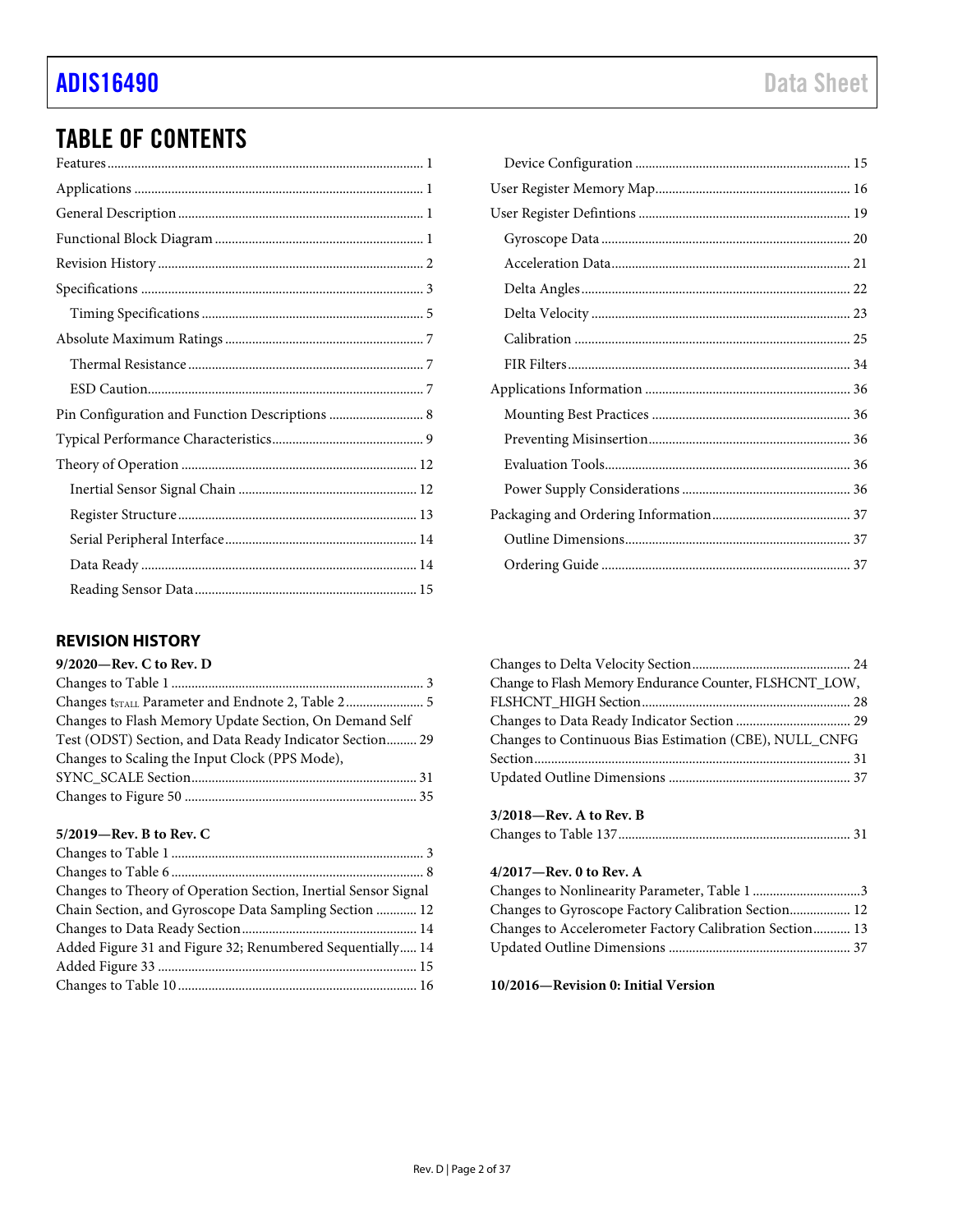| Pin Configuration and Function Descriptions  8 |
|------------------------------------------------|
|                                                |
|                                                |
|                                                |
|                                                |
|                                                |
|                                                |
|                                                |

# <span id="page-1-0"></span>**REVISION HISTORY**

| 9/2020-Rev. C to Rev. D                                  |  |
|----------------------------------------------------------|--|
|                                                          |  |
|                                                          |  |
| Changes to Flash Memory Update Section, On Demand Self   |  |
| Test (ODST) Section, and Data Ready Indicator Section 29 |  |
| Changes to Scaling the Input Clock (PPS Mode),           |  |
|                                                          |  |
|                                                          |  |
|                                                          |  |

# **5/2019—Rev. B to Rev. C**

| Changes to Theory of Operation Section, Inertial Sensor Signal |  |
|----------------------------------------------------------------|--|
| Chain Section, and Gyroscope Data Sampling Section  12         |  |
|                                                                |  |
| Added Figure 31 and Figure 32; Renumbered Sequentially 14      |  |
|                                                                |  |
|                                                                |  |

|  |  |  |      | . |  |
|--|--|--|------|---|--|
|  |  |  | l. s |   |  |

| Change to Flash Memory Endurance Counter, FLSHCNT_LOW, |  |
|--------------------------------------------------------|--|
|                                                        |  |
|                                                        |  |
| Changes to Continuous Bias Estimation (CBE), NULL_CNFG |  |
|                                                        |  |
|                                                        |  |
|                                                        |  |

| $3/2018$ —Rev. A to Rev. B |  |
|----------------------------|--|
|                            |  |

# **4/2017—Rev. 0 to Rev. A**

| Changes to Nonlinearity Parameter, Table 13             |  |
|---------------------------------------------------------|--|
| Changes to Gyroscope Factory Calibration Section 12     |  |
| Changes to Accelerometer Factory Calibration Section 13 |  |
|                                                         |  |

**10/2016—Revision 0: Initial Version**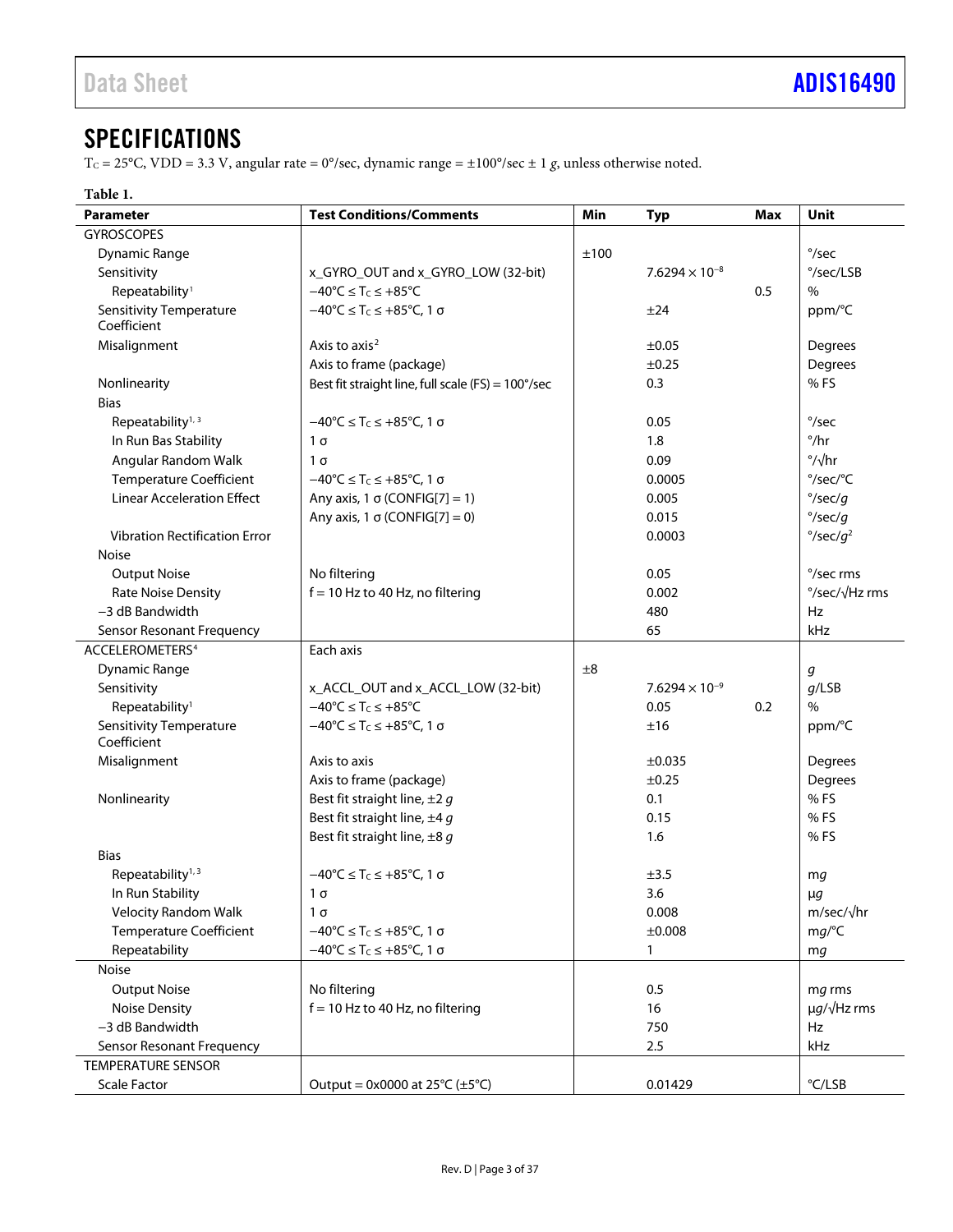# <span id="page-2-0"></span>**SPECIFICATIONS**

T<sub>C</sub> = 25°C, VDD = 3.3 V, angular rate = 0°/sec, dynamic range =  $\pm 100^{\circ}/\text{sec} \pm 1$  g, unless otherwise noted.

# <span id="page-2-1"></span>**Table 1.**

| <b>Parameter</b>                              | <b>Test Conditions/Comments</b>                                           | Min  | <b>Typ</b>              | <b>Max</b> | <b>Unit</b>                   |
|-----------------------------------------------|---------------------------------------------------------------------------|------|-------------------------|------------|-------------------------------|
| <b>GYROSCOPES</b>                             |                                                                           |      |                         |            |                               |
| Dynamic Range                                 |                                                                           | ±100 |                         |            | $^{\circ}/sec$                |
| Sensitivity                                   | x_GYRO_OUT and x_GYRO_LOW (32-bit)                                        |      | $7.6294 \times 10^{-8}$ |            | $\degree$ /sec/LSB            |
| Repeatability <sup>1</sup>                    | $-40^{\circ}C \leq T_C \leq +85^{\circ}C$                                 |      |                         | 0.5        | $\%$                          |
| <b>Sensitivity Temperature</b><br>Coefficient | $-40^{\circ}$ C $\leq$ T <sub>C</sub> $\leq$ +85 $^{\circ}$ C, 1 $\sigma$ |      | ±24                     |            | ppm/°C                        |
| Misalignment                                  | Axis to axis <sup>2</sup>                                                 |      | $\pm 0.05$              |            | Degrees                       |
|                                               | Axis to frame (package)                                                   |      | ±0.25                   |            | Degrees                       |
| Nonlinearity                                  | Best fit straight line, full scale (FS) = 100°/sec                        |      | 0.3                     |            | %FS                           |
| <b>Bias</b>                                   |                                                                           |      |                         |            |                               |
| Repeatability <sup>1, 3</sup>                 | $-40^{\circ}$ C $\leq$ T <sub>C</sub> $\leq$ +85 $^{\circ}$ C, 1 $\sigma$ |      | 0.05                    |            | $\degree$ /sec                |
| In Run Bas Stability                          | $1\sigma$                                                                 |      | 1.8                     |            | $^{\circ}/\text{hr}$          |
| Angular Random Walk                           | $1\sigma$                                                                 |      | 0.09                    |            | $\degree/\sqrt{hr}$           |
| <b>Temperature Coefficient</b>                | $-40^{\circ}$ C $\leq T_c \leq +85^{\circ}$ C, 1 $\sigma$                 |      | 0.0005                  |            | °/sec/°C                      |
| <b>Linear Acceleration Effect</b>             | Any axis, 1 $\sigma$ (CONFIG[7] = 1)                                      |      | 0.005                   |            | $\degree$ /sec/g              |
|                                               | Any axis, 1 $\sigma$ (CONFIG[7] = 0)                                      |      | 0.015                   |            | $\degree$ /sec/g              |
| <b>Vibration Rectification Error</b>          |                                                                           |      | 0.0003                  |            | $\degree$ /sec/q <sup>2</sup> |
| Noise                                         |                                                                           |      |                         |            |                               |
| <b>Output Noise</b>                           | No filtering                                                              |      | 0.05                    |            | °/sec rms                     |
| <b>Rate Noise Density</b>                     | $f = 10$ Hz to 40 Hz, no filtering                                        |      | 0.002                   |            | °/sec/√Hz rms                 |
| -3 dB Bandwidth                               |                                                                           |      | 480                     |            | Hz                            |
| Sensor Resonant Frequency                     |                                                                           |      | 65                      |            | kHz                           |
| ACCELEROMETERS <sup>4</sup>                   | Each axis                                                                 |      |                         |            |                               |
| <b>Dynamic Range</b>                          |                                                                           | ±8   |                         |            | g                             |
| Sensitivity                                   | x_ACCL_OUT and x_ACCL_LOW (32-bit)                                        |      | $7.6294 \times 10^{-9}$ |            | $q$ /LSB                      |
| Repeatability <sup>1</sup>                    | $-40^{\circ}C \leq T_C \leq +85^{\circ}C$                                 |      | 0.05                    | 0.2        | $\%$                          |
| <b>Sensitivity Temperature</b><br>Coefficient | $-40^{\circ}$ C $\leq$ T <sub>C</sub> $\leq$ +85°C, 1 σ                   |      | ±16                     |            | ppm/°C                        |
| Misalignment                                  | Axis to axis                                                              |      | ±0.035                  |            | Degrees                       |
|                                               | Axis to frame (package)                                                   |      | ±0.25                   |            | Degrees                       |
| Nonlinearity                                  | Best fit straight line, $\pm 2 g$                                         |      | 0.1                     |            | %FS                           |
|                                               | Best fit straight line, $\pm 4g$                                          |      | 0.15                    |            | %FS                           |
|                                               | Best fit straight line, $\pm 8$ g                                         |      | 1.6                     |            | %FS                           |
| <b>Bias</b>                                   |                                                                           |      |                         |            |                               |
| Repeatability <sup>1, 3</sup>                 | $-40^{\circ}$ C $\leq$ T <sub>C</sub> $\leq$ +85 $^{\circ}$ C, 1 $\sigma$ |      | ±3.5                    |            | mg                            |
| In Run Stability                              | $1\sigma$                                                                 |      | 3.6                     |            | $\mu$ g                       |
| <b>Velocity Random Walk</b>                   | $1\sigma$                                                                 |      | 0.008                   |            | m/sec/√hr                     |
| Temperature Coefficient                       | $-40^{\circ}$ C $\leq$ T <sub>C</sub> $\leq$ +85°C, 1 σ                   |      | ±0.008                  |            | mg/C                          |
| Repeatability                                 | $-40^{\circ}$ C $\leq T_C \leq +85^{\circ}$ C, 1 σ                        |      | $\mathbf{1}$            |            | mg                            |
| Noise                                         |                                                                           |      |                         |            |                               |
| <b>Output Noise</b>                           | No filtering                                                              |      | 0.5                     |            | mg rms                        |
| <b>Noise Density</b>                          | $f = 10$ Hz to 40 Hz, no filtering                                        |      | 16                      |            | $\mu$ g/ $\sqrt{Hz}$ rms      |
| -3 dB Bandwidth                               |                                                                           |      | 750                     |            | Hz                            |
| Sensor Resonant Frequency                     |                                                                           |      | 2.5                     |            | kHz                           |
| <b>TEMPERATURE SENSOR</b>                     |                                                                           |      |                         |            |                               |
| <b>Scale Factor</b>                           | Output = $0x0000$ at $25^{\circ}C (\pm 5^{\circ}C)$                       |      | 0.01429                 |            | $\degree$ C/LSB               |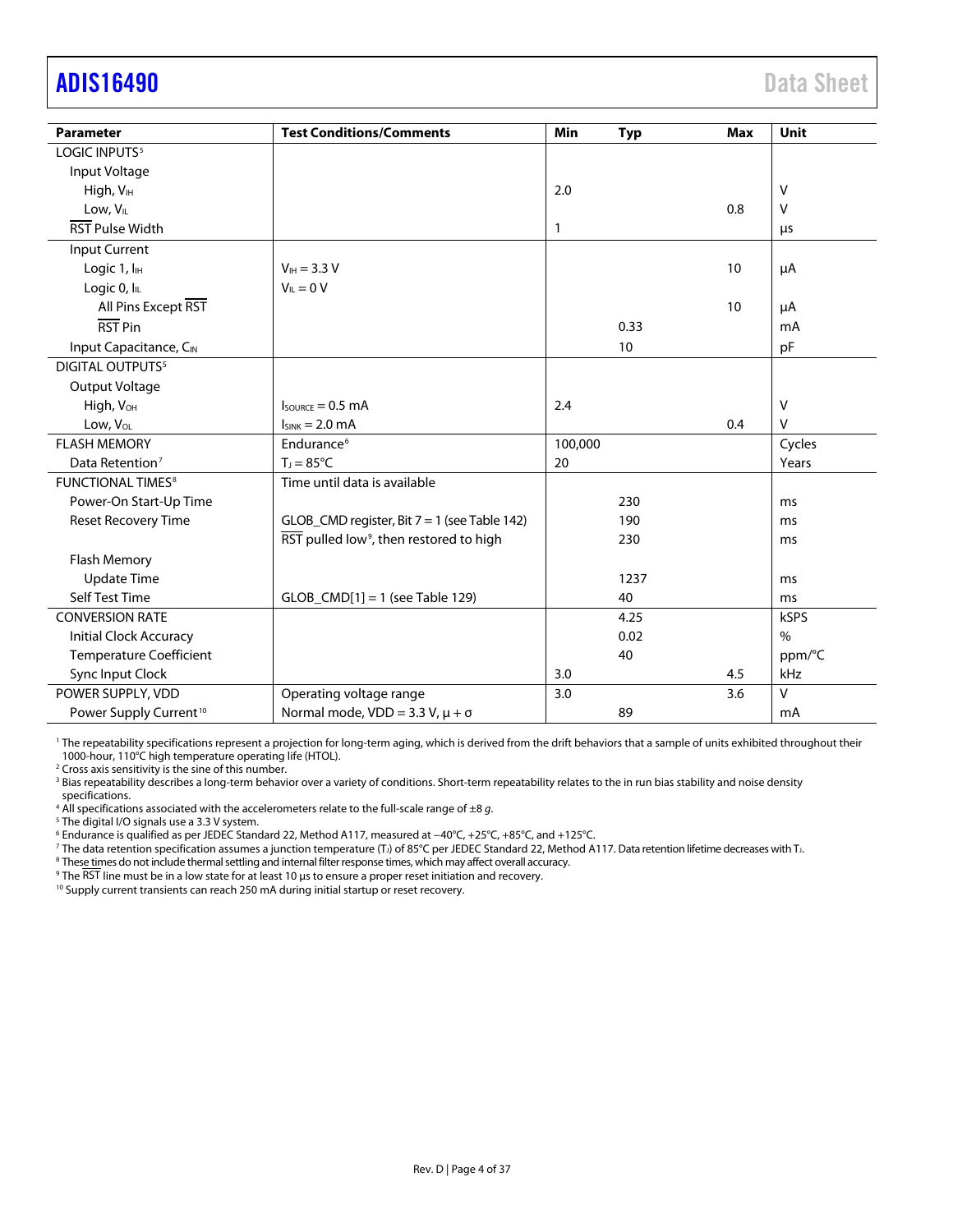# <span id="page-3-0"></span>adis16490 Data Sheet

| <b>Parameter</b>                    | <b>Test Conditions/Comments</b>                                         | Min          | <b>Typ</b> | <b>Max</b> | <b>Unit</b> |
|-------------------------------------|-------------------------------------------------------------------------|--------------|------------|------------|-------------|
| LOGIC INPUTS <sup>5</sup>           |                                                                         |              |            |            |             |
|                                     |                                                                         |              |            |            |             |
| Input Voltage                       |                                                                         |              |            |            |             |
| High, V <sub>IH</sub>               |                                                                         | 2.0          |            |            | V           |
| Low, V <sub>IL</sub>                |                                                                         |              |            | 0.8        | $\vee$      |
| <b>RST Pulse Width</b>              |                                                                         | $\mathbf{1}$ |            |            | μs          |
| Input Current                       |                                                                         |              |            |            |             |
| Logic 1, I <sub>H</sub>             | $V_{IH} = 3.3 V$                                                        |              |            | 10         | μA          |
| Logic 0, IL                         | $V_{\parallel} = 0 V$                                                   |              |            |            |             |
| All Pins Except RST                 |                                                                         |              |            | 10         | μA          |
| RST Pin                             |                                                                         |              | 0.33       |            | mA          |
| Input Capacitance, CIN              |                                                                         |              | 10         |            | pF          |
| DIGITAL OUTPUTS <sup>5</sup>        |                                                                         |              |            |            |             |
| Output Voltage                      |                                                                         |              |            |            |             |
| High, V <sub>OH</sub>               | $I_{\text{SOWRCE}} = 0.5 \text{ mA}$                                    | 2.4          |            |            | $\vee$      |
| Low, V <sub>OL</sub>                | $I_{SINK} = 2.0$ mA                                                     |              |            | 0.4        | $\vee$      |
| <b>FLASH MEMORY</b>                 | Endurance <sup>6</sup>                                                  | 100,000      |            |            | Cycles      |
| Data Retention <sup>7</sup>         | $T_1 = 85^{\circ}C$                                                     | 20           |            |            | Years       |
| <b>FUNCTIONAL TIMES<sup>8</sup></b> | Time until data is available                                            |              |            |            |             |
| Power-On Start-Up Time              |                                                                         |              | 230        |            | ms          |
| Reset Recovery Time                 | GLOB_CMD register, Bit $7 = 1$ (see Table 142)                          |              | 190        |            | ms          |
|                                     | $\overline{\text{RST}}$ pulled low <sup>9</sup> , then restored to high |              | 230        |            | ms          |
| Flash Memory                        |                                                                         |              |            |            |             |
| <b>Update Time</b>                  |                                                                         |              | 1237       |            | ms          |
| Self Test Time                      | $GLOB_CMD[1] = 1$ (see Table 129)                                       |              | 40         |            | ms          |
| <b>CONVERSION RATE</b>              |                                                                         |              | 4.25       |            | kSPS        |
| <b>Initial Clock Accuracy</b>       |                                                                         |              | 0.02       |            | $\%$        |
| <b>Temperature Coefficient</b>      |                                                                         |              | 40         |            | ppm/°C      |
| Sync Input Clock                    |                                                                         | 3.0          |            | 4.5        | kHz         |
| POWER SUPPLY, VDD                   | Operating voltage range                                                 | 3.0          |            | 3.6        | $\vee$      |
| Power Supply Current <sup>10</sup>  | Normal mode, $VDD = 3.3 V$ , $\mu + \sigma$                             |              | 89         |            | mA          |

<sup>1</sup> The repeatability specifications represent a projection for long-term aging, which is derived from the drift behaviors that a sample of units exhibited throughout their 1000-hour, 110°C high temperature operating life (HTOL).

<sup>2</sup> Cross axis sensitivity is the sine of this number.

<sup>3</sup> Bias repeatability describes a long-term behavior over a variety of conditions. Short-term repeatability relates to the in run bias stability and noise density specifications.<br><sup>4</sup> All specifications associated with the accelerometers relate to the full-scale range of  $\pm 8 g$ .

<sup>4</sup> All specifications associated with the accelerometers relate to the full-scale range of ±8 *g*. 5 The digital I/O signals use a 3.3 V system.

<sup>7</sup> The data retention specification assumes a junction temperature (T<sub>J</sub>) of 85°C per JEDEC Standard 22, Method A117. Data retention lifetime decreases with T<sub>J</sub>.<br><sup>8</sup> These times do not include thermal settling and intern

<sup>9</sup> The RST line must be in a low state for at least 10 μs to ensure a proper reset initiation and recovery.

<sup>10</sup> Supply current transients can reach 250 mA during initial startup or reset recovery.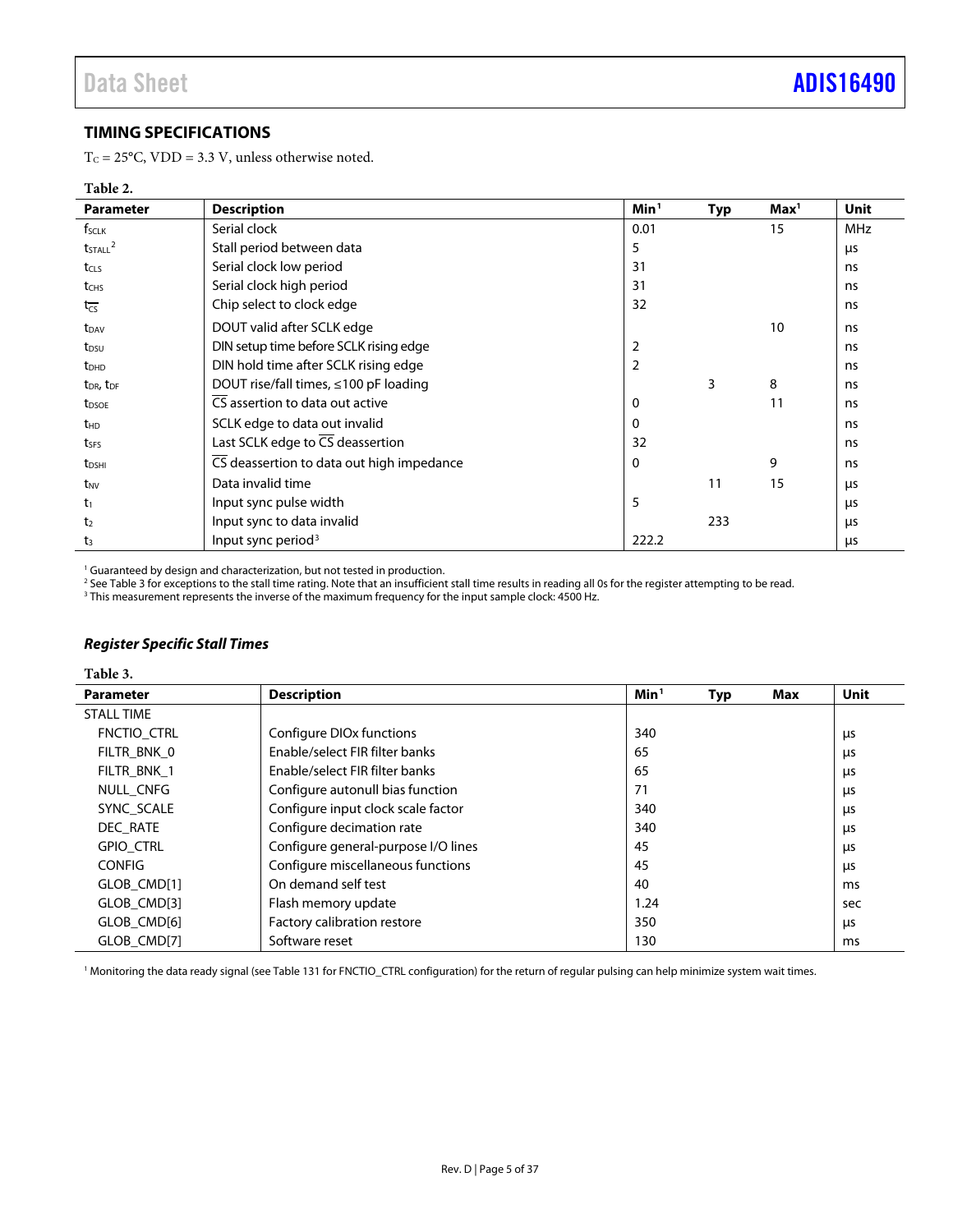# <span id="page-4-0"></span>**TIMING SPECIFICATIONS**

T<sub>C</sub> = 25°C, VDD = 3.3 V, unless otherwise noted.

#### **Table 2.**

| <b>Parameter</b>                  | <b>Description</b>                            | Min <sup>1</sup> | <b>Typ</b> | Max <sup>1</sup> | <b>Unit</b> |
|-----------------------------------|-----------------------------------------------|------------------|------------|------------------|-------------|
| f <sub>sclk</sub>                 | Serial clock                                  | 0.01             |            | 15               | <b>MHz</b>  |
| $t$ <sub>STALL</sub> $^2$         | Stall period between data                     | 5                |            |                  | μs          |
| t <sub>CLS</sub>                  | Serial clock low period                       | 31               |            |                  | ns          |
| t <sub>CHS</sub>                  | Serial clock high period                      | 31               |            |                  | ns          |
| $t_{\overline{\text{CS}}}$        | Chip select to clock edge                     | 32               |            |                  | ns          |
| $t_{DAV}$                         | DOUT valid after SCLK edge                    |                  |            | 10               | ns          |
| t <sub>DSU</sub>                  | DIN setup time before SCLK rising edge        | 2                |            |                  | ns          |
| $t_{DHD}$                         | DIN hold time after SCLK rising edge          | $\overline{2}$   |            |                  | ns          |
| t <sub>DR</sub> , t <sub>DF</sub> | DOUT rise/fall times, ≤100 pF loading         |                  | 3          | 8                | ns          |
| t <sub>DSOE</sub>                 | CS assertion to data out active               | $\mathbf 0$      |            | 11               | ns          |
| t <sub>HD</sub>                   | SCLK edge to data out invalid                 | 0                |            |                  | ns          |
| tses                              | Last SCLK edge to $\overline{CS}$ deassertion | 32               |            |                  | ns          |
| t <sub>DSHI</sub>                 | CS deassertion to data out high impedance     | $\Omega$         |            | 9                | ns          |
| t <sub>NV</sub>                   | Data invalid time                             |                  | 11         | 15               | μs          |
| $t_1$                             | Input sync pulse width                        | 5                |            |                  | μs          |
| t <sub>2</sub>                    | Input sync to data invalid                    |                  | 233        |                  | μs          |
| t <sub>3</sub>                    | Input sync period <sup>3</sup>                | 222.2            |            |                  | μs          |

<sup>1</sup> Guaranteed by design and characterization, but not tested in production.

<sup>2</sup> Se[e Table 3](#page-4-1) for exceptions to the stall time rating. Note that an insufficient stall time results in reading all 0s for the register attempting to be read.

 $3$  This measurement represents the inverse of the maximum frequency for the input sample clock: 4500 Hz.

# *Register Specific Stall Times*

<span id="page-4-1"></span>

| Table 3.          |                                      |                  |     |     |             |
|-------------------|--------------------------------------|------------------|-----|-----|-------------|
| <b>Parameter</b>  | <b>Description</b>                   | Min <sup>1</sup> | Typ | Max | <b>Unit</b> |
| <b>STALL TIME</b> |                                      |                  |     |     |             |
| FNCTIO CTRL       | Configure DIO <sub>x</sub> functions | 340              |     |     | μs          |
| FILTR BNK 0       | Enable/select FIR filter banks       | 65               |     |     | μs          |
| FILTR BNK 1       | Enable/select FIR filter banks       | 65               |     |     | μs          |
| NULL CNFG         | Configure autonull bias function     | 71               |     |     | μs          |
| SYNC SCALE        | Configure input clock scale factor   | 340              |     |     | μs          |
| DEC RATE          | Configure decimation rate            | 340              |     |     | μs          |
| <b>GPIO CTRL</b>  | Configure general-purpose I/O lines  | 45               |     |     | μs          |
| <b>CONFIG</b>     | Configure miscellaneous functions    | 45               |     |     | μs          |
| GLOB_CMD[1]       | On demand self test                  | 40               |     |     | ms          |
| GLOB CMD[3]       | Flash memory update                  | 1.24             |     |     | sec         |
| GLOB CMD[6]       | Factory calibration restore          | 350              |     |     | μs          |
| GLOB CMD[7]       | Software reset                       | 130              |     |     | ms          |

<sup>1</sup> Monitoring the data ready signal (se[e Table 131](#page-28-0) for FNCTIO\_CTRL configuration) for the return of regular pulsing can help minimize system wait times.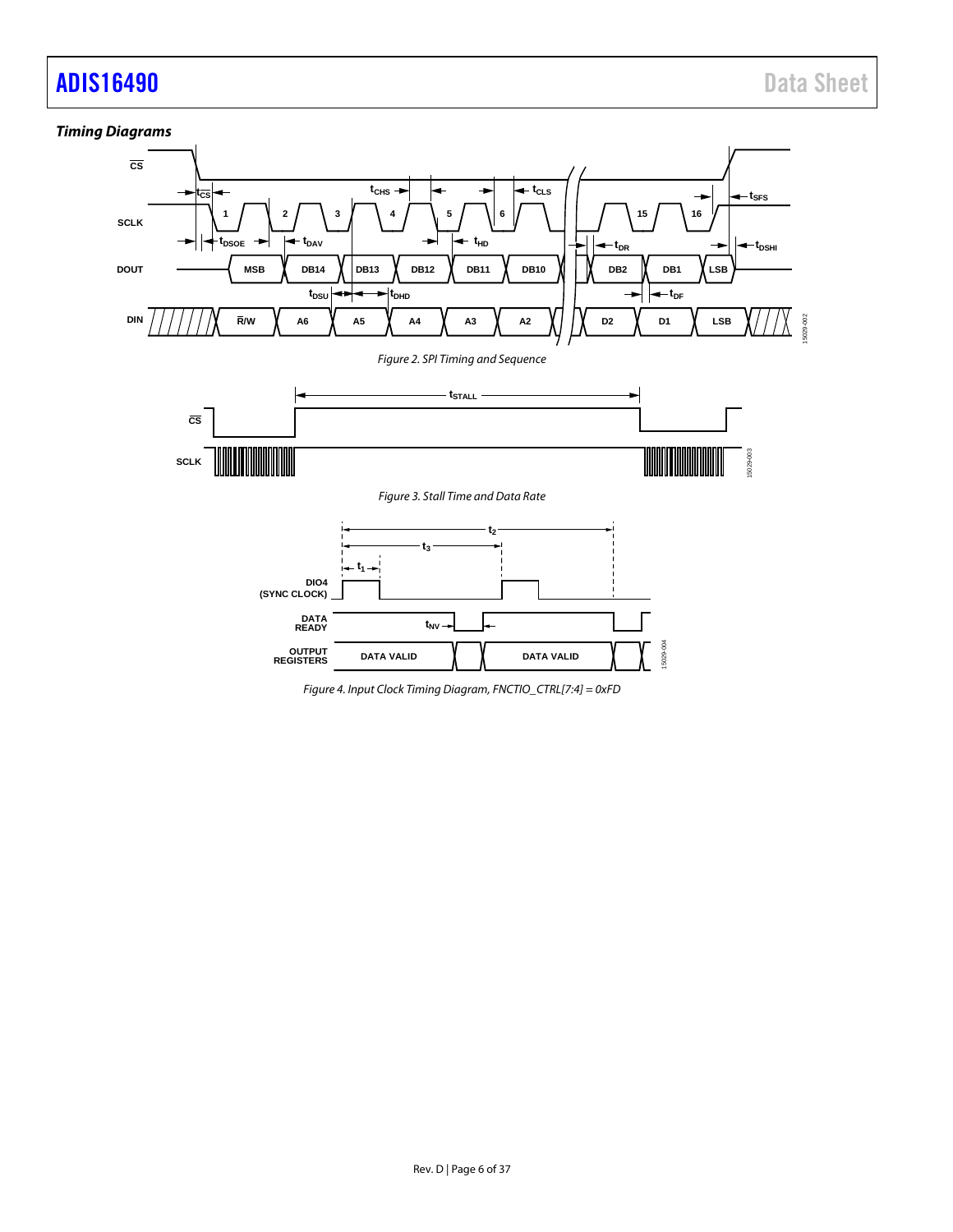# adis16490 **Data Sheet** Data Sheet



*Figure 4. Input Clock Timing Diagram, FNCTIO\_CTRL[7:4] = 0xFD*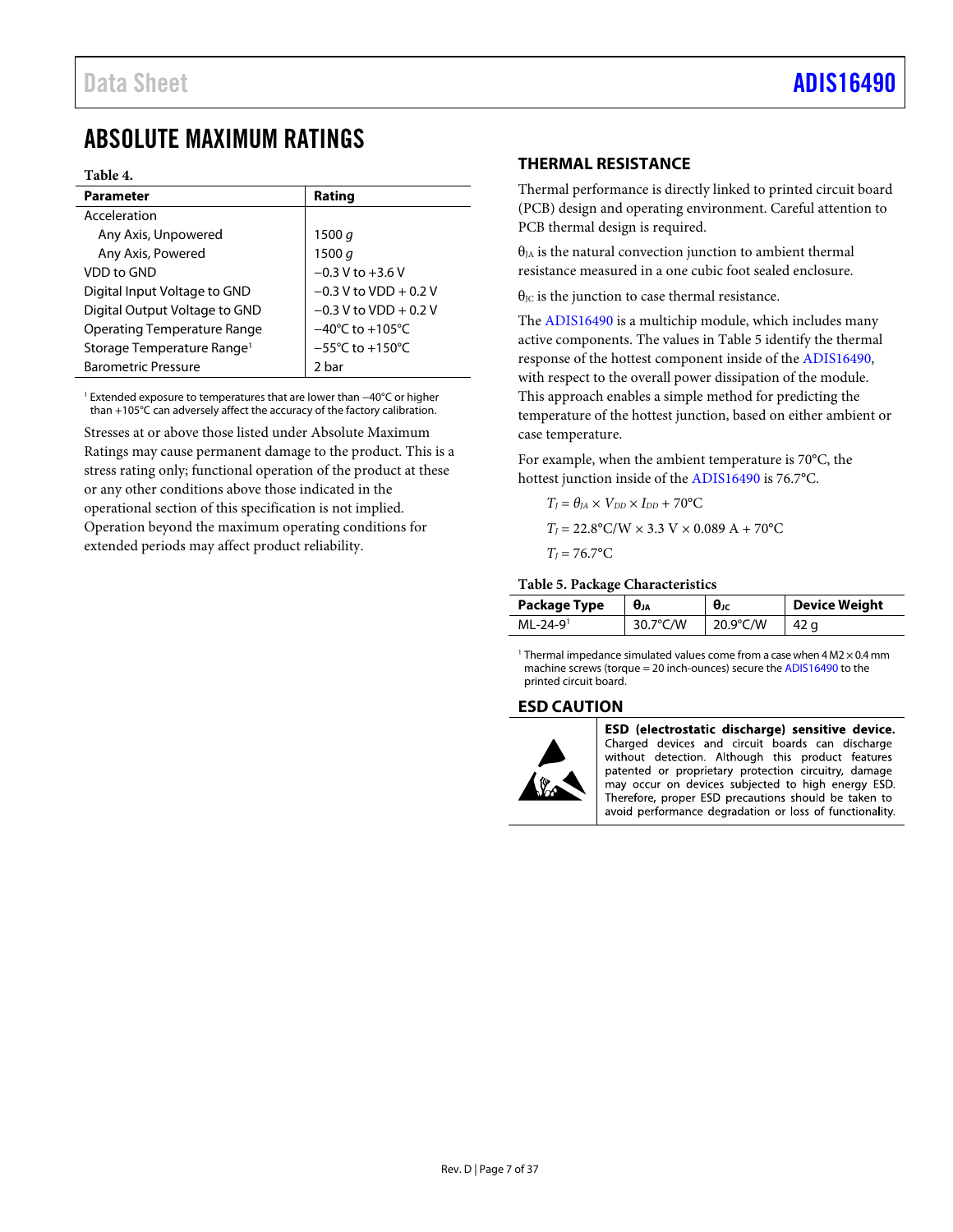# <span id="page-6-0"></span>ABSOLUTE MAXIMUM RATINGS

#### **Table 4.**

| <b>Parameter</b>                       | Rating                              |
|----------------------------------------|-------------------------------------|
| Acceleration                           |                                     |
| Any Axis, Unpowered                    | 1500 $q$                            |
| Any Axis, Powered                      | 1500 $q$                            |
| VDD to GND                             | $-0.3$ V to $+3.6$ V                |
| Digital Input Voltage to GND           | $-0.3$ V to VDD + 0.2 V             |
| Digital Output Voltage to GND          | $-0.3$ V to VDD + 0.2 V             |
| <b>Operating Temperature Range</b>     | $-40^{\circ}$ C to $+105^{\circ}$ C |
| Storage Temperature Range <sup>1</sup> | $-55^{\circ}$ C to $+150^{\circ}$ C |
| <b>Barometric Pressure</b>             | 2 bar                               |
|                                        |                                     |

<sup>1</sup> Extended exposure to temperatures that are lower than −40°C or higher than +105°C can adversely affect the accuracy of the factory calibration.

Stresses at or above those listed under Absolute Maximum Ratings may cause permanent damage to the product. This is a stress rating only; functional operation of the product at these or any other conditions above those indicated in the operational section of this specification is not implied. Operation beyond the maximum operating conditions for extended periods may affect product reliability.

# <span id="page-6-1"></span>**THERMAL RESISTANCE**

Thermal performance is directly linked to printed circuit board (PCB) design and operating environment. Careful attention to PCB thermal design is required.

 $\theta_{JA}$  is the natural convection junction to ambient thermal resistance measured in a one cubic foot sealed enclosure.

 $\theta_{\text{JC}}$  is the junction to case thermal resistance.

The [ADIS16490](http://www.analog.com/ADIS16490?doc=ADIS16490.pdf) is a multichip module, which includes many active components. The values i[n Table 5](#page-6-3) identify the thermal response of the hottest component inside of the [ADIS16490,](http://www.analog.com/ADIS16490?doc=ADIS16490.pdf) with respect to the overall power dissipation of the module. This approach enables a simple method for predicting the temperature of the hottest junction, based on either ambient or case temperature.

For example, when the ambient temperature is 70°C, the hottest junction inside of th[e ADIS16490](http://www.analog.com/ADIS16490?doc=ADIS16490.pdf) is 76.7°C.

$$
T_J = \theta_{JA} \times V_{DD} \times I_{DD} + 70^{\circ}\text{C}
$$

$$
T_J = 22.8 \, \text{°C/W} \times 3.3 \, \text{V} \times 0.089 \, \text{A} + 70 \, \text{°C}
$$

$$
T_J = 76.7^{\circ}\mathrm{C}
$$

#### <span id="page-6-3"></span>**Table 5. Package Characteristics**

| <b>Package Type</b> | <b>UJA</b>         | $\theta$    | <b>Device Weight</b> |
|---------------------|--------------------|-------------|----------------------|
| $MI - 24 - 91$      | $30.7^{\circ}$ C/W | 20.9 $°C/W$ |                      |

<sup>1</sup> Thermal impedance simulated values come from a case when  $4 \text{ M2} \times 0.4 \text{ mm}$ machine screws (torque = 20 inch-ounces) secure th[e ADIS16490](http://www.analog.com/ADIS16490?doc=ADIS16490.pdf) to the printed circuit board.

# <span id="page-6-2"></span>**ESD CAUTION**



ESD (electrostatic discharge) sensitive device. Charged devices and circuit boards can discharge without detection. Although this product features patented or proprietary protection circuitry, damage may occur on devices subjected to high energy ESD. Therefore, proper ESD precautions should be taken to avoid performance degradation or loss of functionality.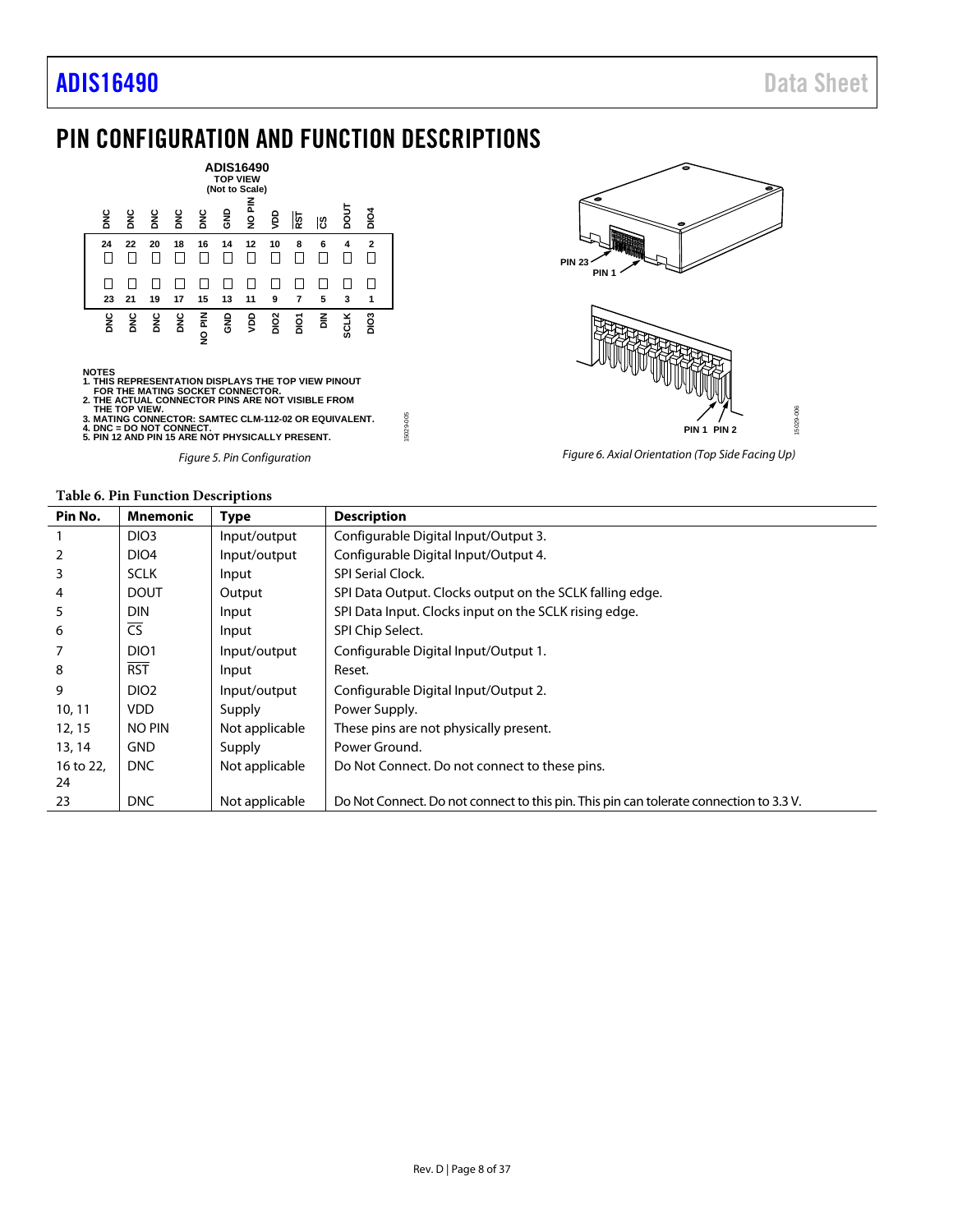# <span id="page-7-0"></span>PIN CONFIGURATION AND FUNCTION DESCRIPTIONS



*Figure 5. Pin Configuration*



*Figure 6. Axial Orientation (Top Side Facing Up)*

<span id="page-7-1"></span>

| Pin No.   | <b>Mnemonic</b>  | <b>Type</b>    | <b>Description</b>                                                                     |
|-----------|------------------|----------------|----------------------------------------------------------------------------------------|
|           | DIO <sub>3</sub> | Input/output   | Configurable Digital Input/Output 3.                                                   |
|           | DIO <sub>4</sub> | Input/output   | Configurable Digital Input/Output 4.                                                   |
| 3         | <b>SCLK</b>      | Input          | <b>SPI Serial Clock.</b>                                                               |
| 4         | <b>DOUT</b>      | Output         | SPI Data Output. Clocks output on the SCLK falling edge.                               |
| 5         | <b>DIN</b>       | Input          | SPI Data Input. Clocks input on the SCLK rising edge.                                  |
| 6         | <b>CS</b>        | Input          | SPI Chip Select.                                                                       |
|           | DIO <sub>1</sub> | Input/output   | Configurable Digital Input/Output 1.                                                   |
| 8         | <b>RST</b>       | Input          | Reset.                                                                                 |
| 9         | DIO <sub>2</sub> | Input/output   | Configurable Digital Input/Output 2.                                                   |
| 10, 11    | VDD.             | Supply         | Power Supply.                                                                          |
| 12, 15    | <b>NO PIN</b>    | Not applicable | These pins are not physically present.                                                 |
| 13, 14    | <b>GND</b>       | Supply         | Power Ground.                                                                          |
| 16 to 22, | DNC              | Not applicable | Do Not Connect. Do not connect to these pins.                                          |
| 24        |                  |                |                                                                                        |
| 23        | DNC              | Not applicable | Do Not Connect. Do not connect to this pin. This pin can tolerate connection to 3.3 V. |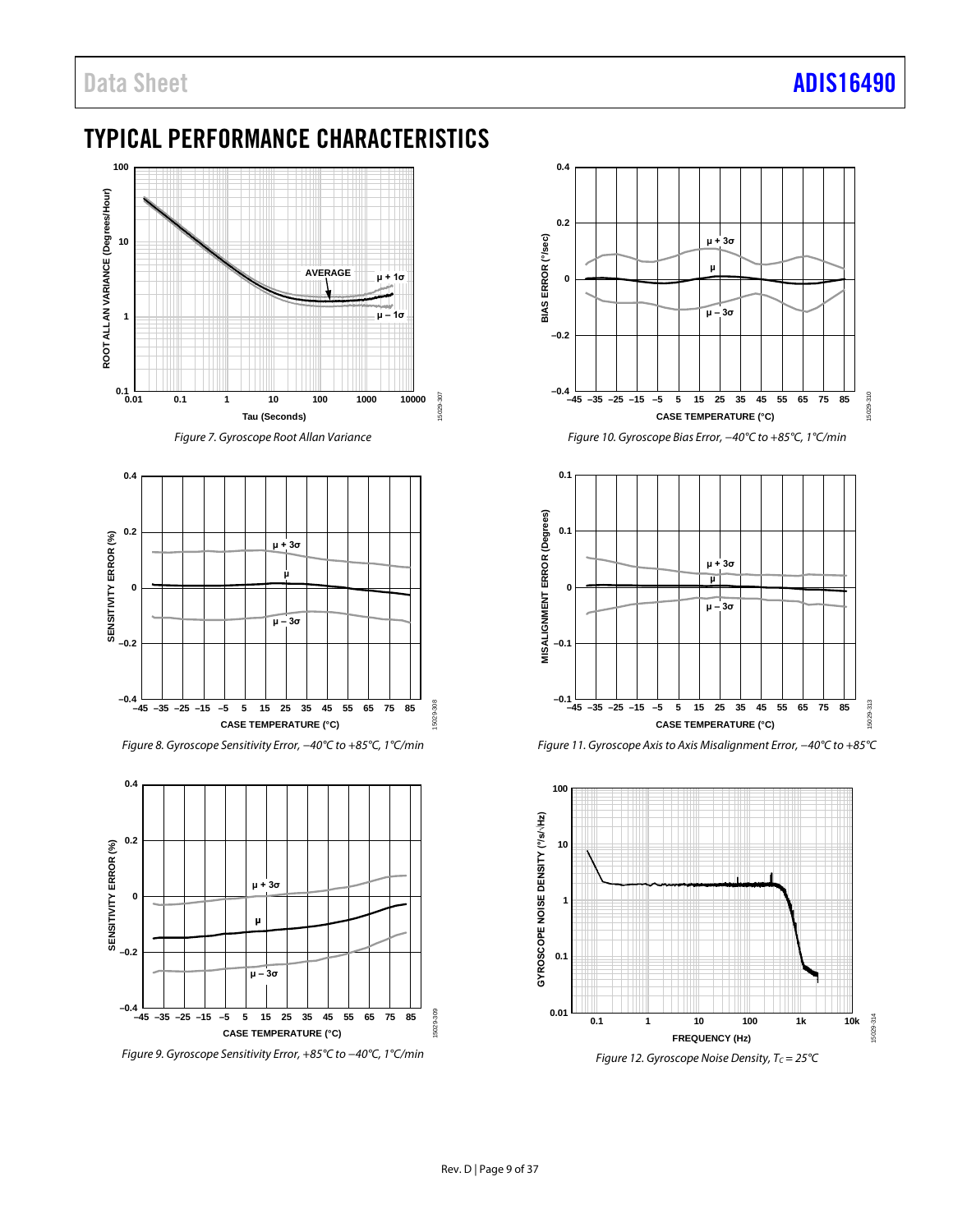# <span id="page-8-0"></span>TYPICAL PERFORMANCE CHARACTERISTICS



*Figure 7. Gyroscope Root Allan Variance*



*Figure 8. Gyroscope Sensitivity Error, −40°C to +85°C, 1°C/min*



*Figure 9. Gyroscope Sensitivity Error, +85°C to −40°C, 1°C/min*



*Figure 10. Gyroscope Bias Error, −40°C to +85°C, 1°C/min*



*Figure 11. Gyroscope Axisto Axis Misalignment Error, −40°C to +85°C*



*Figure 12. Gyroscope Noise Density, Tc* = 25°C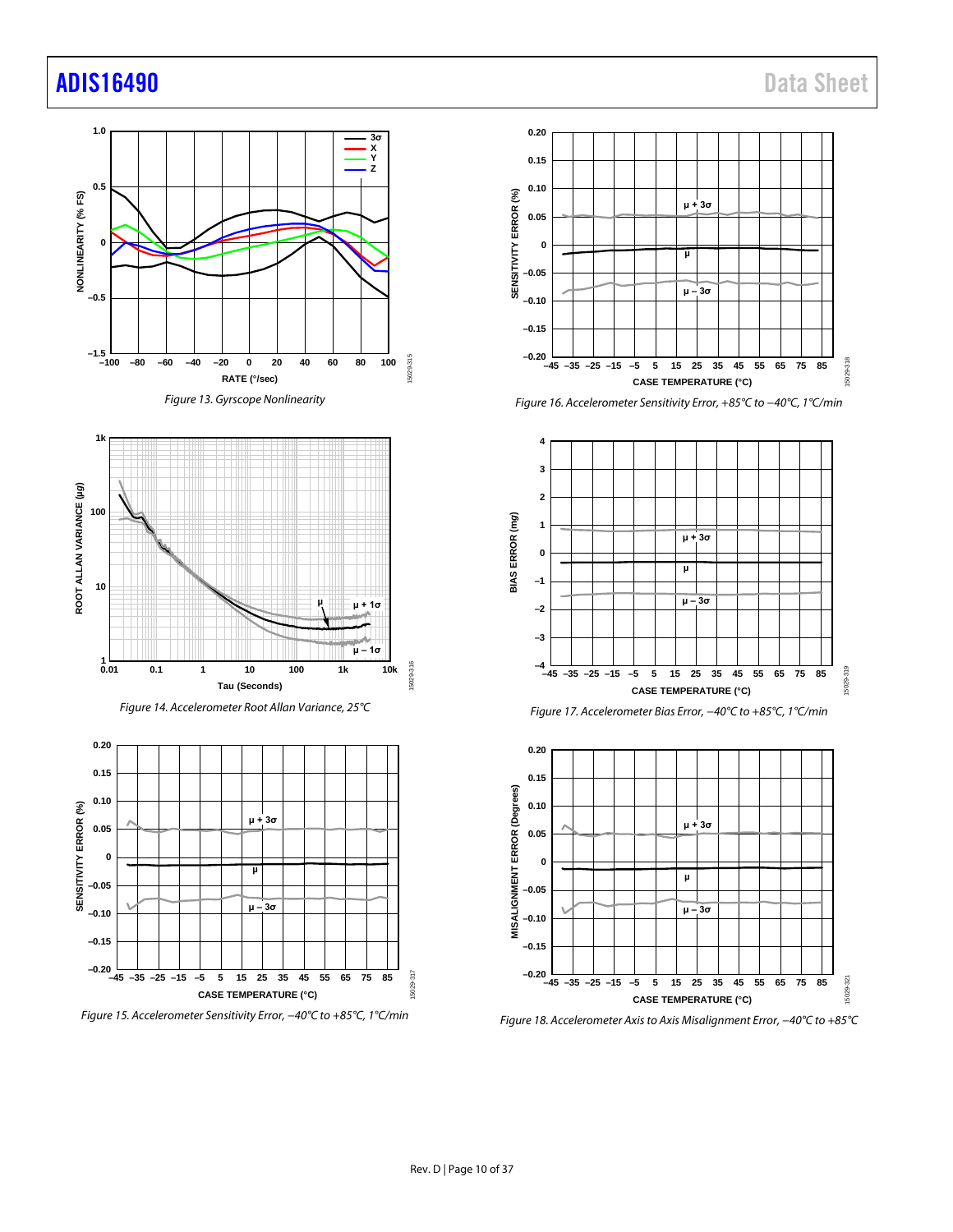# adis16490 Data Sheet













*Figure 16. Accelerometer Sensitivity Error, +85°C to −40°C, 1°C/min*







*Figure 18. Accelerometer Axisto Axis Misalignment Error, −40°C to +85°C*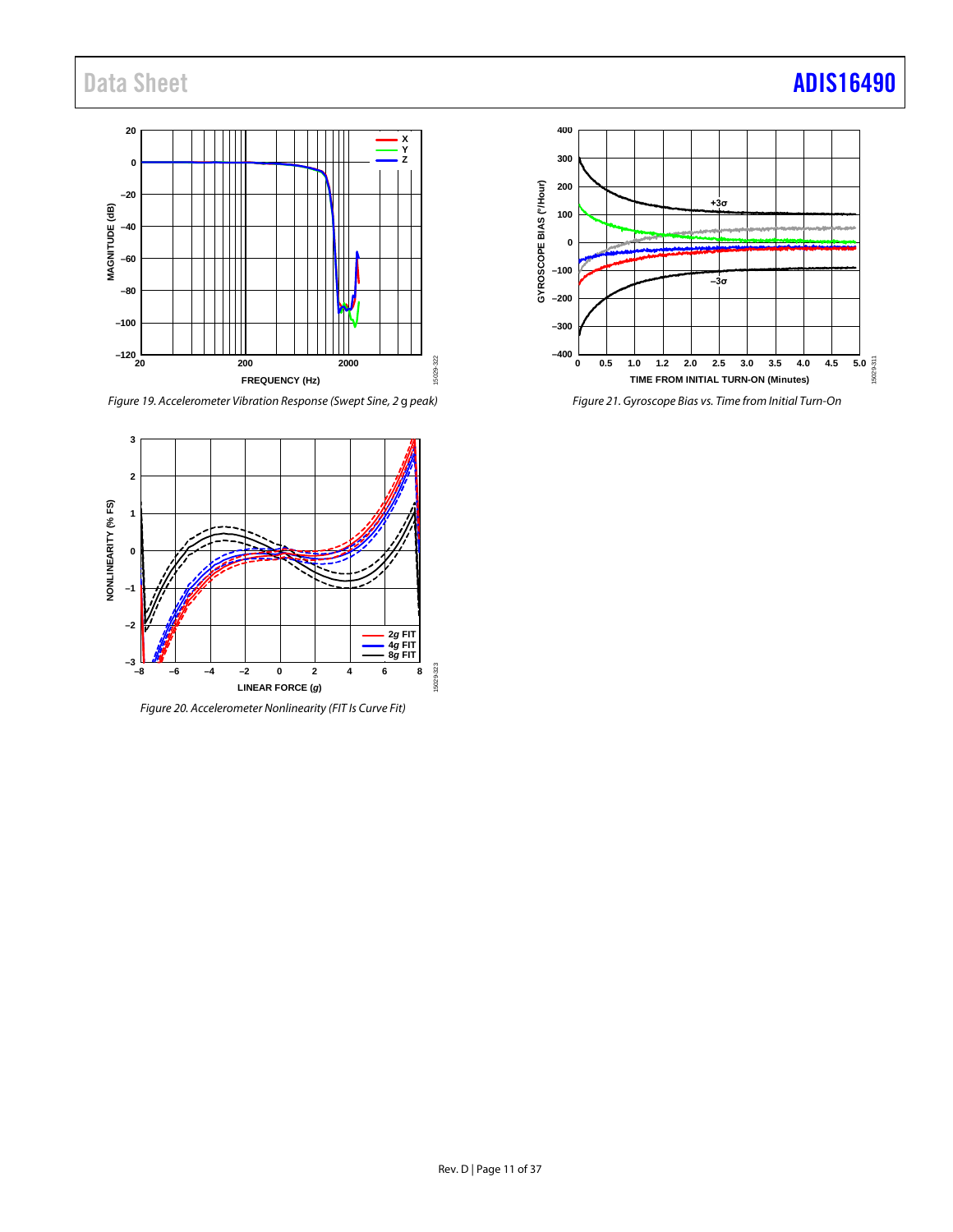# Data Sheet **[ADIS16490](https://www.analog.com/ADIS16490?doc=ADIS16490.pdf)**

#### **20 X Y 0 Z –20** MAGNITUDE (dB) **MAGNITUDE (dB) –40 –60 –80** Ш **–100 –120** 15029-322 15029-322 **20 200 2000 FREQUENCY (Hz)**

*Figure 19. Accelerometer Vibration Response (Swept Sine, 2* g *peak)*



*Figure 20. Accelerometer Nonlinearity (FIT Is Curve Fit)*

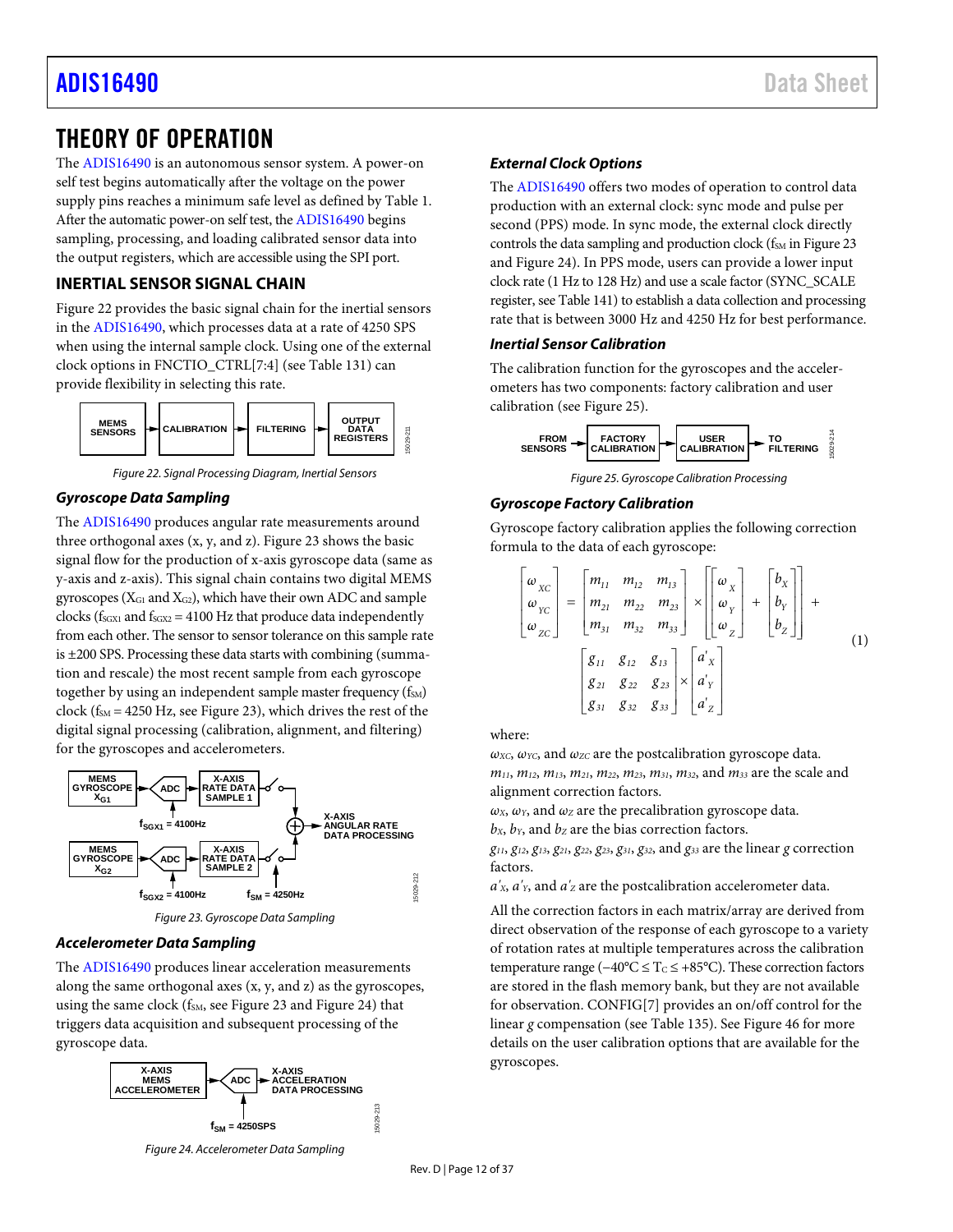# <span id="page-11-0"></span>THEORY OF OPERATION

The [ADIS16490](http://www.analog.com/ADIS16490?doc=ADIS16490.pdf) is an autonomous sensor system. A power-on self test begins automatically after the voltage on the power supply pins reaches a minimum safe level as defined b[y Table 1.](#page-2-1)  After the automatic power-on self test, the [ADIS16490](http://www.analog.com/ADIS16490?doc=ADIS16490.pdf) begins sampling, processing, and loading calibrated sensor data into the output registers, which are accessible using the SPI port.

# <span id="page-11-1"></span>**INERTIAL SENSOR SIGNAL CHAIN**

[Figure 22](#page-11-2) provides the basic signal chain for the inertial sensors in the [ADIS16490,](http://www.analog.com/ADIS16490?doc=ADIS16490.pdf) which processes data at a rate of 4250 SPS when using the internal sample clock. Using one of the external clock options in FNCTIO\_CTRL[7:4] (se[e Table 131\)](#page-28-0) can provide flexibility in selecting this rate.



*Figure 22. Signal Processing Diagram, Inertial Sensors*

# <span id="page-11-2"></span>*Gyroscope Data Sampling*

The [ADIS16490](http://www.analog.com/ADIS16490?doc=ADIS16490.pdf) produces angular rate measurements around three orthogonal axes  $(x, y, and z)$ . [Figure 23](#page-11-3) shows the basic signal flow for the production of x-axis gyroscope data (same as y-axis and z-axis). This signal chain contains two digital MEMS gyroscopes ( $X_{G1}$  and  $X_{G2}$ ), which have their own ADC and sample clocks ( $f_{SGX1}$  and  $f_{SGX2}$  = 4100 Hz that produce data independently from each other. The sensor to sensor tolerance on this sample rate is ±200 SPS. Processing these data starts with combining (summation and rescale) the most recent sample from each gyroscope together by using an independent sample master frequency  $(f<sub>SM</sub>)$ clock ( $f_{SM}$  = 4250 Hz, see [Figure 23\)](#page-11-3), which drives the rest of the digital signal processing (calibration, alignment, and filtering) for the gyroscopes and accelerometers.



*Figure 23. Gyroscope Data Sampling*

# <span id="page-11-3"></span>*Accelerometer Data Sampling*

The [ADIS16490](http://www.analog.com/ADIS16490?doc=ADIS16490.pdf) produces linear acceleration measurements along the same orthogonal axes (x, y, and z) as the gyroscopes, using the same clock ( $f_{SM}$ , se[e Figure 23](#page-11-3) and [Figure 24\)](#page-11-4) that triggers data acquisition and subsequent processing of the gyroscope data.



# *External Clock Options*

The [ADIS16490](http://www.analog.com/ADIS16490?doc=ADIS16490.pdf) offers two modes of operation to control data production with an external clock: sync mode and pulse per second (PPS) mode. In sync mode, the external clock directly controls the data sampling and production clock ( $f<sub>SM</sub>$  i[n Figure 23](#page-11-3) and [Figure 24\)](#page-11-4). In PPS mode, users can provide a lower input clock rate (1 Hz to 128 Hz) and use a scale factor (SYNC\_SCALE register, se[e Table](#page-30-0) 141) to establish a data collection and processing rate that is between 3000 Hz and 4250 Hz for best performance.

### *Inertial Sensor Calibration*

The calibration function for the gyroscopes and the accelerometers has two components: factory calibration and user calibration (se[e Figure 25\)](#page-11-5).



*Figure 25. Gyroscope Calibration Processing*

### <span id="page-11-5"></span>*Gyroscope Factory Calibration*

Gyroscope factory calibration applies the following correction formula to the data of each gyroscope:

$$
\begin{bmatrix}\n\omega_{XC} \\
\omega_{YC} \\
\omega_{ZC}\n\end{bmatrix} = \begin{bmatrix}\nm_{11} & m_{12} & m_{13} \\
m_{21} & m_{22} & m_{23} \\
m_{31} & m_{32} & m_{33}\n\end{bmatrix} \times \begin{bmatrix}\n\omega_{X} \\
\omega_{Y} \\
\omega_{Z}\n\end{bmatrix} + \begin{bmatrix}\nb_{X} \\
b_{Y} \\
b_{Z}\n\end{bmatrix} + \begin{bmatrix}\n\omega_{X} \\
\omega_{Z}\n\end{bmatrix}
$$
\n(1)

where:

 $\omega_{\text{XC}}$ ,  $\omega_{\text{YC}}$ , and  $\omega_{\text{ZC}}$  are the postcalibration gyroscope data. *m11*, *m12*, *m13*, *m21*, *m22*, *m23*, *m31*, *m32*, and *m33* are the scale and alignment correction factors.

 $\omega$ <sub>X</sub>,  $\omega$ <sub>Y</sub>, and  $\omega$ <sub>Z</sub> are the precalibration gyroscope data.  $b_x$ ,  $b_y$ , and  $b_z$  are the bias correction factors.

*g11*, *g12*, *g13*, *g21*, *g22*, *g23*, *g31*, *g32*, and *g33* are the linear *g* correction factors.

 $a'_{x}$ ,  $a'_{y}$ , and  $a'_{z}$  are the postcalibration accelerometer data.

All the correction factors in each matrix/array are derived from direct observation of the response of each gyroscope to a variety of rotation rates at multiple temperatures across the calibration temperature range ( $-40^{\circ}$ C ≤ T<sub>C</sub> ≤ +85°C). These correction factors are stored in the flash memory bank, but they are not available for observation. CONFIG[7] provides an on/off control for the linear *g* compensation (se[e Table 135\)](#page-29-0). See [Figure 46](#page-24-1) for more details on the user calibration options that are available for the gyroscopes.

<span id="page-11-4"></span>*Figure 24. Accelerometer Data Sampling*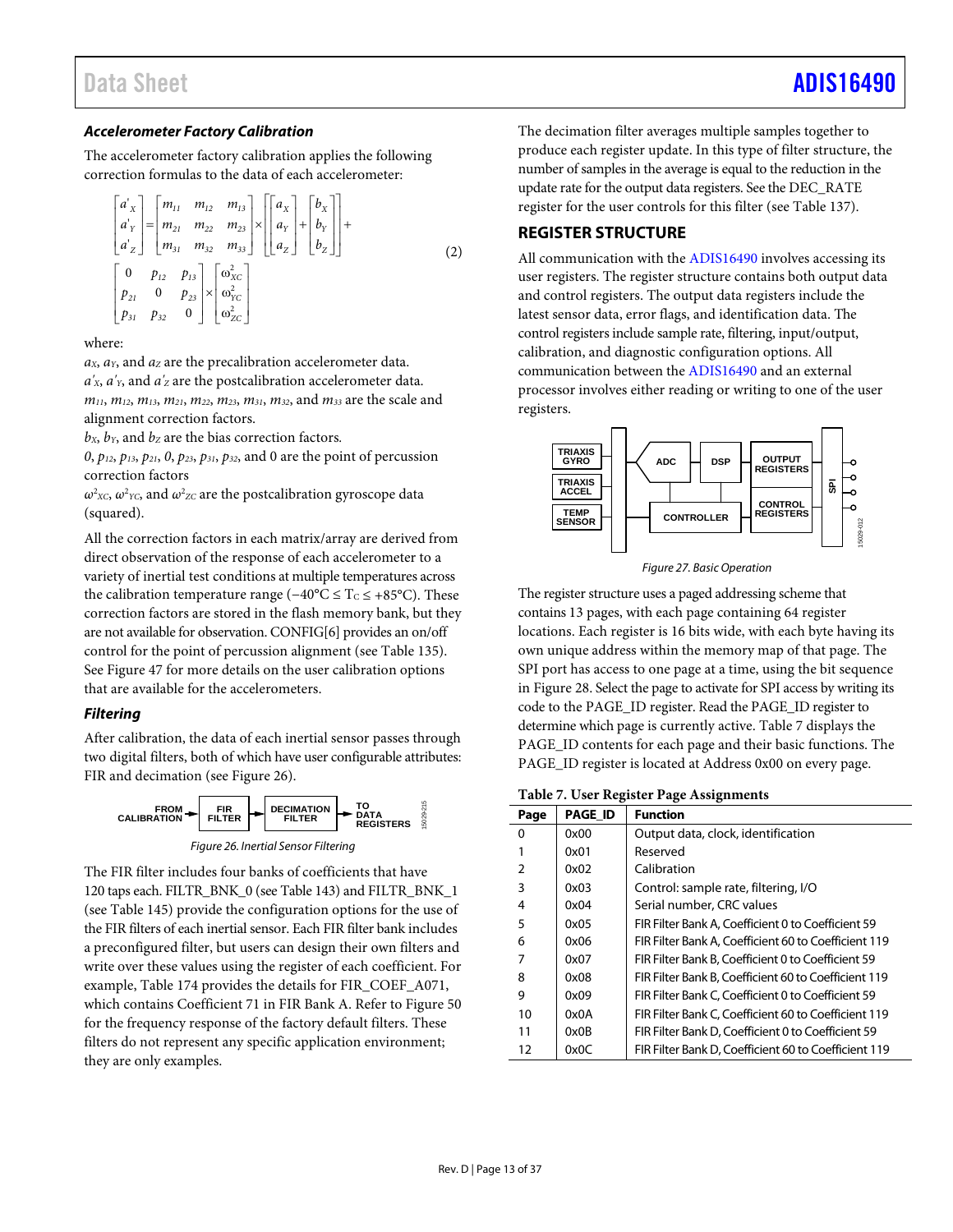# *Accelerometer Factory Calibration*

The accelerometer factory calibration applies the following correction formulas to the data of each accelerometer:

$$
\begin{bmatrix}\na'_{x} \\
a'_{y} \\
a'_{z}\n\end{bmatrix} =\n\begin{bmatrix}\nm_{11} & m_{12} & m_{13} \\
m_{21} & m_{22} & m_{23} \\
m_{31} & m_{32} & m_{33}\n\end{bmatrix}\n\times\n\begin{bmatrix}\na_{x} \\
a_{y} \\
a_{z}\n\end{bmatrix} +\n\begin{bmatrix}\nb_{x} \\
b_{y} \\
b_{z}\n\end{bmatrix} +\n\begin{bmatrix}\n0 \\
b_{z} \\
b_{z}\n\end{bmatrix}
$$
\n(2)\n
$$
\begin{bmatrix}\n0 & p_{12} & p_{13} \\
p_{21} & 0 & p_{23} \\
p_{31} & p_{32} & 0\n\end{bmatrix}\n\times\n\begin{bmatrix}\na_{xc}^2 \\
a_{2Cx}^2\n\end{bmatrix}
$$

### where:

 $a<sub>X</sub>$ ,  $a<sub>Y</sub>$ , and  $a<sub>Z</sub>$  are the precalibration accelerometer data.  $a'_{x}$ ,  $a'_{y}$ , and  $a'_{z}$  are the postcalibration accelerometer data. *m11*, *m12*, *m13*, *m21*, *m22*, *m23*, *m31*, *m32*, and *m33* are the scale and alignment correction factors.

 $b_x$ ,  $b_y$ , and  $b_z$  are the bias correction factors.

*0*, *p12*, *p13*, *p21*, *0*, *p23*, *p31*, *p32*, and 0 are the point of percussion correction factors

 $ω<sup>2</sup>xc, ω<sup>2</sup>vc, and ω<sup>2</sup>zc are the postcalibration gyroscope data$ (squared).

All the correction factors in each matrix/array are derived from direct observation of the response of each accelerometer to a variety of inertial test conditions at multiple temperatures across the calibration temperature range ( $-40^{\circ}$ C ≤ T<sub>C</sub> ≤ +85°C). These correction factors are stored in the flash memory bank, but they are not available for observation. CONFIG[6] provides an on/off control for the point of percussion alignment (see [Table 135\)](#page-29-0). Se[e Figure 47](#page-25-0) for more details on the user calibration options that are available for the accelerometers.

# *Filtering*

After calibration, the data of each inertial sensor passes through two digital filters, both of which have user configurable attributes: FIR and decimation (see [Figure 26\)](#page-12-1).





<span id="page-12-1"></span>The FIR filter includes four banks of coefficients that have 120 taps each. FILTR\_BNK\_0 (se[e Table 143\)](#page-31-0) and FILTR\_BNK\_1 (see [Table 145\)](#page-31-1) provide the configuration options for the use of the FIR filters of each inertial sensor. Each FIR filter bank includes a preconfigured filter, but users can design their own filters and write over these values using the register of each coefficient. For example[, Table 174](#page-33-1) provides the details for FIR\_COEF\_A071, which contains Coefficient 71 in FIR Bank A. Refer t[o Figure 50](#page-34-0) for the frequency response of the factory default filters. These filters do not represent any specific application environment; they are only examples.

The decimation filter averages multiple samples together to produce each register update. In this type of filter structure, the number of samples in the average is equal to the reduction in the update rate for the output data registers. See the DEC\_RATE register for the user controls for this filter (se[e Table 137\)](#page-30-1).

# <span id="page-12-0"></span>**REGISTER STRUCTURE**

All communication with the [ADIS16490](http://www.analog.com/ADIS16490?doc=ADIS16490.pdf) involves accessing its user registers. The register structure contains both output data and control registers. The output data registers include the latest sensor data, error flags, and identification data. The control registers include sample rate, filtering, input/output, calibration, and diagnostic configuration options. All communication between th[e ADIS16490](http://www.analog.com/ADIS16490?doc=ADIS16490.pdf) and an external processor involves either reading or writing to one of the user registers.



*Figure 27. Basic Operation*

The register structure uses a paged addressing scheme that contains 13 pages, with each page containing 64 register locations. Each register is 16 bits wide, with each byte having its own unique address within the memory map of that page. The SPI port has access to one page at a time, using the bit sequence in [Figure 28.](#page-13-2) Select the page to activate for SPI access by writing its code to the PAGE\_ID register. Read the PAGE\_ID register to determine which page is currently active. [Table 7](#page-12-2) displays the PAGE\_ID contents for each page and their basic functions. The PAGE\_ID register is located at Address 0x00 on every page.

#### <span id="page-12-2"></span>**Table 7. User Register Page Assignments**

| Page          | <b>PAGE_ID</b> | <b>Function</b>                                      |
|---------------|----------------|------------------------------------------------------|
| $\Omega$      | 0x00           | Output data, clock, identification                   |
| 1             | 0x01           | Reserved                                             |
| $\mathcal{P}$ | 0x02           | Calibration                                          |
| 3             | 0x03           | Control: sample rate, filtering, I/O                 |
| 4             | 0x04           | Serial number, CRC values                            |
| 5             | 0x05           | FIR Filter Bank A, Coefficient 0 to Coefficient 59   |
| 6             | 0x06           | FIR Filter Bank A. Coefficient 60 to Coefficient 119 |
| 7             | 0x07           | FIR Filter Bank B. Coefficient 0 to Coefficient 59   |
| 8             | 0x08           | FIR Filter Bank B. Coefficient 60 to Coefficient 119 |
| 9             | 0x09           | FIR Filter Bank C. Coefficient 0 to Coefficient 59   |
| 10            | 0x0A           | FIR Filter Bank C, Coefficient 60 to Coefficient 119 |
| 11            | 0x0B           | FIR Filter Bank D, Coefficient 0 to Coefficient 59   |
| 12            | 0x0C           | FIR Filter Bank D, Coefficient 60 to Coefficient 119 |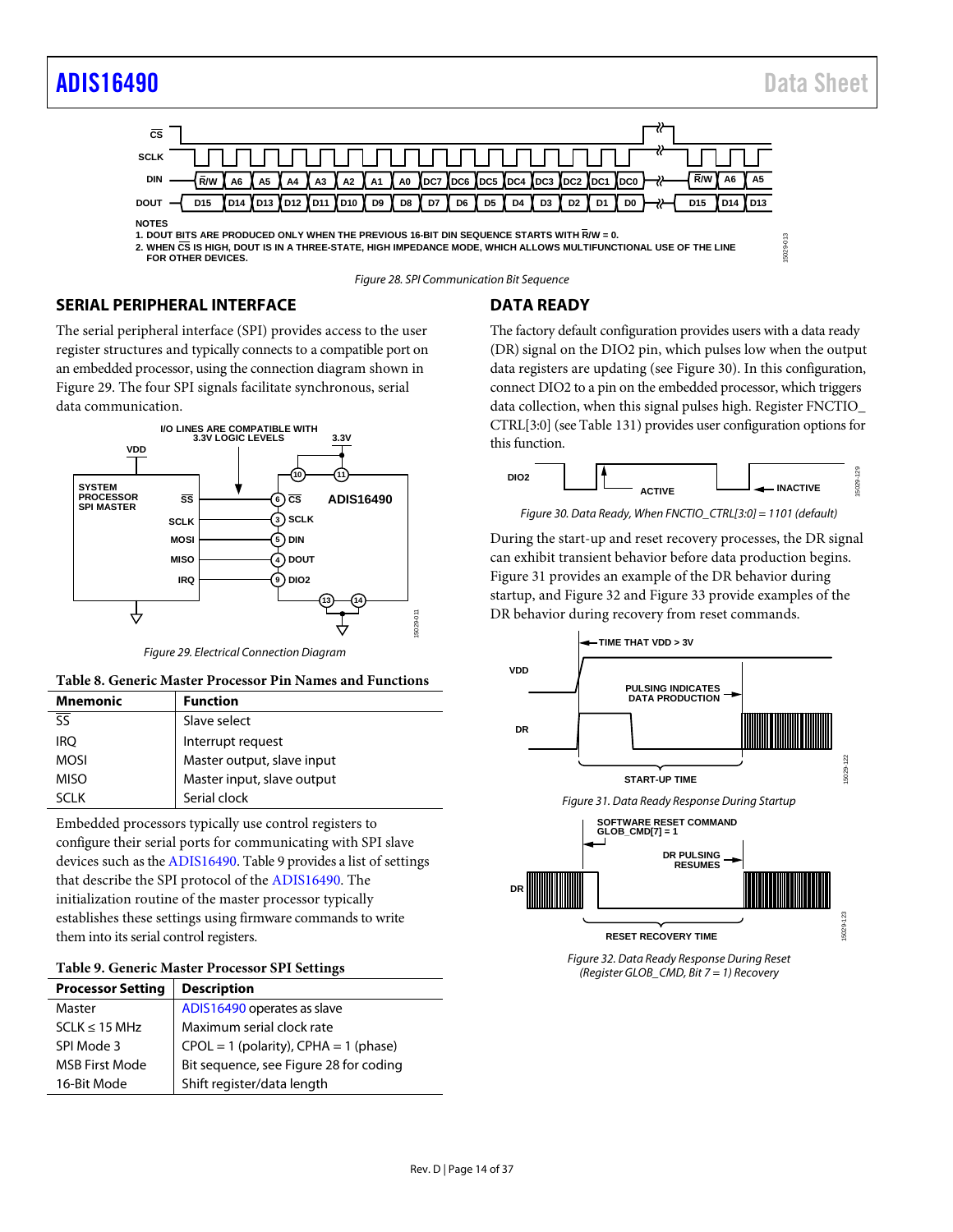# [ADIS16490](https://www.analog.com/ADIS16490?doc=ADIS16490.pdf) Data Sheet



<span id="page-13-2"></span>

*Figure 28. SPI Communication Bit Sequence*

# <span id="page-13-0"></span>**SERIAL PERIPHERAL INTERFACE**

The serial peripheral interface (SPI) provides access to the user register structures and typically connects to a compatible port on an embedded processor, using the connection diagram shown in [Figure 29.](#page-13-3) The four SPI signals facilitate synchronous, serial data communication.



*Figure 29. Electrical Connection Diagram*

<span id="page-13-3"></span>

| <b>Mnemonic</b> | <b>Function</b>            |
|-----------------|----------------------------|
|                 | Slave select               |
| <b>IRO</b>      | Interrupt request          |
| <b>MOSI</b>     | Master output, slave input |
| <b>MISO</b>     | Master input, slave output |
| א ורא           | Serial clock               |

Embedded processors typically use control registers to configure their serial ports for communicating with SPI slave devices such as th[e ADIS16490.](http://www.analog.com/ADIS16490?doc=ADIS16490.pdf) [Table 9](#page-13-4) provides a list of settings that describe the SPI protocol of th[e ADIS16490.](http://www.analog.com/ADIS16490?doc=ADIS16490.pdf) The initialization routine of the master processor typically establishes these settings using firmware commands to write them into its serial control registers.

#### <span id="page-13-4"></span>**Table 9. Generic Master Processor SPI Settings**

| <b>Processor Setting</b> | <b>Description</b>                        |
|--------------------------|-------------------------------------------|
| Master                   | ADIS16490 operates as slave               |
| $SCLK \leq 15 MHz$       | Maximum serial clock rate                 |
| SPI Mode 3               | $CPOL = 1$ (polarity), $CPHA = 1$ (phase) |
| <b>MSB First Mode</b>    | Bit sequence, see Figure 28 for coding    |
| 16-Bit Mode              | Shift register/data length                |

# <span id="page-13-1"></span>**DATA READY**

The factory default configuration provides users with a data ready (DR) signal on the DIO2 pin, which pulses low when the output data registers are updating (se[e Figure 30\)](#page-13-5). In this configuration, connect DIO2 to a pin on the embedded processor, which triggers data collection, when this signal pulses high. Register FNCTIO\_ CTRL[3:0] (se[e Table 131\)](#page-28-0) provides user configuration options for this function.



*Figure 30. Data Ready, When FNCTIO\_CTRL[3:0] = 1101 (default)*

<span id="page-13-5"></span>During the start-up and reset recovery processes, the DR signal can exhibit transient behavior before data production begins. [Figure 31](#page-13-6) provides an example of the DR behavior during startup, and [Figure 32](#page-13-7) an[d Figure 33](#page-14-2) provide examples of the DR behavior during recovery from reset commands.

<span id="page-13-6"></span>

<span id="page-13-7"></span>*Figure 32. Data Ready Response During Reset (Register GLOB\_CMD, Bit 7 = 1) Recovery*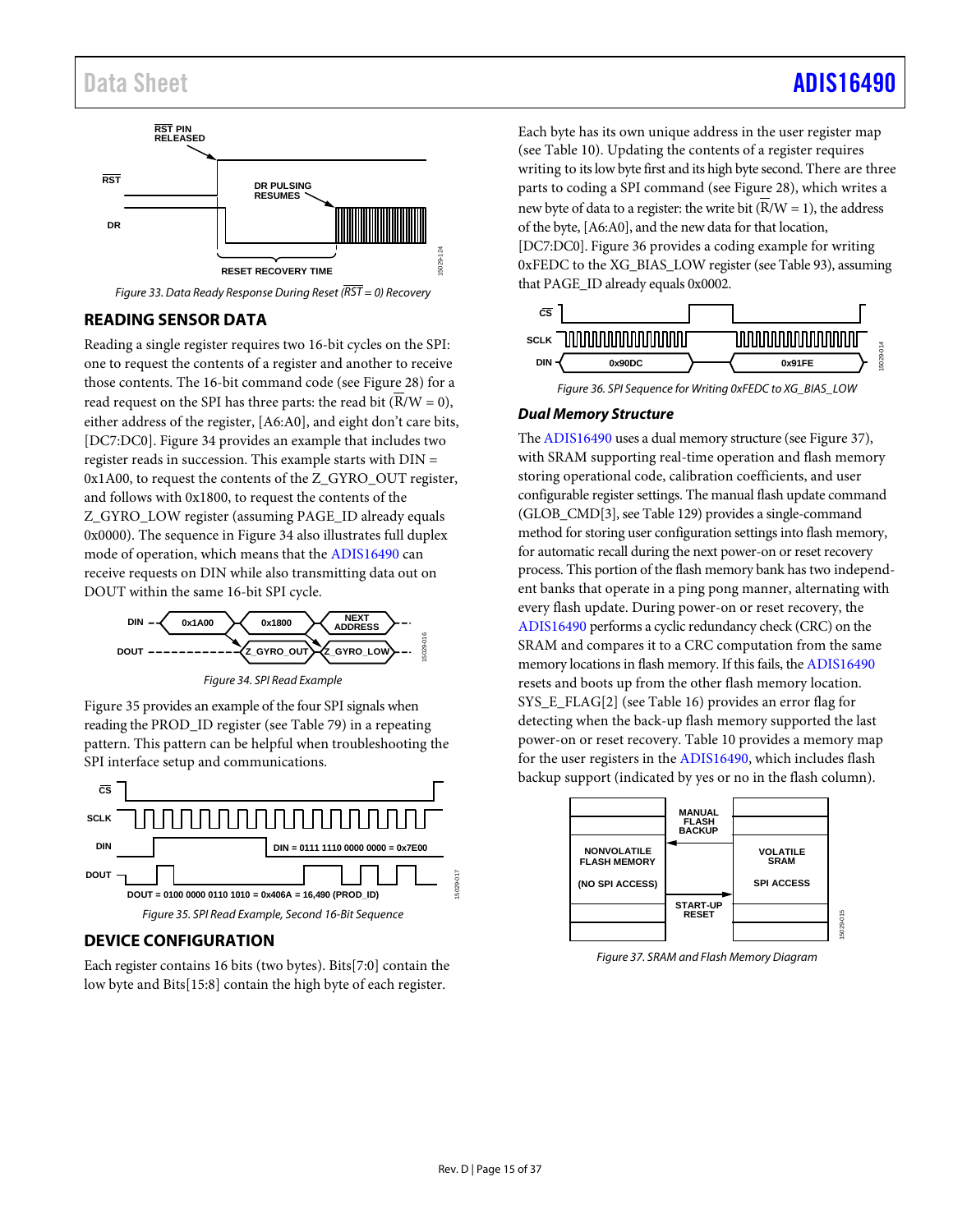# Data Sheet And a sheet Albert Advanced [ADIS16490](https://www.analog.com/ADIS16490?doc=ADIS16490.pdf) ADIS16490



*Figure 33. Data Ready Response During Reset (RST = 0) Recovery*

# <span id="page-14-2"></span><span id="page-14-0"></span>**READING SENSOR DATA**

Reading a single register requires two 16-bit cycles on the SPI: one to request the contents of a register and another to receive those contents. The 16-bit command code (se[e Figure 28\)](#page-13-2) for a read request on the SPI has three parts: the read bit  $(\overline{R}/W = 0)$ , either address of the register, [A6:A0], and eight don't care bits, [DC7:DC0]. [Figure 34](#page-14-3) provides an example that includes two register reads in succession. This example starts with DIN = 0x1A00, to request the contents of the Z\_GYRO\_OUT register, and follows with 0x1800, to request the contents of the Z\_GYRO\_LOW register (assuming PAGE\_ID already equals 0x0000). The sequence in [Figure 34](#page-14-3) also illustrates full duplex mode of operation, which means that th[e ADIS16490](http://www.analog.com/ADIS16490?doc=ADIS16490.pdf) can receive requests on DIN while also transmitting data out on DOUT within the same 16-bit SPI cycle.



*Figure 34. SPI Read Example* 

<span id="page-14-3"></span>[Figure 35](#page-14-4) provides an example of the four SPI signals when reading the PROD\_ID register (see [Table 79\)](#page-24-2) in a repeating pattern. This pattern can be helpful when troubleshooting the SPI interface setup and communications.



# <span id="page-14-4"></span><span id="page-14-1"></span>**DEVICE CONFIGURATION**

Each register contains 16 bits (two bytes). Bits[7:0] contain the low byte and Bits[15:8] contain the high byte of each register.

Each byte has its own unique address in the user register map (see [Table 10\)](#page-15-1). Updating the contents of a register requires writing to its low byte first and its high byte second. There are three parts to coding a SPI command (see [Figure 28\)](#page-13-2), which writes a new byte of data to a register: the write bit  $(R/W = 1)$ , the address of the byte, [A6:A0], and the new data for that location, [DC7:DC0]. [Figure 36](#page-14-5) provides a coding example for writing 0xFEDC to the XG\_BIAS\_LOW register (se[e Table 93\)](#page-25-1), assuming that PAGE\_ID already equals 0x0002.



*Figure 36. SPI Sequence for Writing 0xFEDC to XG\_BIAS\_LOW*

### <span id="page-14-5"></span>*Dual Memory Structure*

Th[e ADIS16490](http://www.analog.com/ADIS16490?doc=ADIS16490.pdf) uses a dual memory structure (se[e Figure 37\)](#page-14-6), with SRAM supporting real-time operation and flash memory storing operational code, calibration coefficients, and user configurable register settings. The manual flash update command (GLOB\_CMD[3], se[e Table 129\)](#page-27-0) provides a single-command method for storing user configuration settings into flash memory, for automatic recall during the next power-on or reset recovery process. This portion of the flash memory bank has two independent banks that operate in a ping pong manner, alternating with every flash update. During power-on or reset recovery, the [ADIS16490](http://www.analog.com/ADIS16490?doc=ADIS16490.pdf) performs a cyclic redundancy check (CRC) on the SRAM and compares it to a CRC computation from the same memory locations in flash memory. If this fails, th[e ADIS16490](http://www.analog.com/ADIS16490?doc=ADIS16490.pdf) resets and boots up from the other flash memory location. SYS\_E\_FLAG[2] (se[e Table 16\)](#page-18-1) provides an error flag for detecting when the back-up flash memory supported the last power-on or reset recovery[. Table 10](#page-15-1) provides a memory map for the user registers in the [ADIS16490,](http://www.analog.com/ADIS16490?doc=ADIS16490.pdf) which includes flash backup support (indicated by yes or no in the flash column).



<span id="page-14-6"></span>*Figure 37. SRAM and Flash Memory Diagram*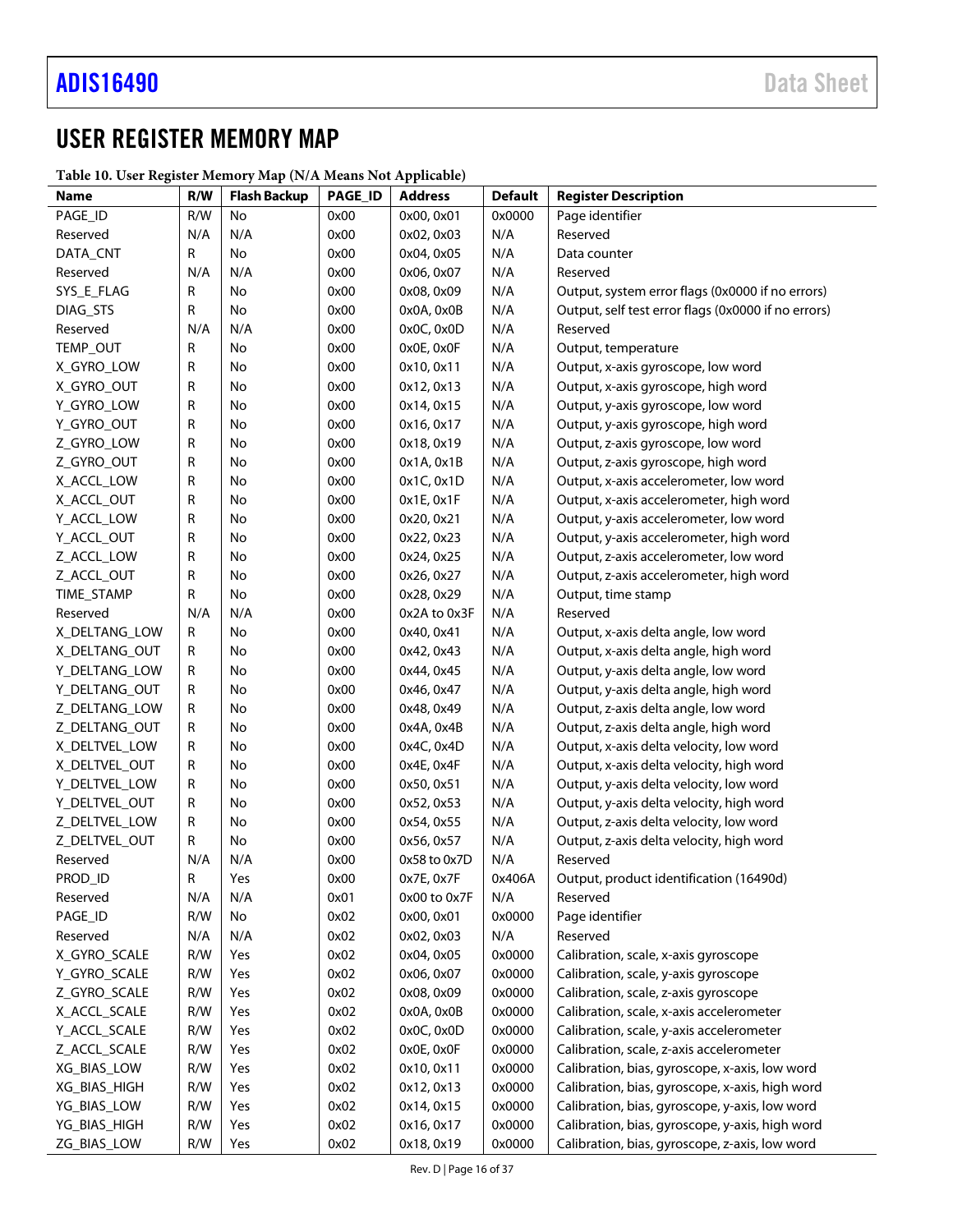# <span id="page-15-0"></span>USER REGISTER MEMORY MAP

<span id="page-15-1"></span>

| Table 10. User Register Memory Map (N/A Means Not Applicable) |  |  |
|---------------------------------------------------------------|--|--|
|---------------------------------------------------------------|--|--|

| radic ro. Osci register memory map (1971 means rot repplicade) |     |                     |                |                |                |                                                     |
|----------------------------------------------------------------|-----|---------------------|----------------|----------------|----------------|-----------------------------------------------------|
| Name                                                           | R/W | <b>Flash Backup</b> | <b>PAGE_ID</b> | <b>Address</b> | <b>Default</b> | <b>Register Description</b>                         |
| PAGE_ID                                                        | R/W | No                  | 0x00           | 0x00, 0x01     | 0x0000         | Page identifier                                     |
| Reserved                                                       | N/A | N/A                 | 0x00           | 0x02, 0x03     | N/A            | Reserved                                            |
| DATA_CNT                                                       | R   | No                  | 0x00           | 0x04, 0x05     | N/A            | Data counter                                        |
| Reserved                                                       | N/A | N/A                 | 0x00           | 0x06, 0x07     | N/A            | Reserved                                            |
| SYS_E_FLAG                                                     | R   | No                  | 0x00           | 0x08, 0x09     | N/A            | Output, system error flags (0x0000 if no errors)    |
| DIAG_STS                                                       | R   | No                  | 0x00           | 0x0A, 0x0B     | N/A            | Output, self test error flags (0x0000 if no errors) |
| Reserved                                                       | N/A | N/A                 | 0x00           | 0x0C, 0x0D     | N/A            | Reserved                                            |
| TEMP_OUT                                                       | R   | No                  | 0x00           | 0x0E, 0x0F     | N/A            | Output, temperature                                 |
| X_GYRO_LOW                                                     | R   | No                  | 0x00           | 0x10, 0x11     | N/A            | Output, x-axis gyroscope, low word                  |
| X_GYRO_OUT                                                     | R   | No                  | 0x00           | 0x12, 0x13     | N/A            | Output, x-axis gyroscope, high word                 |
| Y_GYRO_LOW                                                     | R   | No                  | 0x00           | 0x14, 0x15     | N/A            | Output, y-axis gyroscope, low word                  |
| Y_GYRO_OUT                                                     | R   | No                  | 0x00           | 0x16, 0x17     | N/A            | Output, y-axis gyroscope, high word                 |
| Z_GYRO_LOW                                                     | R   | No                  | 0x00           | 0x18, 0x19     | N/A            | Output, z-axis gyroscope, low word                  |
| Z_GYRO_OUT                                                     | R   | No                  | 0x00           | 0x1A, 0x1B     | N/A            | Output, z-axis gyroscope, high word                 |
| X_ACCL_LOW                                                     | R   | No                  | 0x00           | 0x1C, 0x1D     | N/A            | Output, x-axis accelerometer, low word              |
| X_ACCL_OUT                                                     | R   | No                  | 0x00           | 0x1E, 0x1F     | N/A            | Output, x-axis accelerometer, high word             |
| Y_ACCL_LOW                                                     | R   | No                  | 0x00           | 0x20, 0x21     | N/A            | Output, y-axis accelerometer, low word              |
| Y_ACCL_OUT                                                     | R   | No                  | 0x00           | 0x22, 0x23     | N/A            | Output, y-axis accelerometer, high word             |
| Z_ACCL_LOW                                                     | R   | No                  | 0x00           | 0x24, 0x25     | N/A            | Output, z-axis accelerometer, low word              |
| Z_ACCL_OUT                                                     | R   | No                  | 0x00           | 0x26, 0x27     | N/A            | Output, z-axis accelerometer, high word             |
| TIME_STAMP                                                     | R   | No                  | 0x00           | 0x28, 0x29     | N/A            | Output, time stamp                                  |
| Reserved                                                       | N/A | N/A                 | 0x00           | 0x2A to 0x3F   | N/A            | Reserved                                            |
| X_DELTANG_LOW                                                  | R   | No                  | 0x00           | 0x40, 0x41     | N/A            | Output, x-axis delta angle, low word                |
| X_DELTANG_OUT                                                  | R   | No                  | 0x00           | 0x42, 0x43     | N/A            | Output, x-axis delta angle, high word               |
| Y_DELTANG_LOW                                                  | R   | No                  | 0x00           | 0x44, 0x45     | N/A            | Output, y-axis delta angle, low word                |
| Y_DELTANG_OUT                                                  | R   | No                  | 0x00           | 0x46, 0x47     | N/A            | Output, y-axis delta angle, high word               |
| Z_DELTANG_LOW                                                  | R   | No                  | 0x00           | 0x48, 0x49     | N/A            | Output, z-axis delta angle, low word                |
| Z_DELTANG_OUT                                                  | R   | No                  | 0x00           | 0x4A, 0x4B     | N/A            | Output, z-axis delta angle, high word               |
| X_DELTVEL_LOW                                                  | R   | No                  | 0x00           | 0x4C, 0x4D     | N/A            | Output, x-axis delta velocity, low word             |
| X_DELTVEL_OUT                                                  | R   | No                  | 0x00           | 0x4E, 0x4F     | N/A            | Output, x-axis delta velocity, high word            |
| Y_DELTVEL_LOW                                                  | R   | No                  | 0x00           | 0x50, 0x51     | N/A            | Output, y-axis delta velocity, low word             |
| Y_DELTVEL_OUT                                                  |     |                     |                | 0x52, 0x53     |                | Output, y-axis delta velocity, high word            |
| Z_DELTVEL_LOW                                                  | R   | No                  | 0x00           |                | N/A            |                                                     |
|                                                                | R   | No                  | 0x00           | 0x54, 0x55     | N/A            | Output, z-axis delta velocity, low word             |
| Z_DELTVEL_OUT                                                  | R   | No                  | 0x00           | 0x56, 0x57     | N/A            | Output, z-axis delta velocity, high word            |
| Reserved                                                       | N/A | N/A                 | 0x00           | 0x58 to 0x7D   | N/A            | Reserved                                            |
| PROD_ID                                                        | R   | Yes                 | 0x00           | 0x7E, 0x7F     | 0x406A         | Output, product identification (16490d)             |
| Reserved                                                       | N/A | N/A                 | 0x01           | 0x00 to 0x7F   | N/A            | Reserved                                            |
| PAGE_ID                                                        | R/W | No                  | 0x02           | 0x00, 0x01     | 0x0000         | Page identifier                                     |
| Reserved                                                       | N/A | N/A                 | 0x02           | 0x02, 0x03     | N/A            | Reserved                                            |
| X_GYRO_SCALE                                                   | R/W | Yes                 | 0x02           | 0x04, 0x05     | 0x0000         | Calibration, scale, x-axis gyroscope                |
| Y_GYRO_SCALE                                                   | R/W | Yes                 | 0x02           | 0x06, 0x07     | 0x0000         | Calibration, scale, y-axis gyroscope                |
| Z_GYRO_SCALE                                                   | R/W | Yes                 | 0x02           | 0x08, 0x09     | 0x0000         | Calibration, scale, z-axis gyroscope                |
| X_ACCL_SCALE                                                   | R/W | Yes                 | 0x02           | 0x0A, 0x0B     | 0x0000         | Calibration, scale, x-axis accelerometer            |
| Y_ACCL_SCALE                                                   | R/W | Yes                 | 0x02           | 0x0C, 0x0D     | 0x0000         | Calibration, scale, y-axis accelerometer            |
| Z_ACCL_SCALE                                                   | R/W | Yes                 | 0x02           | 0x0E, 0x0F     | 0x0000         | Calibration, scale, z-axis accelerometer            |
| XG_BIAS_LOW                                                    | R/W | Yes                 | 0x02           | 0x10, 0x11     | 0x0000         | Calibration, bias, gyroscope, x-axis, low word      |
| XG_BIAS_HIGH                                                   | R/W | Yes                 | 0x02           | 0x12, 0x13     | 0x0000         | Calibration, bias, gyroscope, x-axis, high word     |
| YG_BIAS_LOW                                                    | R/W | Yes                 | 0x02           | 0x14, 0x15     | 0x0000         | Calibration, bias, gyroscope, y-axis, low word      |
| YG_BIAS_HIGH                                                   | R/W | Yes                 | 0x02           | 0x16, 0x17     | 0x0000         | Calibration, bias, gyroscope, y-axis, high word     |
| ZG_BIAS_LOW                                                    | R/W | Yes                 | 0x02           | 0x18, 0x19     | 0x0000         | Calibration, bias, gyroscope, z-axis, low word      |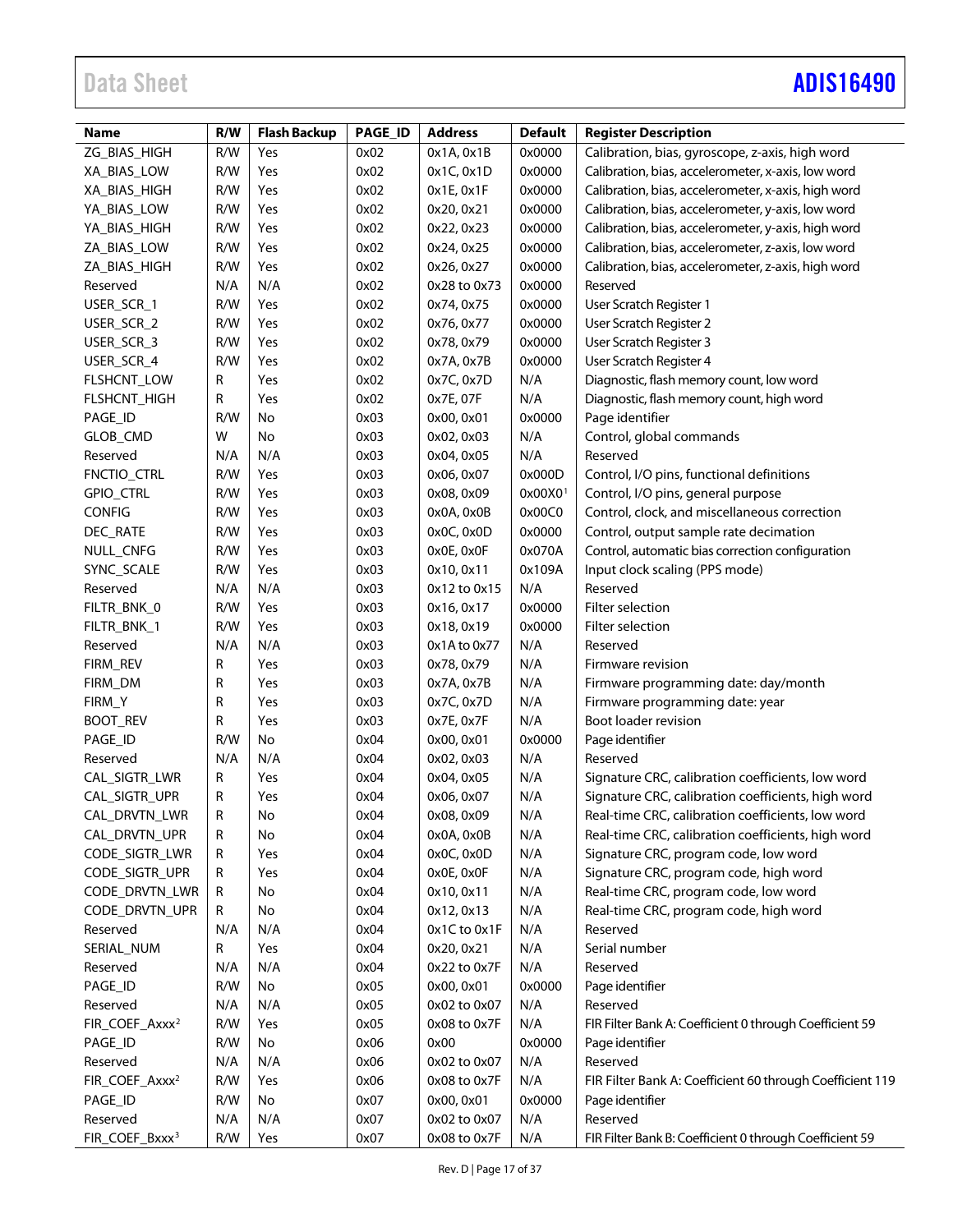# Data Sheet **[ADIS16490](https://www.analog.com/ADIS16490?doc=ADIS16490.pdf)**

| Name                       | R/W | <b>Flash Backup</b> | PAGE_ID | <b>Address</b> | <b>Default</b>      | <b>Register Description</b>                               |
|----------------------------|-----|---------------------|---------|----------------|---------------------|-----------------------------------------------------------|
| ZG_BIAS_HIGH               | R/W | Yes                 | 0x02    | 0x1A, 0x1B     | 0x0000              | Calibration, bias, gyroscope, z-axis, high word           |
| XA_BIAS_LOW                | R/W | Yes                 | 0x02    | 0x1C, 0x1D     | 0x0000              | Calibration, bias, accelerometer, x-axis, low word        |
| XA_BIAS_HIGH               | R/W | Yes                 | 0x02    | 0x1E, 0x1F     | 0x0000              | Calibration, bias, accelerometer, x-axis, high word       |
| YA_BIAS_LOW                | R/W | Yes                 | 0x02    | 0x20, 0x21     | 0x0000              | Calibration, bias, accelerometer, y-axis, low word        |
| YA_BIAS_HIGH               | R/W | Yes                 | 0x02    | 0x22, 0x23     | 0x0000              | Calibration, bias, accelerometer, y-axis, high word       |
| ZA_BIAS_LOW                | R/W | Yes                 | 0x02    | 0x24, 0x25     | 0x0000              | Calibration, bias, accelerometer, z-axis, low word        |
| ZA_BIAS_HIGH               | R/W | Yes                 | 0x02    | 0x26, 0x27     | 0x0000              | Calibration, bias, accelerometer, z-axis, high word       |
| Reserved                   | N/A | N/A                 | 0x02    | 0x28 to 0x73   | 0x0000              | Reserved                                                  |
| USER_SCR_1                 | R/W | Yes                 | 0x02    | 0x74, 0x75     | 0x0000              | User Scratch Register 1                                   |
| USER_SCR_2                 | R/W | Yes                 | 0x02    | 0x76, 0x77     | 0x0000              | User Scratch Register 2                                   |
| USER_SCR_3                 | R/W | Yes                 | 0x02    | 0x78, 0x79     | 0x0000              | User Scratch Register 3                                   |
| USER_SCR_4                 | R/W | Yes                 | 0x02    | 0x7A, 0x7B     | 0x0000              | User Scratch Register 4                                   |
| FLSHCNT_LOW                | R   | Yes                 | 0x02    | 0x7C, 0x7D     | N/A                 | Diagnostic, flash memory count, low word                  |
| FLSHCNT_HIGH               | R   | Yes                 | 0x02    | 0x7E, 07F      | N/A                 | Diagnostic, flash memory count, high word                 |
| PAGE_ID                    | R/W | No                  | 0x03    | 0x00, 0x01     | 0x0000              | Page identifier                                           |
| GLOB_CMD                   | W   | No                  | 0x03    | 0x02, 0x03     | N/A                 | Control, global commands                                  |
| Reserved                   | N/A | N/A                 | 0x03    | 0x04, 0x05     | N/A                 | Reserved                                                  |
| FNCTIO_CTRL                | R/W | Yes                 | 0x03    | 0x06, 0x07     | 0x000D              | Control, I/O pins, functional definitions                 |
| GPIO_CTRL                  | R/W | Yes                 | 0x03    | 0x08, 0x09     | 0x00X0 <sup>1</sup> | Control, I/O pins, general purpose                        |
| <b>CONFIG</b>              | R/W | Yes                 | 0x03    | 0x0A, 0x0B     | 0x00C0              | Control, clock, and miscellaneous correction              |
| DEC_RATE                   | R/W | Yes                 | 0x03    | 0x0C, 0x0D     | 0x0000              | Control, output sample rate decimation                    |
| NULL_CNFG                  | R/W | Yes                 | 0x03    | 0x0E, 0x0F     | 0x070A              | Control, automatic bias correction configuration          |
| SYNC_SCALE                 | R/W | Yes                 | 0x03    | 0x10, 0x11     | 0x109A              | Input clock scaling (PPS mode)                            |
| Reserved                   | N/A | N/A                 | 0x03    | 0x12 to 0x15   | N/A                 | Reserved                                                  |
| FILTR_BNK_0                | R/W | Yes                 | 0x03    | 0x16, 0x17     | 0x0000              | Filter selection                                          |
| FILTR_BNK_1                | R/W | Yes                 | 0x03    | 0x18, 0x19     | 0x0000              | Filter selection                                          |
| Reserved                   | N/A | N/A                 | 0x03    | 0x1A to 0x77   | N/A                 | Reserved                                                  |
| FIRM_REV                   | R   | Yes                 | 0x03    | 0x78, 0x79     | N/A                 | Firmware revision                                         |
| FIRM_DM                    | R   | Yes                 | 0x03    | 0x7A, 0x7B     | N/A                 | Firmware programming date: day/month                      |
| FIRM_Y                     | R   | Yes                 | 0x03    | 0x7C, 0x7D     | N/A                 | Firmware programming date: year                           |
| <b>BOOT_REV</b>            | R   | Yes                 | 0x03    | 0x7E, 0x7F     | N/A                 | Boot loader revision                                      |
| PAGE_ID                    | R/W | No                  | 0x04    | 0x00, 0x01     | 0x0000              | Page identifier                                           |
| Reserved                   | N/A | N/A                 | 0x04    | 0x02, 0x03     | N/A                 | Reserved                                                  |
| CAL_SIGTR_LWR              | R   | Yes                 | 0x04    | 0x04, 0x05     | N/A                 | Signature CRC, calibration coefficients, low word         |
| CAL_SIGTR_UPR              | R   | Yes                 | 0x04    | 0x06, 0x07     | N/A                 | Signature CRC, calibration coefficients, high word        |
| CAL_DRVTN_LWR              | R   | No                  | 0x04    | 0x08, 0x09     | N/A                 | Real-time CRC, calibration coefficients, low word         |
| CAL_DRVTN_UPR              | R   | No                  | 0x04    | 0x0A, 0x0B     | N/A                 | Real-time CRC, calibration coefficients, high word        |
| CODE_SIGTR_LWR             | R   | Yes                 | 0x04    | 0x0C, 0x0D     | N/A                 | Signature CRC, program code, low word                     |
| CODE_SIGTR_UPR             | R   | Yes                 | 0x04    | 0x0E, 0x0F     | N/A                 | Signature CRC, program code, high word                    |
| CODE_DRVTN_LWR             | R   | No                  | 0x04    | 0x10, 0x11     | N/A                 | Real-time CRC, program code, low word                     |
| CODE_DRVTN_UPR             | R   | No                  | 0x04    | 0x12, 0x13     | N/A                 | Real-time CRC, program code, high word                    |
| Reserved                   | N/A | N/A                 | 0x04    | 0x1C to 0x1F   | N/A                 | Reserved                                                  |
| SERIAL_NUM                 | R   | Yes                 | 0x04    | 0x20, 0x21     | N/A                 | Serial number                                             |
| Reserved                   | N/A | N/A                 | 0x04    | 0x22 to 0x7F   | N/A                 | Reserved                                                  |
| PAGE_ID                    | R/W | No                  | 0x05    | 0x00, 0x01     | 0x0000              | Page identifier                                           |
| Reserved                   | N/A | N/A                 | 0x05    | 0x02 to 0x07   | N/A                 | Reserved                                                  |
| FIR_COEF_Axxx <sup>2</sup> | R/W | Yes                 | 0x05    | 0x08 to 0x7F   | N/A                 | FIR Filter Bank A: Coefficient 0 through Coefficient 59   |
| PAGE_ID                    | R/W | No                  | 0x06    | 0x00           | 0x0000              | Page identifier                                           |
| Reserved                   | N/A | N/A                 | 0x06    | 0x02 to 0x07   | N/A                 | Reserved                                                  |
| FIR_COEF_Axxx <sup>2</sup> | R/W | Yes                 | 0x06    | 0x08 to 0x7F   | N/A                 | FIR Filter Bank A: Coefficient 60 through Coefficient 119 |
| PAGE_ID                    | R/W | No                  | 0x07    | 0x00, 0x01     | 0x0000              | Page identifier                                           |
| Reserved                   | N/A | N/A                 | 0x07    | 0x02 to 0x07   | N/A                 | Reserved                                                  |
|                            |     |                     |         |                |                     |                                                           |
| FIR_COEF_Bxxx <sup>3</sup> | R/W | Yes                 | 0x07    | 0x08 to 0x7F   | N/A                 | FIR Filter Bank B: Coefficient 0 through Coefficient 59   |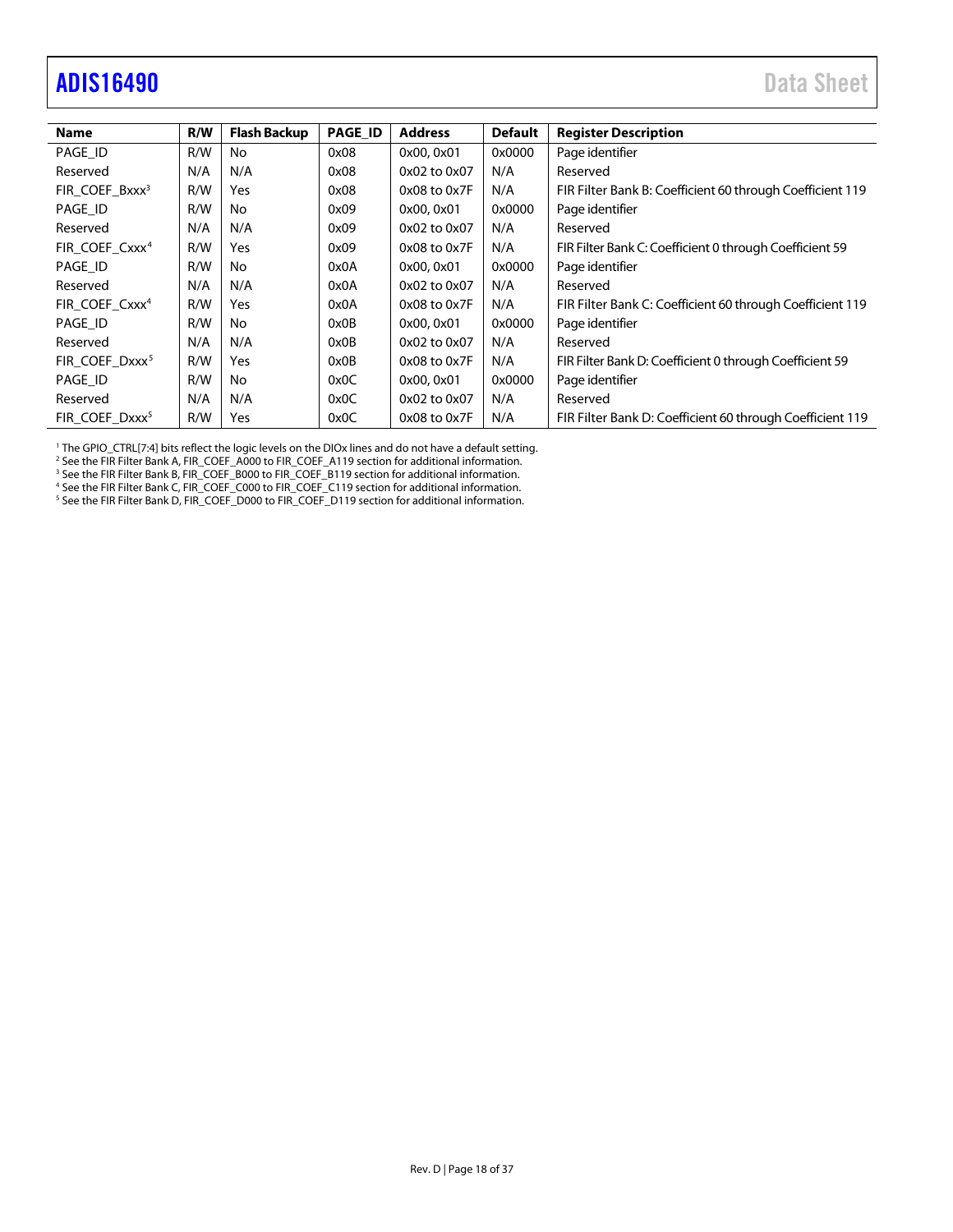# <span id="page-17-0"></span>adis16490 Data Sheet

| <b>Name</b>                | R/W | <b>Flash Backup</b> | <b>PAGE_ID</b> | <b>Address</b>   | <b>Default</b> | <b>Register Description</b>                               |
|----------------------------|-----|---------------------|----------------|------------------|----------------|-----------------------------------------------------------|
| PAGE ID                    | R/W | No                  | 0x08           | 0x00, 0x01       | 0x0000         | Page identifier                                           |
| Reserved                   | N/A | N/A                 | 0x08           | 0x02 to 0x07     | N/A            | Reserved                                                  |
| FIR COEF Bxxx <sup>3</sup> | R/W | Yes                 | 0x08           | 0x08 to 0x7F     | N/A            | FIR Filter Bank B: Coefficient 60 through Coefficient 119 |
| PAGE ID                    | R/W | No                  | 0x09           | 0x00, 0x01       | 0x0000         | Page identifier                                           |
| Reserved                   | N/A | N/A                 | 0x09           | 0x02 to 0x07     | N/A            | Reserved                                                  |
| FIR COEF Cxxx <sup>4</sup> | R/W | Yes                 | 0x09           | $0x08$ to $0x7F$ | N/A            | FIR Filter Bank C: Coefficient 0 through Coefficient 59   |
| PAGE ID                    | R/W | No                  | 0x0A           | 0x00, 0x01       | 0x0000         | Page identifier                                           |
| Reserved                   | N/A | N/A                 | 0x0A           | 0x02 to 0x07     | N/A            | Reserved                                                  |
| FIR_COEF_Cxxx <sup>4</sup> | R/W | Yes                 | 0x0A           | 0x08 to 0x7F     | N/A            | FIR Filter Bank C: Coefficient 60 through Coefficient 119 |
| PAGE ID                    | R/W | <b>No</b>           | 0x0B           | 0x00, 0x01       | 0x0000         | Page identifier                                           |
| Reserved                   | N/A | N/A                 | 0x0B           | 0x02 to 0x07     | N/A            | Reserved                                                  |
| FIR COEF Dxxx <sup>5</sup> | R/W | Yes                 | 0x0B           | $0x08$ to $0x7F$ | N/A            | FIR Filter Bank D: Coefficient 0 through Coefficient 59   |
| PAGE ID                    | R/W | <b>No</b>           | 0x0C           | 0x00, 0x01       | 0x0000         | Page identifier                                           |
| Reserved                   | N/A | N/A                 | 0x0C           | 0x02 to 0x07     | N/A            | Reserved                                                  |
| FIR COEF Dxxx <sup>5</sup> | R/W | Yes                 | 0x0C           | 0x08 to 0x7F     | N/A            | FIR Filter Bank D: Coefficient 60 through Coefficient 119 |

<sup>1</sup> The GPIO\_CTRL[7:4] bits reflect the logic levels on the DIOx lines and do not have a default setting.

<sup>2</sup> See th[e FIR Filter Bank A, FIR\\_COEF\\_A000 to FIR\\_COEF\\_A119](#page-33-2) section for additional information.

<sup>3</sup> See the FIR Filter [Bank B, FIR\\_COEF\\_B000 to FIR\\_COEF\\_B119](#page-33-3) section for additional information.

<sup>4</sup> See th[e FIR Filter Bank C, FIR\\_COEF\\_C000 to FIR\\_COEF\\_C119](#page-34-1) section for additional information.

<sup>5</sup> See th[e FIR Filter Bank D, FIR\\_COEF\\_D000 to FIR\\_COEF\\_D119](#page-34-2) section for additional information.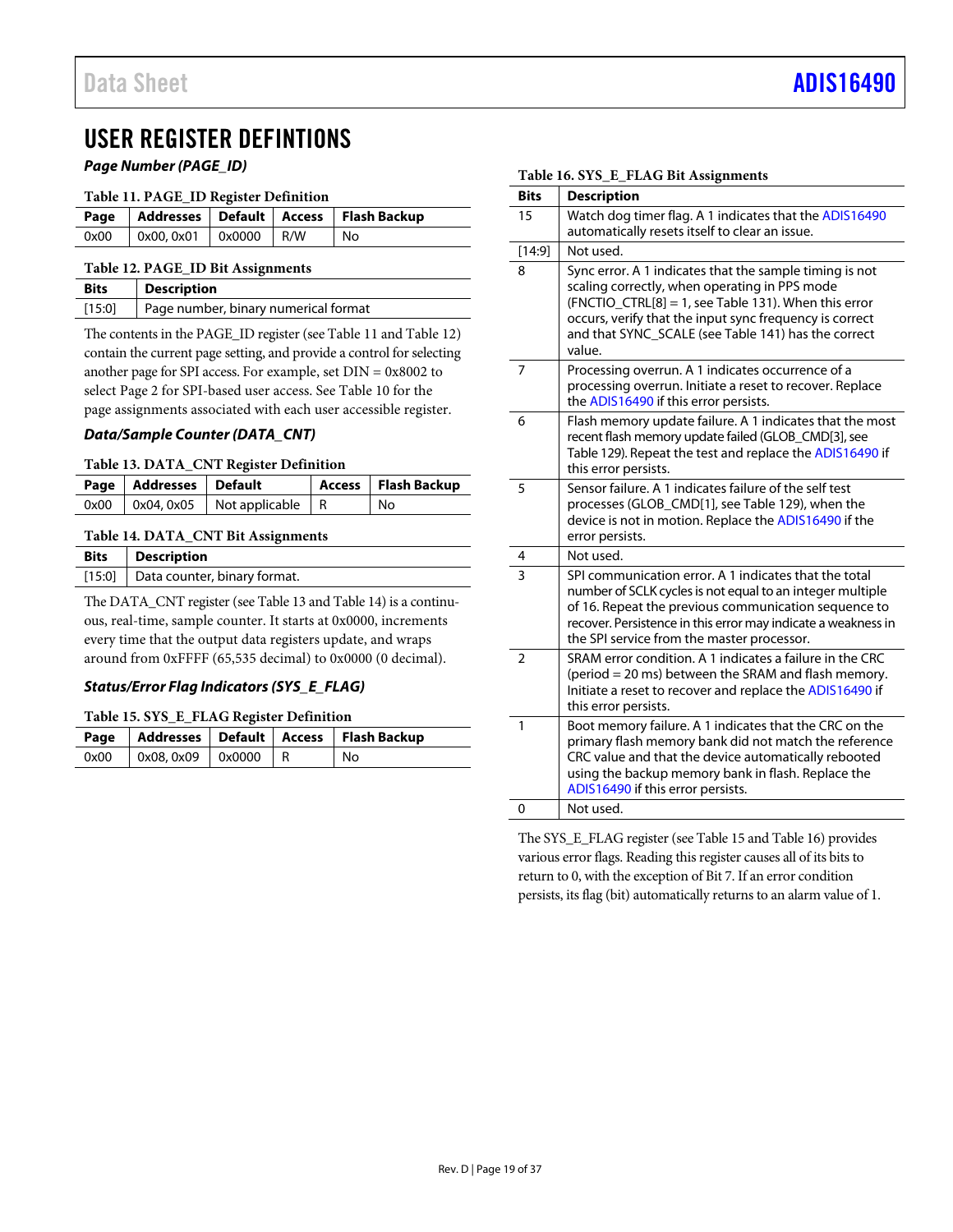# <span id="page-18-0"></span>USER REGISTER DEFINTIONS

*Page Number (PAGE\_ID)*

<span id="page-18-2"></span>

| Table 11. PAGE_ID Register Definition |  |
|---------------------------------------|--|
|---------------------------------------|--|

|      |                         |  | Page   Addresses   Default   Access   Flash Backup |
|------|-------------------------|--|----------------------------------------------------|
| 0x00 | $0x00, 0x01$ 0x0000 R/W |  | No.                                                |

#### <span id="page-18-3"></span>**Table 12. PAGE\_ID Bit Assignments**

| Bits   | <b>Description</b>                   |
|--------|--------------------------------------|
| [15:0] | Page number, binary numerical format |

The contents in the PAGE\_ID register (se[e Table 11](#page-18-2) an[d Table 12\)](#page-18-3) contain the current page setting, and provide a control for selecting another page for SPI access. For example, set DIN = 0x8002 to select Page 2 for SPI-based user access. See [Table 10](#page-15-1) for the page assignments associated with each user accessible register.

### *Data/Sample Counter (DATA\_CNT)*

#### <span id="page-18-4"></span>**Table 13. DATA\_CNT Register Definition**

| Page   Addresses   Default |                                            | Access   Flash Backup |
|----------------------------|--------------------------------------------|-----------------------|
|                            | $0x00$   $0x04, 0x05$   Not applicable   R | No                    |

### <span id="page-18-5"></span>**Table 14. DATA\_CNT Bit Assignments**

| <b>Bits</b> Description             |
|-------------------------------------|
| [15:0] Data counter, binary format. |

The DATA\_CNT register (se[e Table 13](#page-18-4) an[d Table 14\)](#page-18-5) is a continuous, real-time, sample counter. It starts at 0x0000, increments every time that the output data registers update, and wraps around from 0xFFFF (65,535 decimal) to 0x0000 (0 decimal).

# *Status/Error Flag Indicators (SYS\_E\_FLAG)*

#### <span id="page-18-6"></span>**Table 15. SYS\_E\_FLAG Register Definition**

|      |                                     |  | Page   Addresses   Default   Access   Flash Backup |
|------|-------------------------------------|--|----------------------------------------------------|
| 0x00 | $\vert$ 0x08, 0x09 $\vert$ 0x0000 R |  | No                                                 |

### **Bits Description** 15 Watch dog timer flag. A 1 indicates that th[e ADIS16490](http://www.analog.com/ADIS16490?doc=ADIS16490.pdf) automatically resets itself to clear an issue. [14:9] Not used. 8 Sync error. A 1 indicates that the sample timing is not scaling correctly, when operating in PPS mode  $(FNCTIO_CTRL[8] = 1,$  se[e Table 131\)](#page-28-0). When this error occurs, verify that the input sync frequency is correct and that SYNC\_SCALE (see [Table](#page-30-0) 141) has the correct value. 7 Processing overrun. A 1 indicates occurrence of a processing overrun. Initiate a reset to recover. Replace th[e ADIS16490](http://www.analog.com/ADIS16490?doc=ADIS16490.pdf) if this error persists. 6 Flash memory update failure. A 1 indicates that the most recent flash memory update failed (GLOB\_CMD[3], see [Table 129\)](#page-27-0). Repeat the test and replace th[e ADIS16490](http://www.analog.com/ADIS16490?doc=ADIS16490.pdf) if this error persists. 5 Sensor failure. A 1 indicates failure of the self test processes (GLOB\_CMD[1], se[e Table 129\),](#page-27-0) when the device is not in motion. Replace th[e ADIS16490](http://www.analog.com/ADIS16490?doc=ADIS16490.pdf) if the error persists. 4 Not used. 3 SPI communication error. A 1 indicates that the total number of SCLK cycles is not equal to an integer multiple of 16. Repeat the previous communication sequence to recover. Persistence in this error may indicate a weakness in the SPI service from the master processor. 2 SRAM error condition. A 1 indicates a failure in the CRC (period = 20 ms) between the SRAM and flash memory. Initiate a reset to recover and replace th[e ADIS16490](http://www.analog.com/ADIS16490?doc=ADIS16490.pdf) if this error persists. 1 Boot memory failure. A 1 indicates that the CRC on the primary flash memory bank did not match the reference CRC value and that the device automatically rebooted using the backup memory bank in flash. Replace the [ADIS16490](http://www.analog.com/ADIS16490?doc=ADIS16490.pdf) if this error persists. 0 | Not used.

The SYS\_E\_FLAG register (se[e Table 15](#page-18-6) an[d Table 16\)](#page-18-1) provides various error flags. Reading this register causes all of its bits to return to 0, with the exception of Bit 7. If an error condition persists, its flag (bit) automatically returns to an alarm value of 1.

#### <span id="page-18-1"></span>**Table 16. SYS\_E\_FLAG Bit Assignments**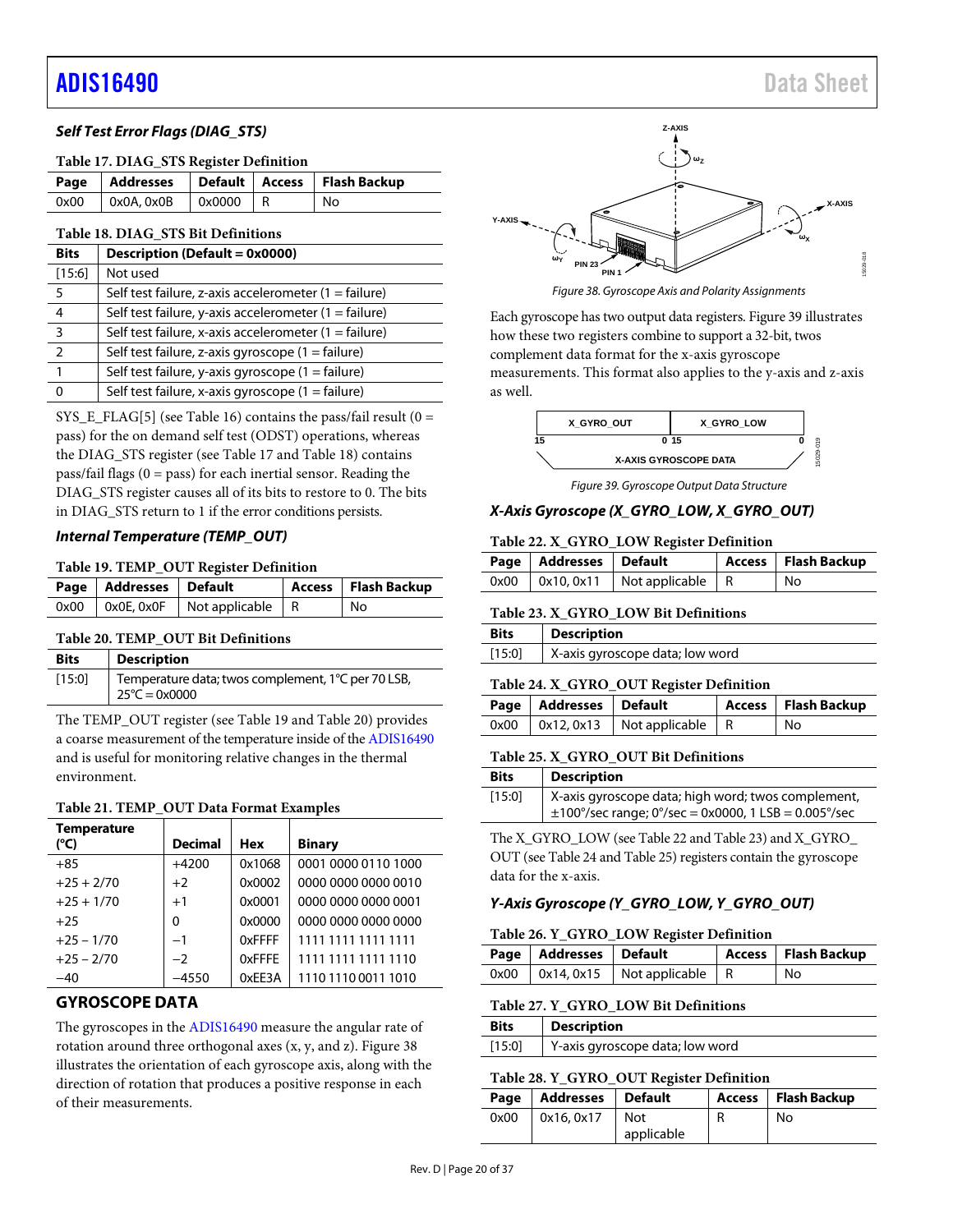# *Self Test Error Flags (DIAG\_STS)*

<span id="page-19-1"></span>

|      |                   |            | Page   Addresses   Default   Access   Flash Backup |
|------|-------------------|------------|----------------------------------------------------|
| 0x00 | $\sim$ 0x0A, 0x0B | $0x0000$ R | No                                                 |

#### <span id="page-19-2"></span>**Table 18. DIAG\_STS Bit Definitions**

| <b>Bits</b>   | Description (Default = 0x0000)                                 |
|---------------|----------------------------------------------------------------|
| [15:6]        | Not used                                                       |
| 5             | Self test failure, z-axis accelerometer $(1 = \text{failure})$ |
|               | Self test failure, y-axis accelerometer $(1 = \text{failure})$ |
| 3             | Self test failure, x-axis accelerometer $(1 = \text{failure})$ |
| $\mathcal{P}$ | Self test failure, z-axis gyroscope (1 = failure)              |
|               | Self test failure, y-axis gyroscope $(1 = \text{failure})$     |
|               | Self test failure, x-axis gyroscope $(1 = \text{failure})$     |

SYS\_E\_FLAG[5] (se[e Table 16\)](#page-18-1) contains the pass/fail result ( $0 =$ pass) for the on demand self test (ODST) operations, whereas the DIAG\_STS register (see [Table 17](#page-19-1) an[d Table 18\)](#page-19-2) contains pass/fail flags  $(0 = p$ ass) for each inertial sensor. Reading the DIAG\_STS register causes all of its bits to restore to 0. The bits in DIAG\_STS return to 1 if the error conditions persists.

#### *Internal Temperature (TEMP\_OUT)*

#### <span id="page-19-3"></span>**Table 19. TEMP\_OUT Register Definition**

| Page   Addresses   Default |                                               | Access   Flash Backup |
|----------------------------|-----------------------------------------------|-----------------------|
|                            | $0x00$   $0x0E$ , $0x0F$   Not applicable   R | No                    |

#### <span id="page-19-4"></span>**Table 20. TEMP\_OUT Bit Definitions**

| <b>Bits</b> | <b>Description</b>                                                            |
|-------------|-------------------------------------------------------------------------------|
| [15:0]      | Temperature data; twos complement, 1°C per 70 LSB,<br>$25^{\circ}$ C = 0x0000 |

The TEMP\_OUT register (se[e Table 19](#page-19-3) and [Table 20\)](#page-19-4) provides a coarse measurement of the temperature inside of th[e ADIS16490](http://www.analog.com/ADIS16490?doc=ADIS16490.pdf) and is useful for monitoring relative changes in the thermal environment.

#### **Table 21. TEMP\_OUT Data Format Examples**

| <b>Temperature</b> |                |            |                     |
|--------------------|----------------|------------|---------------------|
| (°C)               | <b>Decimal</b> | <b>Hex</b> | <b>Binary</b>       |
| $+85$              | $+4200$        | 0x1068     | 0001 0000 0110 1000 |
| $+25 + 2/70$       | $+2$           | 0x0002     | 0000 0000 0000 0010 |
| $+25 + 1/70$       | $+1$           | 0x0001     | 0000 0000 0000 0001 |
| $+25$              | $\Omega$       | 0x0000     | 0000 0000 0000 0000 |
| $+25 - 1/70$       | $-1$           | 0xFFFF     | 1111 1111 1111 1111 |
| $+25 - 2/70$       | $-2$           | 0xFFFE     | 1111 1111 1111 1110 |
| $-40$              | $-4550$        | 0xEE3A     | 1110 1110 0011 1010 |

# <span id="page-19-0"></span>**GYROSCOPE DATA**

The gyroscopes in th[e ADIS16490](http://www.analog.com/ADIS16490?doc=ADIS16490.pdf) measure the angular rate of rotation around three orthogonal axes (x, y, and z)[. Figure 38](#page-19-5) illustrates the orientation of each gyroscope axis, along with the direction of rotation that produces a positive response in each of their measurements.



*Figure 38. Gyroscope Axis and Polarity Assignments*

<span id="page-19-5"></span>Each gyroscope has two output data registers. [Figure 39](#page-19-6) illustrates how these two registers combine to support a 32-bit, twos complement data format for the x-axis gyroscope measurements. This format also applies to the y-axis and z-axis as well.



*Figure 39. Gyroscope Output Data Structure*

#### <span id="page-19-7"></span><span id="page-19-6"></span>*X-Axis Gyroscope (X\_GYRO\_LOW, X\_GYRO\_OUT)*

#### **Table 22. X\_GYRO\_LOW Register Definition**

| Page   Addresses   Default |                                            | Access   Flash Backup |
|----------------------------|--------------------------------------------|-----------------------|
|                            | $0x00$   $0x10, 0x11$   Not applicable   R | l No                  |

<span id="page-19-8"></span>

|             | Table 23. X GYRO LOW Bit Definitions |
|-------------|--------------------------------------|
| <b>Bits</b> | <b>Description</b>                   |
| [15:0]      | X-axis gyroscope data; low word      |

#### <span id="page-19-9"></span>**Table 24. X\_GYRO\_OUT Register Definition**

| Page   Addresses   Default |                                            | Access   Flash Backup |
|----------------------------|--------------------------------------------|-----------------------|
|                            | $0x00$   $0x12, 0x13$   Not applicable   R | No                    |

#### <span id="page-19-10"></span>**Table 25. X\_GYRO\_OUT Bit Definitions**

| <b>Bits</b> | <b>Description</b>                                                                                                            |
|-------------|-------------------------------------------------------------------------------------------------------------------------------|
| [15:0]      | X-axis gyroscope data; high word; twos complement,<br>$\pm 100^{\circ}/\text{sec}$ range; 0°/sec = 0x0000, 1 LSB = 0.005°/sec |

The X\_GYRO\_LOW (se[e Table 22](#page-19-7) and [Table 23\)](#page-19-8) and X\_GYRO\_ OUT (se[e Table 24](#page-19-9) an[d Table 25\)](#page-19-10) registers contain the gyroscope data for the x-axis.

#### *Y-Axis Gyroscope (Y\_GYRO\_LOW, Y\_GYRO\_OUT)*

#### <span id="page-19-11"></span>**Table 26. Y\_GYRO\_LOW Register Definition**

| Page   Addresses   Default |                                            | Access   Flash Backup |
|----------------------------|--------------------------------------------|-----------------------|
|                            | $0x00$   $0x14, 0x15$   Not applicable   R | No                    |

#### <span id="page-19-12"></span>**Table 27. Y\_GYRO\_LOW Bit Definitions**

| <b>Bits</b> | <b>Description</b>              |
|-------------|---------------------------------|
| [15:0]      | Y-axis gyroscope data; low word |

#### <span id="page-19-13"></span>**Table 28. Y\_GYRO\_OUT Register Definition**

| Page | Addresses  | Default           | Access   Flash Backup |
|------|------------|-------------------|-----------------------|
| 0x00 | 0x16, 0x17 | Not<br>applicable | No                    |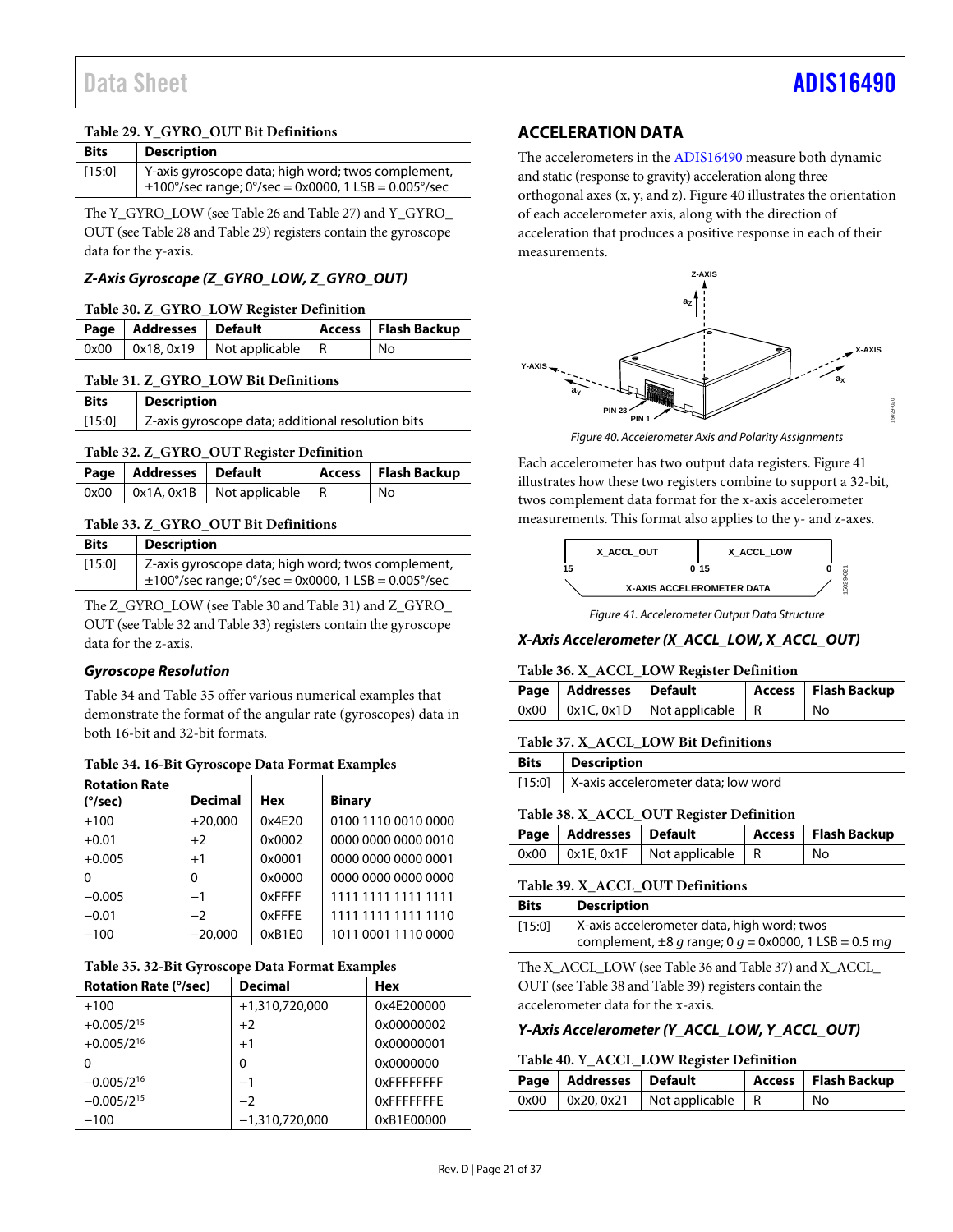# <span id="page-20-1"></span>**Table 29. Y\_GYRO\_OUT Bit Definitions**

| <b>Bits</b> | <b>Description</b>                                                                                                            |
|-------------|-------------------------------------------------------------------------------------------------------------------------------|
| [15:0]      | Y-axis gyroscope data; high word; twos complement,<br>$\pm 100^{\circ}/\text{sec}$ range; 0°/sec = 0x0000, 1 LSB = 0.005°/sec |

The Y\_GYRO\_LOW (se[e Table 26](#page-19-11) and [Table 27\)](#page-19-12) and Y\_GYRO\_ OUT (se[e Table 28](#page-19-13) an[d Table 29\)](#page-20-1) registers contain the gyroscope data for the y-axis.

# *Z-Axis Gyroscope (Z\_GYRO\_LOW, Z\_GYRO\_OUT)*

#### <span id="page-20-2"></span>**Table 30. Z\_GYRO\_LOW Register Definition**

| Page   Addresses   Default |                                            | Access   Flash Backup |
|----------------------------|--------------------------------------------|-----------------------|
|                            | $0x00$   $0x18, 0x19$   Not applicable   R | l No                  |

### <span id="page-20-3"></span>**Table 31. Z\_GYRO\_LOW Bit Definitions**

| <b>Bits</b> | <b>Description</b>                                |  |
|-------------|---------------------------------------------------|--|
| $[15:0]$    | Z-axis gyroscope data; additional resolution bits |  |

### <span id="page-20-4"></span>**Table 32. Z\_GYRO\_OUT Register Definition**

| Page   Addresses   Default |                                          | Access   Flash Backup |
|----------------------------|------------------------------------------|-----------------------|
|                            | $0x00$   0x1A, 0x1B   Not applicable   R | l No                  |

#### <span id="page-20-5"></span>**Table 33. Z\_GYRO\_OUT Bit Definitions**

| <b>Bits</b> | <b>Description</b>                                                      |
|-------------|-------------------------------------------------------------------------|
| [15:0]      | Z-axis gyroscope data; high word; twos complement,                      |
|             | $\pm 100^{\circ}/\text{sec}$ range; 0°/sec = 0x0000, 1 LSB = 0.005°/sec |

The Z\_GYRO\_LOW (se[e Table 30](#page-20-2) and [Table 31\)](#page-20-3) and Z\_GYRO\_ OUT (se[e Table 32](#page-20-4) and [Table 33\)](#page-20-5) registers contain the gyroscope data for the z-axis.

# *Gyroscope Resolution*

[Table 34](#page-20-6) an[d Table 35](#page-20-7) offer various numerical examples that demonstrate the format of the angular rate (gyroscopes) data in both 16-bit and 32-bit formats.

<span id="page-20-6"></span>

| <b>Rotation Rate</b> |                |        |                     |
|----------------------|----------------|--------|---------------------|
| (°/sec)              | <b>Decimal</b> | Hex    | <b>Binary</b>       |
| $+100$               | $+20,000$      | 0x4E20 | 0100 1110 0010 0000 |
| $+0.01$              | $+2$           | 0x0002 | 0000 0000 0000 0010 |
| $+0.005$             | $+1$           | 0x0001 | 0000 0000 0000 0001 |
| 0                    | $\Omega$       | 0x0000 | 0000 0000 0000 0000 |
| $-0.005$             | $-1$           | 0xFFFF | 1111 1111 1111 1111 |
| $-0.01$              | $-2$           | 0xFFFE | 1111 1111 1111 1110 |
| $-100$               | $-20,000$      | 0xB1E0 | 1011 0001 1110 0000 |

#### <span id="page-20-7"></span>**Table 35. 32-Bit Gyroscope Data Format Examples**

| <b>Rotation Rate (°/sec)</b> | <b>Decimal</b>   | <b>Hex</b>        |
|------------------------------|------------------|-------------------|
| $+100$                       | +1,310,720,000   | 0x4E200000        |
| $+0.005/2^{15}$              | $+2$             | 0x00000002        |
| $+0.005/2^{16}$              | $+1$             | 0x00000001        |
| 0                            | 0                | 0x0000000         |
| $-0.005/2^{16}$              | $-1$             | <b>OxFFFFFFFF</b> |
| $-0.005/2^{15}$              | $-2$             | <b>OXFFFFFFFF</b> |
| $-100$                       | $-1,310,720,000$ | 0xB1E00000        |

# <span id="page-20-0"></span>**ACCELERATION DATA**

The accelerometers in the [ADIS16490](http://www.analog.com/ADIS16490?doc=ADIS16490.pdf) measure both dynamic and static (response to gravity) acceleration along three orthogonal axes (x, y, and z)[. Figure 40](#page-20-8) illustrates the orientation of each accelerometer axis, along with the direction of acceleration that produces a positive response in each of their measurements.



*Figure 40. Accelerometer Axis and Polarity Assignments*

<span id="page-20-8"></span>Each accelerometer has two output data registers. [Figure 41](#page-20-9) illustrates how these two registers combine to support a 32-bit, twos complement data format for the x-axis accelerometer measurements. This format also applies to the y- and z-axes.



*Figure 41. Accelerometer Output Data Structure*

# <span id="page-20-9"></span>*X-Axis Accelerometer (X\_ACCL\_LOW, X\_ACCL\_OUT)*

#### <span id="page-20-10"></span>**Table 36. X\_ACCL\_LOW Register Definition**

| Page   Addresses   Default |                                            | Access   Flash Backup |
|----------------------------|--------------------------------------------|-----------------------|
|                            | $0x00$   $0x1C, 0x1D$   Not applicable   R | No                    |

#### <span id="page-20-11"></span>**Table 37. X\_ACCL\_LOW Bit Definitions**

| <b>Bits</b> | <b>Description</b>                         |
|-------------|--------------------------------------------|
|             | [15:0] X-axis accelerometer data; low word |
|             |                                            |

# <span id="page-20-12"></span>**Table 38. X\_ACCL\_OUT Register Definition**

| Page   Addresses   Default |                                               | Access   Flash Backup |
|----------------------------|-----------------------------------------------|-----------------------|
|                            | $0x00$   $0x1E$ , $0x1F$   Not applicable   R | l No                  |

#### <span id="page-20-13"></span>**Table 39. X\_ACCL\_OUT Definitions**

| <b>Bits</b> | <b>Description</b>                                                                                      |
|-------------|---------------------------------------------------------------------------------------------------------|
| [15:0]      | X-axis accelerometer data, high word; twos<br>complement, $\pm 8$ g range; 0 g = 0x0000, 1 LSB = 0.5 mg |

The X\_ACCL\_LOW (se[e Table 36](#page-20-10) an[d Table 37\)](#page-20-11) and X\_ACCL\_ OUT (se[e Table 38](#page-20-12) an[d Table](#page-20-13) 39) registers contain the accelerometer data for the x-axis.

#### *Y-Axis Accelerometer (Y\_ACCL\_LOW, Y\_ACCL\_OUT)*

#### <span id="page-20-14"></span>**Table 40. Y\_ACCL\_LOW Register Definition**

| Page   Addresses   Default |                                            | Access   Flash Backup |
|----------------------------|--------------------------------------------|-----------------------|
|                            | $0x00$   $0x20, 0x21$   Not applicable   R | No                    |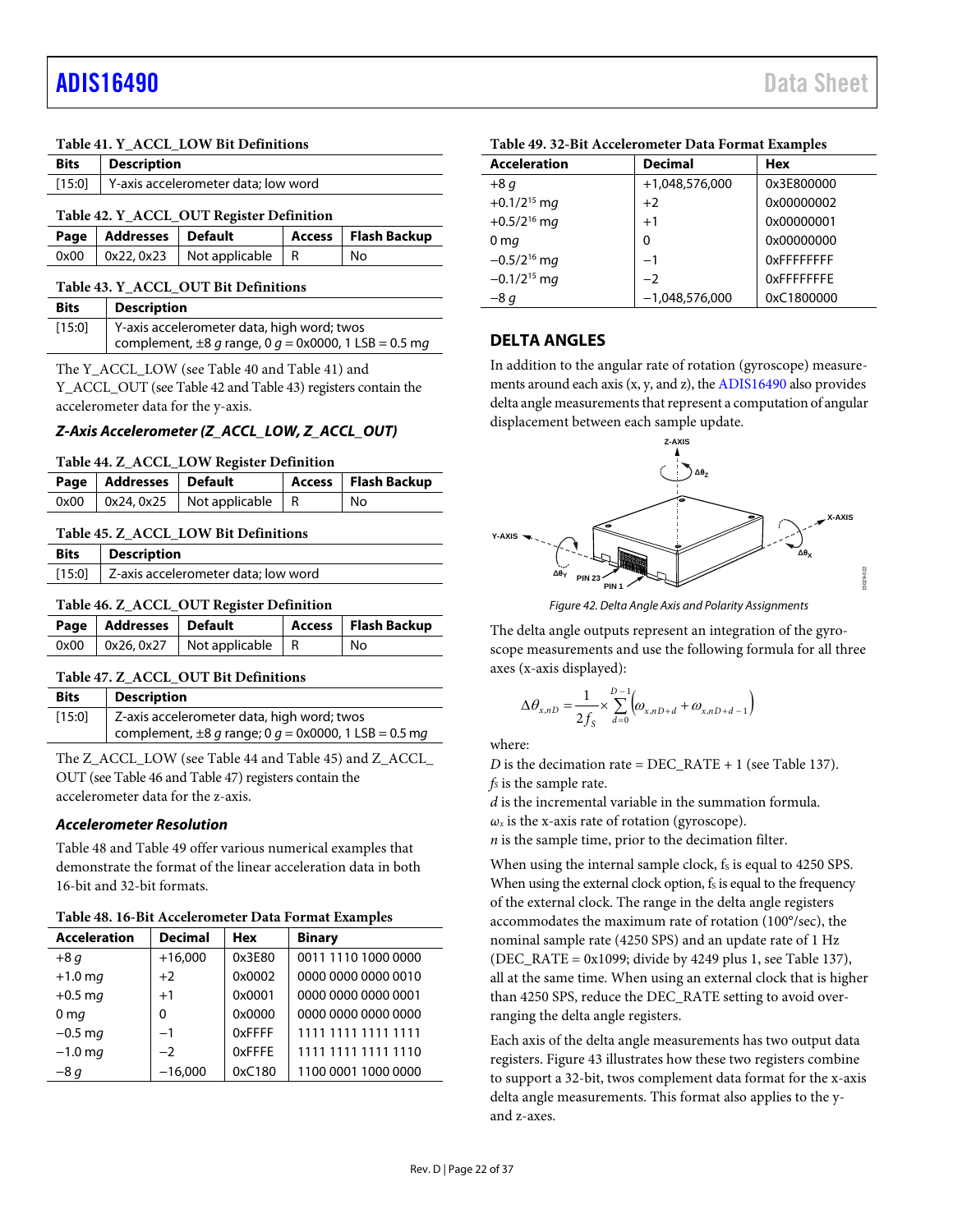### <span id="page-21-1"></span>**Table 41. Y\_ACCL\_LOW Bit Definitions**

<span id="page-21-2"></span>

| <b>Bits</b> | <b>Description</b> |                                          |               |                     |
|-------------|--------------------|------------------------------------------|---------------|---------------------|
| [15:0]      |                    | Y-axis accelerometer data; low word      |               |                     |
|             |                    | Table 42. Y ACCL OUT Register Definition |               |                     |
| Page        | <b>Addresses</b>   | <b>Default</b>                           | <b>Access</b> | <b>Flash Backup</b> |
| 0x00        | 0x22, 0x23         | Not applicable                           | R             | No                  |

#### <span id="page-21-3"></span>**Table 43. Y\_ACCL\_OUT Bit Definitions**

| <b>Bits</b> | <b>Description</b>                                        |
|-------------|-----------------------------------------------------------|
| [15:0]      | Y-axis accelerometer data, high word; twos                |
|             | complement, $\pm 8$ g range, 0 g = 0x0000, 1 LSB = 0.5 mg |

The Y\_ACCL\_LOW (se[e Table 40](#page-20-14) and [Table 41\)](#page-21-1) and Y\_ACCL\_OUT (se[e Table 42](#page-21-2) an[d Table 43\)](#page-21-3) registers contain the accelerometer data for the y-axis.

### *Z-Axis Accelerometer (Z\_ACCL\_LOW, Z\_ACCL\_OUT)*

#### <span id="page-21-4"></span>**Table 44. Z\_ACCL\_LOW Register Definition**

| Page   Addresses   Default |                                            | Access   Flash Backup |
|----------------------------|--------------------------------------------|-----------------------|
|                            | $0x00$   $0x24, 0x25$   Not applicable   R | No                    |

#### <span id="page-21-5"></span>**Table 45. Z\_ACCL\_LOW Bit Definitions**

| Bits | <b>Description</b>                         |
|------|--------------------------------------------|
|      | [15:0] Z-axis accelerometer data; low word |
|      |                                            |

#### <span id="page-21-6"></span>**Table 46. Z\_ACCL\_OUT Register Definition**

| Page   Addresses   Default |                                            | Access   Flash Backup |
|----------------------------|--------------------------------------------|-----------------------|
|                            | $0x00$   $0x26, 0x27$   Not applicable   R | No.                   |

#### <span id="page-21-7"></span>**Table 47. Z\_ACCL\_OUT Bit Definitions**

| <b>Bits</b> | Description                                               |
|-------------|-----------------------------------------------------------|
| $[15:0]$    | Z-axis accelerometer data, high word; twos                |
|             | complement, $\pm 8$ g range; 0 g = 0x0000, 1 LSB = 0.5 mg |

The Z\_ACCL\_LOW (se[e Table 44](#page-21-4) an[d Table 45\)](#page-21-5) and Z\_ACCL\_ OUT (se[e Table 46](#page-21-6) an[d Table 47\)](#page-21-7) registers contain the accelerometer data for the z-axis.

#### *Accelerometer Resolution*

[Table 48](#page-21-8) an[d Table 49](#page-21-9) offer various numerical examples that demonstrate the format of the linear acceleration data in both 16-bit and 32-bit formats.

<span id="page-21-8"></span>

| Table 48. 16-Bit Accelerometer Data Format Examples |  |  |  |
|-----------------------------------------------------|--|--|--|
|-----------------------------------------------------|--|--|--|

| <b>Acceleration</b> | <b>Decimal</b> | <b>Hex</b> | <b>Binary</b>       |
|---------------------|----------------|------------|---------------------|
| $+8q$               | $+16,000$      | 0x3E80     | 0011 1110 1000 0000 |
| $+1.0$ mg           | $+2$           | 0x0002     | 0000 0000 0000 0010 |
| $+0.5$ mg           | $+1$           | 0x0001     | 0000 0000 0000 0001 |
| 0 <sub>mg</sub>     | 0              | 0x0000     | 0000 0000 0000 0000 |
| $-0.5$ mg           | $-1$           | 0xFFFF     | 1111 1111 1111 1111 |
| $-1.0$ mg           | $-2$           | 0xFFFE     | 1111 1111 1111 1110 |
| $-8q$               | $-16,000$      | 0xC180     | 1100 0001 1000 0000 |

# <span id="page-21-9"></span>**Table 49. 32-Bit Accelerometer Data Format Examples**

| <b>Acceleration</b> | <b>Decimal</b>   | <b>Hex</b>         |
|---------------------|------------------|--------------------|
| $+8q$               | +1,048,576,000   | 0x3E800000         |
| $+0.1/2^{15}$ mg    | $+2$             | 0x00000002         |
| $+0.5/2^{16}$ mg    | $+1$             | 0x00000001         |
| 0 <sub>mg</sub>     | 0                | 0x00000000         |
| $-0.5/2^{16}$ mg    | $-1$             | <b>OXFFFFFFFFF</b> |
| $-0.1/2^{15}$ mg    | $-2$             | <b>OXFFFFFFFF</b>  |
| $-8q$               | $-1,048,576,000$ | 0xC1800000         |

### <span id="page-21-0"></span>**DELTA ANGLES**

In addition to the angular rate of rotation (gyroscope) measurements around each axis (x, y, and z), th[e ADIS16490](http://www.analog.com/ADIS16490?doc=ADIS16490.pdf) also provides delta angle measurements that represent a computation of angular displacement between each sample update.



*Figure 42. Delta Angle Axis and Polarity Assignments*

The delta angle outputs represent an integration of the gyroscope measurements and use the following formula for all three axes (x-axis displayed):

$$
\Delta\theta_{x,nD} = \frac{1}{2f_s} \times \sum_{d=0}^{D-1} \left( \omega_{x,nD+d} + \omega_{x,nD+d-1} \right)
$$

where:

*D* is the decimation rate = DEC\_RATE + 1 (se[e Table 137\)](#page-30-1).  $f<sub>S</sub>$  is the sample rate.

*d* is the incremental variable in the summation formula.

 $\omega_x$  is the x-axis rate of rotation (gyroscope).

*n* is the sample time, prior to the decimation filter.

When using the internal sample clock, fs is equal to 4250 SPS. When using the external clock option,  $f_s$  is equal to the frequency of the external clock. The range in the delta angle registers accommodates the maximum rate of rotation (100°/sec), the nominal sample rate (4250 SPS) and an update rate of 1 Hz (DEC\_RATE = 0x1099; divide by 4249 plus 1, see [Table 137\)](#page-30-1), all at the same time. When using an external clock that is higher than 4250 SPS, reduce the DEC\_RATE setting to avoid overranging the delta angle registers.

Each axis of the delta angle measurements has two output data registers[. Figure 43](#page-22-1) illustrates how these two registers combine to support a 32-bit, twos complement data format for the x-axis delta angle measurements. This format also applies to the yand z-axes.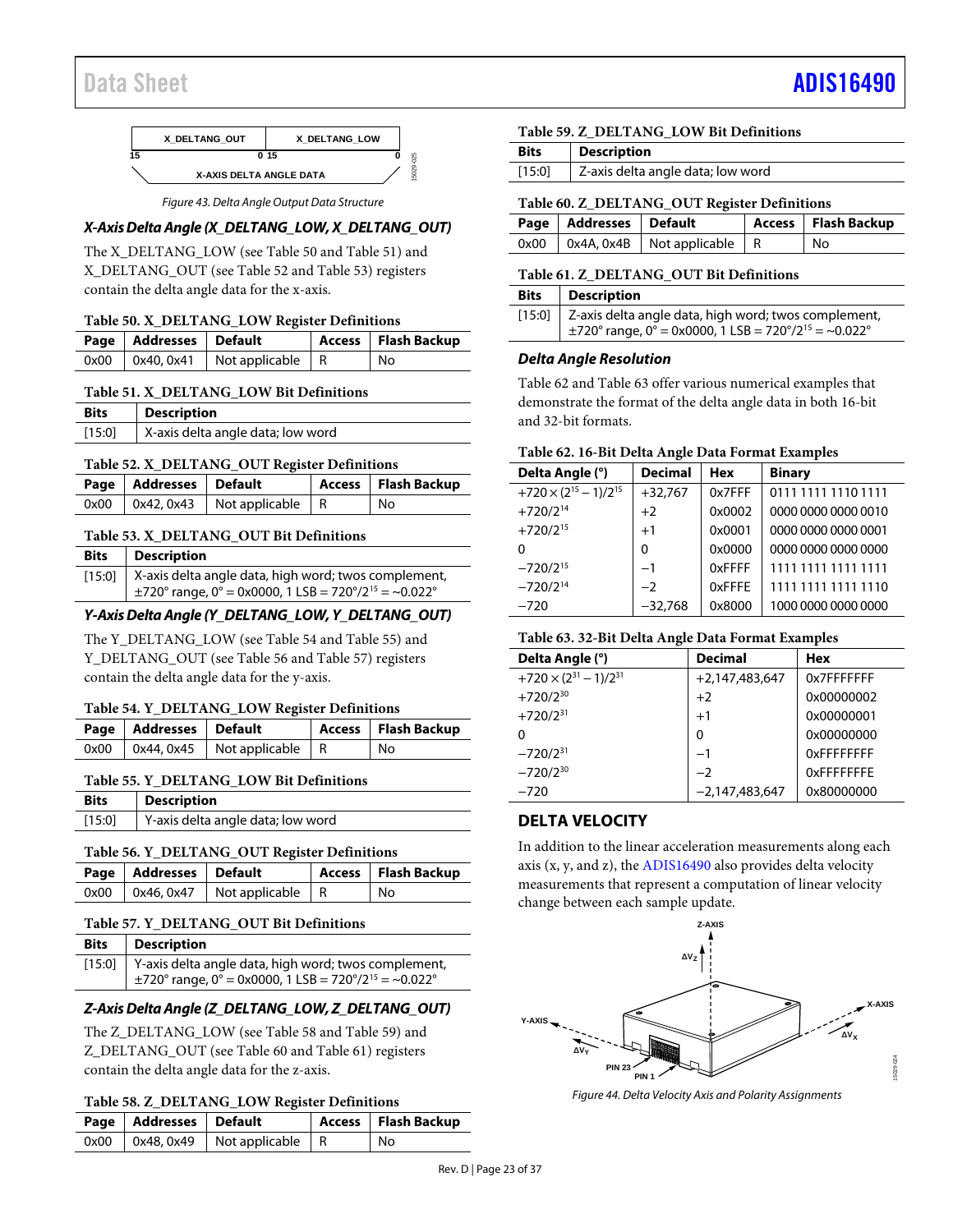# Data Sheet And a sheet Albert Advanced [ADIS16490](https://www.analog.com/ADIS16490?doc=ADIS16490.pdf) ADIS16490



*Figure 43. Delta Angle Output Data Structure*

# <span id="page-22-1"></span>*X-Axis Delta Angle (X\_DELTANG\_LOW, X\_DELTANG\_OUT)*

The X\_DELTANG\_LOW (se[e Table 50](#page-22-2) an[d Table 51\)](#page-22-3) and X\_DELTANG\_OUT (se[e Table 52](#page-22-4) and [Table](#page-22-5) 53) registers contain the delta angle data for the x-axis.

# <span id="page-22-2"></span>**Table 50. X\_DELTANG\_LOW Register Definitions**

| Page   Addresses   Default |                                            | Access   Flash Backup |
|----------------------------|--------------------------------------------|-----------------------|
|                            | $0x00$   $0x40, 0x41$   Not applicable   R | ' No                  |

### <span id="page-22-3"></span>**Table 51. X\_DELTANG\_LOW Bit Definitions**

| <b>Bits</b> | <b>Description</b>                |
|-------------|-----------------------------------|
| $[15:0]$    | X-axis delta angle data; low word |

### <span id="page-22-4"></span>**Table 52. X\_DELTANG\_OUT Register Definitions**

| Page   Addresses   Default |                                            | Access   Flash Backup |
|----------------------------|--------------------------------------------|-----------------------|
|                            | $0x00$   $0x42, 0x43$   Not applicable   R | No                    |

# <span id="page-22-5"></span>**Table 53. X\_DELTANG\_OUT Bit Definitions**

| <b>Bits</b> | <b>Description</b>                                                    |
|-------------|-----------------------------------------------------------------------|
| [15:0]      | X-axis delta angle data, high word; twos complement,                  |
|             | $\pm$ 720° range, 0° = 0x0000, 1 LSB = 720°/2 <sup>15</sup> = ~0.022° |

# *Y-Axis Delta Angle (Y\_DELTANG\_LOW, Y\_DELTANG\_OUT)*

The Y\_DELTANG\_LOW (see [Table 54](#page-22-6) an[d Table 55\)](#page-22-7) and Y\_DELTANG\_OUT (se[e Table 56](#page-22-8) an[d Table 57\)](#page-22-9) registers contain the delta angle data for the y-axis.

#### <span id="page-22-6"></span>**Table 54. Y\_DELTANG\_LOW Register Definitions**

|  | Page   Addresses   Default               | Access   Flash Backup |
|--|------------------------------------------|-----------------------|
|  | $0x00$   0x44, 0x45   Not applicable   R | No                    |

#### <span id="page-22-7"></span>**Table 55. Y\_DELTANG\_LOW Bit Definitions**

| <b>Bits</b> | <b>Description</b>                |
|-------------|-----------------------------------|
| [15:0]      | Y-axis delta angle data; low word |

#### <span id="page-22-8"></span>**Table 56. Y\_DELTANG\_OUT Register Definitions**

| Page   Addresses   Default |                                          | Access   Flash Backup |
|----------------------------|------------------------------------------|-----------------------|
|                            | $0x00$   0x46, 0x47   Not applicable   R | No                    |

#### <span id="page-22-9"></span>**Table 57. Y\_DELTANG\_OUT Bit Definitions**

| <b>Bits</b> | Description                                                                                                                          |
|-------------|--------------------------------------------------------------------------------------------------------------------------------------|
|             | [15:0] Y-axis delta angle data, high word; twos complement,<br>$\pm$ 720° range, 0° = 0x0000, 1 LSB = 720°/2 <sup>15</sup> = ~0.022° |

# *Z-Axis Delta Angle (Z\_DELTANG\_LOW, Z\_DELTANG\_OUT)*

The Z\_DELTANG\_LOW (se[e Table 58](#page-22-10) and [Table 59\)](#page-22-11) and Z\_DELTANG\_OUT (see [Table 60](#page-22-12) an[d Table 61\)](#page-22-13) registers contain the delta angle data for the z-axis.

# <span id="page-22-10"></span>**Table 58. Z\_DELTANG\_LOW Register Definitions**

| Page   Addresses   Default |                                            | Access   Flash Backup |
|----------------------------|--------------------------------------------|-----------------------|
|                            | $0x00$   $0x48, 0x49$   Not applicable   R | No                    |

### <span id="page-22-11"></span>**Table 59. Z\_DELTANG\_LOW Bit Definitions**

| Z-axis delta angle data; low word<br>[15:0] |  |
|---------------------------------------------|--|

# <span id="page-22-12"></span>**Table 60. Z\_DELTANG\_OUT Register Definitions**

| Page   Addresses   Default |                                               | Access   Flash Backup |
|----------------------------|-----------------------------------------------|-----------------------|
|                            | $0x00$   $0x4A$ , $0x4B$   Not applicable   R | No                    |

# <span id="page-22-13"></span>**Table 61. Z\_DELTANG\_OUT Bit Definitions**

| <b>Bits</b> | <b>Description</b>                                                                                                                   |
|-------------|--------------------------------------------------------------------------------------------------------------------------------------|
|             | [15:0] Z-axis delta angle data, high word; twos complement,<br>$\pm$ 720° range, 0° = 0x0000, 1 LSB = 720°/2 <sup>15</sup> = ~0.022° |

### *Delta Angle Resolution*

[Table 62](#page-22-14) an[d Table 63](#page-22-15) offer various numerical examples that demonstrate the format of the delta angle data in both 16-bit and 32-bit formats.

#### <span id="page-22-14"></span>**Table 62. 16-Bit Delta Angle Data Format Examples**

| Delta Angle (°)                   | <b>Decimal</b> | <b>Hex</b> | <b>Binary</b>       |
|-----------------------------------|----------------|------------|---------------------|
| $+720 \times (2^{15} - 1)/2^{15}$ | $+32,767$      | 0x7FFF     | 0111 1111 1110 1111 |
| $+720/2^{14}$                     | $+2$           | 0x0002     | 0000 0000 0000 0010 |
| $+720/2^{15}$                     | $+1$           | 0x0001     | 0000 0000 0000 0001 |
| 0                                 | $\Omega$       | 0x0000     | 0000 0000 0000 0000 |
| $-720/2^{15}$                     | $-1$           | 0xFFFF     | 1111 1111 1111 1111 |
| $-720/2^{14}$                     | $-2$           | 0xFFFE     | 1111 1111 1111 1110 |
| $-720$                            | $-32,768$      | 0x8000     | 1000 0000 0000 0000 |

#### <span id="page-22-15"></span>**Table 63. 32-Bit Delta Angle Data Format Examples**

| <b>Decimal</b>   | <b>Hex</b>        |
|------------------|-------------------|
| $+2,147,483,647$ | 0x7FFFFFFFF       |
| $+2$             | 0x00000002        |
| $+1$             | 0x00000001        |
| 0                | 0x00000000        |
| $-1$             | <b>OXFFFFFFFF</b> |
| $-2$             | OxFFFFFFFF        |
| $-2,147,483,647$ | 0x80000000        |
|                  |                   |

# <span id="page-22-0"></span>**DELTA VELOCITY**

In addition to the linear acceleration measurements along each axis (x, y, and z), the [ADIS16490](http://www.analog.com/ADIS16490?doc=ADIS16490.pdf) also provides delta velocity measurements that represent a computation of linear velocity change between each sample update.



*Figure 44. Delta Velocity Axis and Polarity Assignments*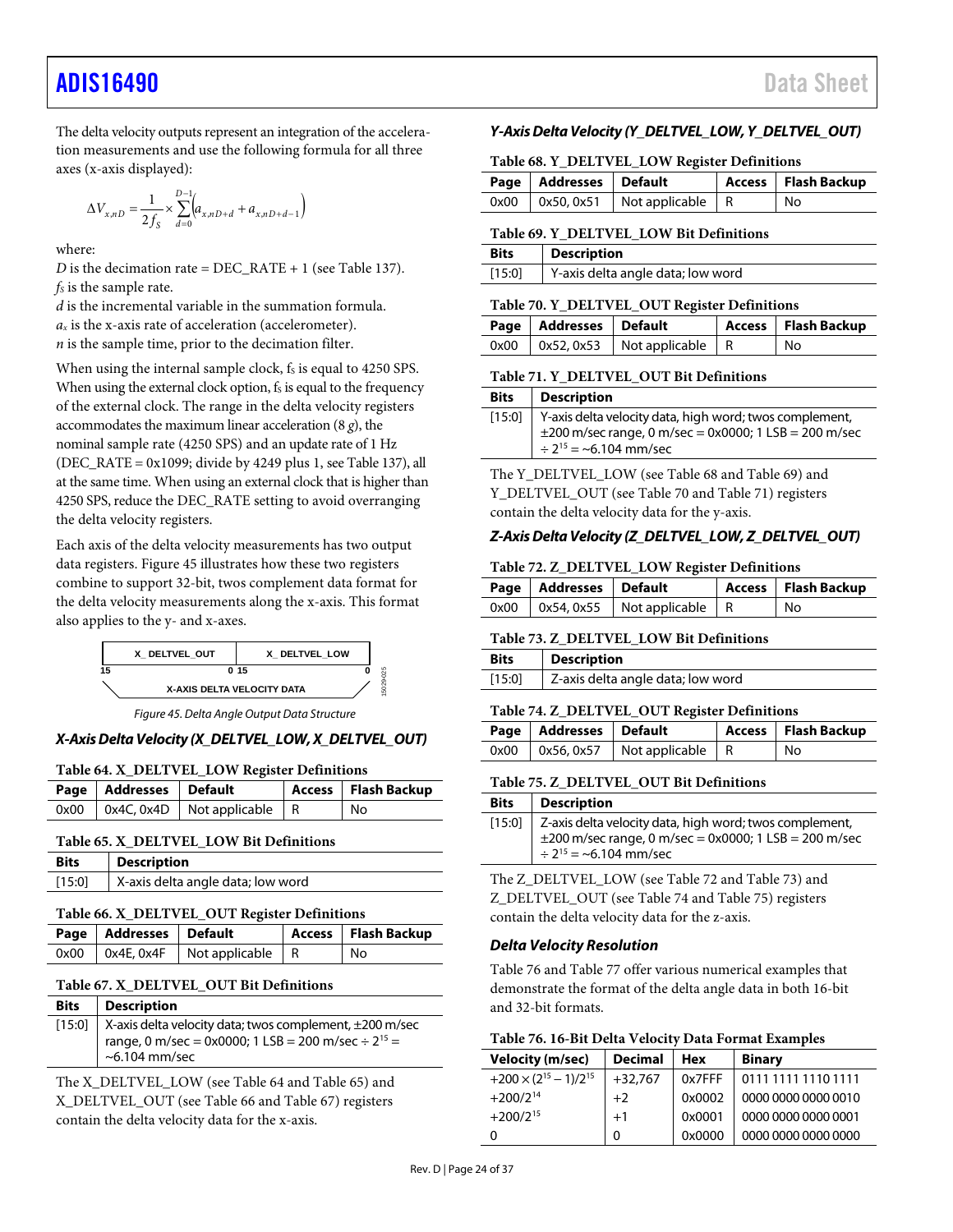# [ADIS16490](https://www.analog.com/ADIS16490?doc=ADIS16490.pdf) Data Sheet

The delta velocity outputs represent an integration of the acceleration measurements and use the following formula for all three axes (x-axis displayed):

$$
\Delta V_{x,nD} = \frac{1}{2f_S} \times \sum_{d=0}^{D-1} \left( a_{x,nD+d} + a_{x,nD+d-1} \right)
$$

where:

*D* is the decimation rate =  $DEC_RATE + 1$  (se[e Table 137\)](#page-30-1).  $f<sub>S</sub>$  is the sample rate.

*d* is the incremental variable in the summation formula.  $a_x$  is the x-axis rate of acceleration (accelerometer). *n* is the sample time, prior to the decimation filter.

When using the internal sample clock, fs is equal to 4250 SPS. When using the external clock option,  $f_s$  is equal to the frequency of the external clock. The range in the delta velocity registers accommodates the maximum linear acceleration (8 *g*), the nominal sample rate (4250 SPS) and an update rate of 1 Hz (DEC\_RATE = 0x1099; divide by 4249 plus 1, se[e Table 137\)](#page-30-1), all at the same time. When using an external clock that is higher than 4250 SPS, reduce the DEC\_RATE setting to avoid overranging the delta velocity registers.

Each axis of the delta velocity measurements has two output data registers[. Figure 45](#page-23-0) illustrates how these two registers combine to support 32-bit, twos complement data format for the delta velocity measurements along the x-axis. This format also applies to the y- and x-axes.



*Figure 45. Delta Angle Output Data Structure*

# <span id="page-23-0"></span>*X-Axis DeltaVelocity (X\_DELTVEL\_LOW, X\_DELTVEL\_OUT)*

#### <span id="page-23-1"></span>**Table 64. X\_DELTVEL\_LOW Register Definitions**

| Page   Addresses   Default |                                          | <b>Access</b> Flash Backup |
|----------------------------|------------------------------------------|----------------------------|
|                            | $0x00$   0x4C, 0x4D   Not applicable   R | No                         |

#### <span id="page-23-2"></span>**Table 65. X\_DELTVEL\_LOW Bit Definitions**

| <b>Bits</b> | <b>Description</b>                           |
|-------------|----------------------------------------------|
| [15:0]      | X-axis delta angle data; low word            |
|             | Table 66. X_DELTVEL_OUT Register Definitions |

<span id="page-23-3"></span>

|  | Page   Addresses   Default |                                               |  | Access   Flash Backup |  |
|--|----------------------------|-----------------------------------------------|--|-----------------------|--|
|  |                            | $0x00$   $0x4E$ , $0x4F$   Not applicable   R |  | No                    |  |

#### <span id="page-23-4"></span>**Table 67. X\_DELTVEL\_OUT Bit Definitions**

| <b>Bits</b> | <b>Description</b>                                                                                                                                       |
|-------------|----------------------------------------------------------------------------------------------------------------------------------------------------------|
|             | [15:0] X-axis delta velocity data; twos complement, $\pm 200$ m/sec<br>range, 0 m/sec = 0x0000; 1 LSB = 200 m/sec $\div 2^{15}$ =<br>$\sim$ 6.104 mm/sec |

The X\_DELTVEL\_LOW (see [Table 64](#page-23-1) an[d Table 65\)](#page-23-2) and X\_DELTVEL\_OUT (se[e Table 66](#page-23-3) an[d Table](#page-23-4) 67) registers contain the delta velocity data for the x-axis.

# *Y-Axis Delta Velocity (Y\_DELTVEL\_LOW, Y\_DELTVEL\_OUT)*

#### <span id="page-23-5"></span>**Table 68. Y\_DELTVEL\_LOW Register Definitions**

| Page   Addresses   Default |                                            | Access   Flash Backup |
|----------------------------|--------------------------------------------|-----------------------|
|                            | $0x00$   $0x50, 0x51$   Not applicable   R | l No                  |

#### <span id="page-23-6"></span>**Table 69. Y\_DELTVEL\_LOW Bit Definitions**

| <b>Bits</b> | <b>Description</b>                |
|-------------|-----------------------------------|
| [15:0]      | Y-axis delta angle data; low word |

### <span id="page-23-7"></span>**Table 70. Y\_DELTVEL\_OUT Register Definitions**

| Page   Addresses   Default |                                            | Access   Flash Backup |
|----------------------------|--------------------------------------------|-----------------------|
|                            | $0x00$   $0x52, 0x53$   Not applicable   R | l No                  |

#### <span id="page-23-8"></span>**Table 71. Y\_DELTVEL\_OUT Bit Definitions**

| <b>Bits</b> | <b>Description</b>                                                                                                                                              |
|-------------|-----------------------------------------------------------------------------------------------------------------------------------------------------------------|
|             | [15:0]   Y-axis delta velocity data, high word; twos complement,<br>$\pm$ 200 m/sec range, 0 m/sec = 0x0000; 1 LSB = 200 m/sec<br>$\div 2^{15} = -6.104$ mm/sec |

The Y\_DELTVEL\_LOW (see [Table 68](#page-23-5) and [Table 69\)](#page-23-6) and Y\_DELTVEL\_OUT (see [Table 70](#page-23-7) an[d Table 71\)](#page-23-8) registers contain the delta velocity data for the y-axis.

### *Z-Axis Delta Velocity (Z\_DELTVEL\_LOW, Z\_DELTVEL\_OUT)*

#### <span id="page-23-9"></span>**Table 72. Z\_DELTVEL\_LOW Register Definitions**

| Page   Addresses   Default |                                            | Access   Flash Backup |
|----------------------------|--------------------------------------------|-----------------------|
|                            | $0x00$   $0x54, 0x55$   Not applicable   R | l No                  |

#### <span id="page-23-10"></span>**Table 73. Z\_DELTVEL\_LOW Bit Definitions**

| <b>Bits</b> | <b>Description</b>                |
|-------------|-----------------------------------|
| $[15:0]$    | Z-axis delta angle data; low word |

#### <span id="page-23-11"></span>**Table 74. Z\_DELTVEL\_OUT Register Definitions**

| Page   Addresses   Default |                                          | Access   Flash Backup |
|----------------------------|------------------------------------------|-----------------------|
|                            | $0x00$   0x56, 0x57   Not applicable   R | No                    |

#### <span id="page-23-12"></span>**Table 75. Z\_DELTVEL\_OUT Bit Definitions**

| <b>Bits</b> | <b>Description</b>                                                                                                                                                     |
|-------------|------------------------------------------------------------------------------------------------------------------------------------------------------------------------|
|             | [15:0] Z-axis delta velocity data, high word; twos complement,<br>$\pm$ 200 m/sec range, 0 m/sec = 0x0000; 1 LSB = 200 m/sec<br>$\div$ 2 <sup>15</sup> = ~6.104 mm/sec |

The Z\_DELTVEL\_LOW (se[e Table 72](#page-23-9) and [Table 73\)](#page-23-10) and Z\_DELTVEL\_OUT (see [Table 74](#page-23-11) and [Table 75\)](#page-23-12) registers contain the delta velocity data for the z-axis.

#### *Delta Velocity Resolution*

[Table 76](#page-23-13) an[d Table 77](#page-24-3) offer various numerical examples that demonstrate the format of the delta angle data in both 16-bit and 32-bit formats.

<span id="page-23-13"></span>

| <b>Velocity (m/sec)</b>           | <b>Decimal</b> | Hex    | <b>Binary</b>       |
|-----------------------------------|----------------|--------|---------------------|
| $+200 \times (2^{15} - 1)/2^{15}$ | $+32,767$      | 0x7FFF | 0111 1111 1110 1111 |
| $+200/2^{14}$                     | $+2$           | 0x0002 | 0000 0000 0000 0010 |
| $+200/2^{15}$                     | $+1$           | 0x0001 | 0000 0000 0000 0001 |
|                                   | 0              | 0x0000 | 0000 0000 0000 0000 |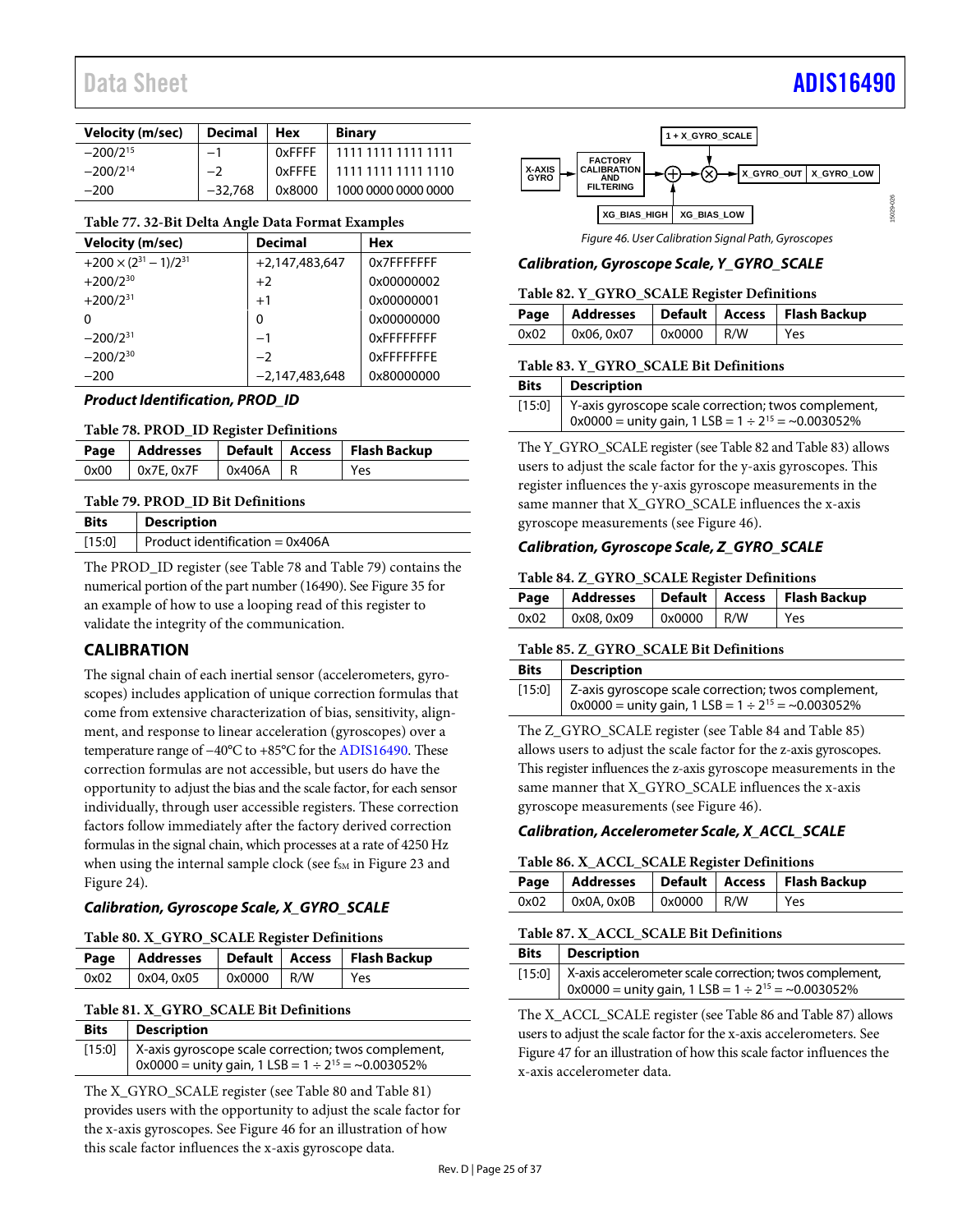# Data Sheet And a sheet Albert Advanced [ADIS16490](https://www.analog.com/ADIS16490?doc=ADIS16490.pdf) ADIS16490

| <b>Velocity (m/sec)</b> | <b>Decimal</b> | <b>Hex</b> | <b>Binary</b>       |
|-------------------------|----------------|------------|---------------------|
| $-200/2^{15}$           |                | 0xFFFF     | 1111 1111 1111 1111 |
| $-200/2^{14}$           |                | 0xFFFE     | 1111 1111 1111 1110 |
| $-200$                  | $-32.768$      | 0x8000     | 1000 0000 0000 0000 |

#### <span id="page-24-3"></span>**Table 77. 32-Bit Delta Angle Data Format Examples**

| <b>Velocity (m/sec)</b>           | <b>Decimal</b>   | Hex        |
|-----------------------------------|------------------|------------|
| $+200 \times (2^{31} - 1)/2^{31}$ | $+2,147,483,647$ | 0x7FFFFFFF |
| $+200/2^{30}$                     | $+2$             | 0x00000002 |
| $+200/2^{31}$                     | $+1$             | 0x00000001 |
| O                                 | 0                | 0x00000000 |
| $-200/2^{31}$                     | $-1$             | OxFFFFFFFF |
| $-200/2^{30}$                     | $-2$             | OxFFFFFFFF |
| $-200$                            | $-2.147.483.648$ | 0x80000000 |

*Product Identification, PROD\_ID*

<span id="page-24-4"></span>

| Table 78. PROD_ID Register Definitions |  |
|----------------------------------------|--|
|----------------------------------------|--|

|                    |            | Page   Addresses   Default   Access   Flash Backup |
|--------------------|------------|----------------------------------------------------|
| $0x00$ $0x7E.0x7F$ | $0x406A$ R | l Yes                                              |
|                    |            |                                                    |

#### <span id="page-24-2"></span>**Table 79. PROD\_ID Bit Definitions**

| Product identification = $0x406A$<br>[15:0] |  |
|---------------------------------------------|--|

The PROD ID register (se[e Table 78](#page-24-4) an[d Table 79\)](#page-24-2) contains the numerical portion of the part number (16490). Se[e Figure 35](#page-14-4) for an example of how to use a looping read of this register to validate the integrity of the communication.

# <span id="page-24-0"></span>**CALIBRATION**

The signal chain of each inertial sensor (accelerometers, gyroscopes) includes application of unique correction formulas that come from extensive characterization of bias, sensitivity, alignment, and response to linear acceleration (gyroscopes) over a temperature range of −40°C to +85°C for the [ADIS16490.](http://www.analog.com/ADIS16490?doc=ADIS16490.pdf) These correction formulas are not accessible, but users do have the opportunity to adjust the bias and the scale factor, for each sensor individually, through user accessible registers. These correction factors follow immediately after the factory derived correction formulas in the signal chain, which processes at a rate of 4250 Hz when using the internal sample clock (see f<sub>SM</sub> i[n Figure 23](#page-11-3) and [Figure 24\)](#page-11-4).

# *Calibration, Gyroscope Scale, X\_GYRO\_SCALE*

#### <span id="page-24-5"></span>**Table 80. X\_GYRO\_SCALE Register Definitions**

|      |            |              | Page   Addresses   Default   Access   Flash Backup |
|------|------------|--------------|----------------------------------------------------|
| 0x02 | 0x04, 0x05 | $0x0000$ R/W | Yes                                                |

# <span id="page-24-6"></span>**Table 81. X\_GYRO\_SCALE Bit Definitions**

| <b>Bits</b> | <b>Description</b>                                                                                                         |
|-------------|----------------------------------------------------------------------------------------------------------------------------|
|             | [15:0] X-axis gyroscope scale correction; twos complement,<br>$0x0000 =$ unity gain, 1 LSB = $1 \div 2^{15} = -0.003052\%$ |

The X\_GYRO\_SCALE register (se[e Table 80](#page-24-5) an[d Table 81\)](#page-24-6) provides users with the opportunity to adjust the scale factor for the x-axis gyroscopes. See [Figure 46](#page-24-1) for an illustration of how this scale factor influences the x-axis gyroscope data.



*Figure 46. User Calibration Signal Path, Gyroscopes*

# <span id="page-24-1"></span>*Calibration, Gyroscope Scale, Y\_GYRO\_SCALE*

<span id="page-24-7"></span>

| Table 82. Y_GYRO_SCALE Register Definitions |                   |            |  |                                                    |
|---------------------------------------------|-------------------|------------|--|----------------------------------------------------|
|                                             |                   |            |  | Page   Addresses   Default   Access   Flash Backup |
|                                             | $0x02$ 0x06, 0x07 | 0x0000 R/W |  | l Yes                                              |

#### <span id="page-24-8"></span>**Table 83. Y\_GYRO\_SCALE Bit Definitions**

| <b>Bits</b> | Description                                                            |
|-------------|------------------------------------------------------------------------|
|             | [15:0] Y-axis gyroscope scale correction; twos complement,             |
|             | $\alpha$ 0x0000 = unity gain, 1 LSB = 1 ÷ 2 <sup>15</sup> = ~0.003052% |

The Y\_GYRO\_SCALE register (se[e Table 82](#page-24-7) an[d Table 83\)](#page-24-8) allows users to adjust the scale factor for the y-axis gyroscopes. This register influences the y-axis gyroscope measurements in the same manner that X\_GYRO\_SCALE influences the x-axis gyroscope measurements (se[e Figure 46\)](#page-24-1).

# *Calibration, Gyroscope Scale, Z\_GYRO\_SCALE*

#### <span id="page-24-9"></span>**Table 84. Z\_GYRO\_SCALE Register Definitions**

|      |            |            | Page   Addresses   Default   Access   Flash Backup |
|------|------------|------------|----------------------------------------------------|
| 0x02 | 0x08, 0x09 | 0x0000 R/W | Yes                                                |

#### <span id="page-24-10"></span>**Table 85. Z\_GYRO\_SCALE Bit Definitions**

| <b>Bits</b> | <b>Description</b>                                                                                                         |
|-------------|----------------------------------------------------------------------------------------------------------------------------|
|             | [15:0] Z-axis gyroscope scale correction; twos complement,<br>$0x0000 =$ unity gain, 1 LSB = $1 \div 2^{15} = -0.003052\%$ |

The Z\_GYRO\_SCALE register (see [Table 84](#page-24-9) and [Table 85\)](#page-24-10) allows users to adjust the scale factor for the z-axis gyroscopes. This register influences the z-axis gyroscope measurements in the same manner that X\_GYRO\_SCALE influences the x-axis gyroscope measurements (se[e Figure 46\)](#page-24-1).

# <span id="page-24-11"></span>*Calibration, Accelerometer Scale, X\_ACCL\_SCALE*

#### **Table 86. X\_ACCL\_SCALE Register Definitions**

|                                        |  | Page   Addresses   Default   Access   Flash Backup |
|----------------------------------------|--|----------------------------------------------------|
| $0x02$   $0x0A, 0x0B$   $0x0000$   R/W |  | l Yes                                              |

#### <span id="page-24-12"></span>**Table 87. X\_ACCL\_SCALE Bit Definitions**

| <b>Bits</b> | <b>Description</b>                                                                                                                     |
|-------------|----------------------------------------------------------------------------------------------------------------------------------------|
|             | [15:0]   X-axis accelerometer scale correction; twos complement,<br>$0x0000 =$ unity gain, $1$ LSB = $1 \div 2^{15} = \sim 0.003052\%$ |

The X\_ACCL\_SCALE register (se[e Table](#page-24-11) 86 an[d Table 87\)](#page-24-12) allows users to adjust the scale factor for the x-axis accelerometers. See [Figure 47](#page-25-0) for an illustration of how this scale factor influences the x-axis accelerometer data.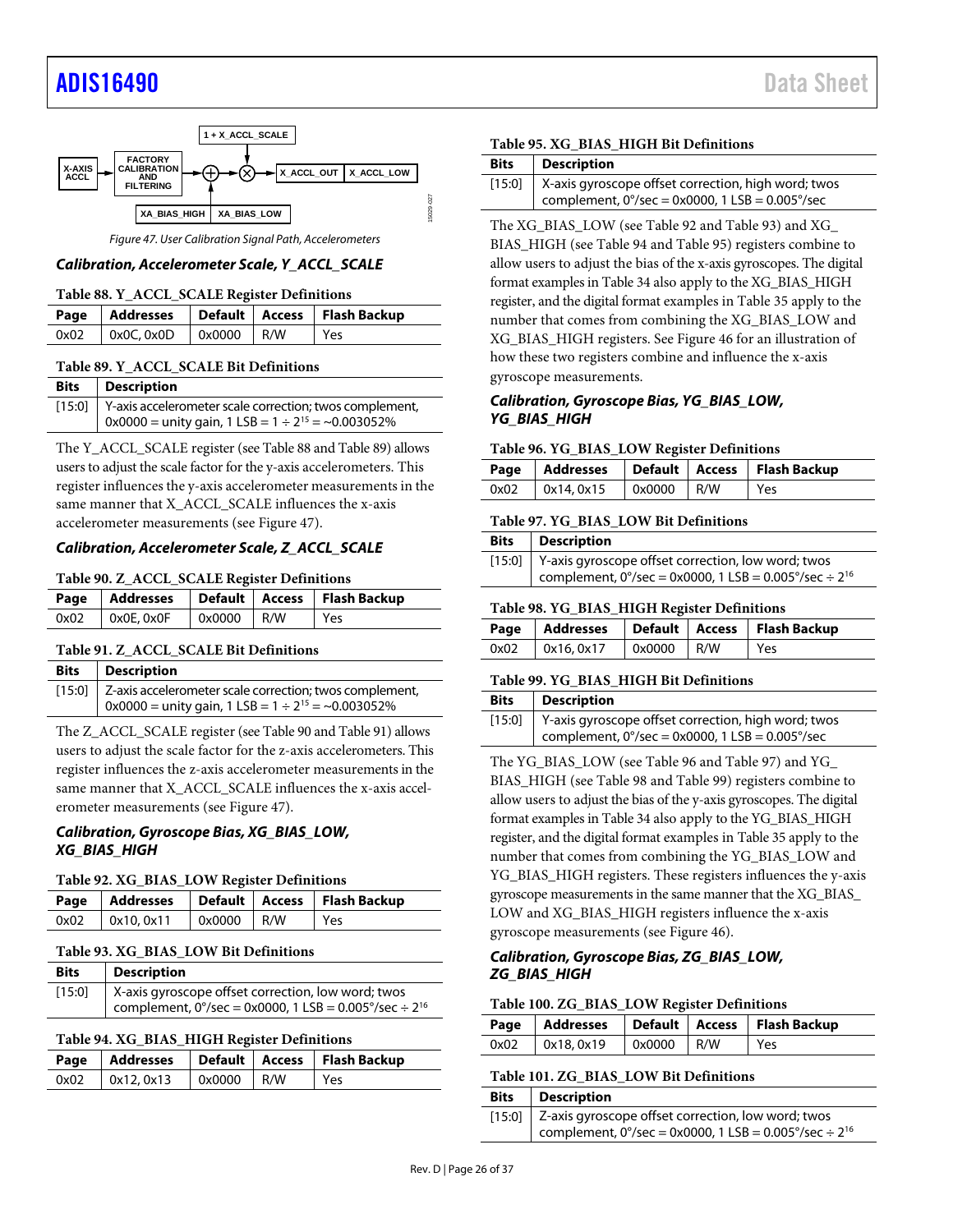# [ADIS16490](https://www.analog.com/ADIS16490?doc=ADIS16490.pdf) Data Sheet



*Figure 47. User Calibration Signal Path, Accelerometers*

# <span id="page-25-0"></span>*Calibration, Accelerometer Scale, Y\_ACCL\_SCALE*

<span id="page-25-2"></span>

| Table 88. Y_ACCL_SCALE Register Definitions |                           |  |  |                                                    |
|---------------------------------------------|---------------------------|--|--|----------------------------------------------------|
|                                             |                           |  |  | Page   Addresses   Default   Access   Flash Backup |
| 0x02                                        | $0x0C, 0x0D$ $0x0000$ R/W |  |  | Yes                                                |

#### <span id="page-25-3"></span>**Table 89. Y\_ACCL\_SCALE Bit Definitions**

| <b>Bits</b> | <b>Description</b>                                             |
|-------------|----------------------------------------------------------------|
|             | [15:0] Y-axis accelerometer scale correction; twos complement, |
|             | $0x0000 =$ unity gain, 1 LSB = $1 \div 2^{15} = -0.003052\%$   |

The Y\_ACCL\_SCALE register (se[e Table 88](#page-25-2) an[d Table 89\)](#page-25-3) allows users to adjust the scale factor for the y-axis accelerometers. This register influences the y-axis accelerometer measurements in the same manner that X\_ACCL\_SCALE influences the x-axis accelerometer measurements (see [Figure 47\)](#page-25-0).

# *Calibration, Accelerometer Scale, Z\_ACCL\_SCALE*

#### <span id="page-25-4"></span>**Table 90. Z\_ACCL\_SCALE Register Definitions**

|      |                 |              | Page   Addresses   Default   Access   Flash Backup |
|------|-----------------|--------------|----------------------------------------------------|
| 0x02 | $0x0E$ , $0x0F$ | $0x0000$ R/W | Yes                                                |

#### <span id="page-25-5"></span>**Table 91. Z\_ACCL\_SCALE Bit Definitions**

| <b>Bits</b>   Description                                      |
|----------------------------------------------------------------|
| [15:0] Z-axis accelerometer scale correction; twos complement, |
| $0x0000 =$ unity gain, 1 LSB = $1 \div 2^{15} = -0.003052\%$   |

The Z\_ACCL\_SCALE register (se[e Table 90](#page-25-4) an[d Table 91\)](#page-25-5) allows users to adjust the scale factor for the z-axis accelerometers. This register influences the z-axis accelerometer measurements in the same manner that X\_ACCL\_SCALE influences the x-axis accelerometer measurements (se[e Figure 47\)](#page-25-0).

#### *Calibration, Gyroscope Bias, XG\_BIAS\_LOW, XG\_BIAS\_HIGH*

<span id="page-25-6"></span>**Table 92. XG\_BIAS\_LOW Register Definitions**

|                                        |  | Page   Addresses   Default   Access   Flash Backup |
|----------------------------------------|--|----------------------------------------------------|
| $0x02$   $0x10, 0x11$   $0x0000$   R/W |  | Yes                                                |

#### <span id="page-25-1"></span>**Table 93. XG\_BIAS\_LOW Bit Definitions**

| <b>Bits</b> | <b>Description</b>                                                              |
|-------------|---------------------------------------------------------------------------------|
| [15:0]      | X-axis gyroscope offset correction, low word; twos                              |
|             | complement, $0^{\circ}/sec = 0x0000$ , 1 LSB = 0.005 $^{\circ}/sec \div 2^{16}$ |

#### <span id="page-25-7"></span>**Table 94. XG\_BIAS\_HIGH Register Definitions**

|  |                   |                       |  | Page   Addresses   Default   Access   Flash Backup |  |
|--|-------------------|-----------------------|--|----------------------------------------------------|--|
|  | $0x02$ 0x12, 0x13 | $\sqrt{2}$ 0x0000 R/W |  | Yes                                                |  |

#### <span id="page-25-8"></span>**Table 95. XG\_BIAS\_HIGH Bit Definitions**

| <b>Bits</b> | <b>Description</b>                                         |
|-------------|------------------------------------------------------------|
|             | [15:0] X-axis gyroscope offset correction, high word; twos |
|             | complement, $0^{\circ}/sec = 0x0000$ , 1 LSB = 0.005°/sec  |

The XG\_BIAS\_LOW (see [Table 92](#page-25-6) an[d Table 93\)](#page-25-1) and XG\_ BIAS\_HIGH (se[e Table 94](#page-25-7) an[d Table 95\)](#page-25-8) registers combine to allow users to adjust the bias of the x-axis gyroscopes. The digital format examples i[n Table 34](#page-20-6) also apply to the XG\_BIAS\_HIGH register, and the digital format examples in [Table 35](#page-20-7) apply to the number that comes from combining the XG\_BIAS\_LOW and XG\_BIAS\_HIGH registers. See [Figure 46](#page-24-1) for an illustration of how these two registers combine and influence the x-axis gyroscope measurements.

### *Calibration, Gyroscope Bias, YG\_BIAS\_LOW, YG\_BIAS\_HIGH*

#### <span id="page-25-9"></span>**Table 96. YG\_BIAS\_LOW Register Definitions**

|      |            |              | Page   Addresses   Default   Access   Flash Backup |
|------|------------|--------------|----------------------------------------------------|
| 0x02 | 0x14, 0x15 | $0x0000$ R/W | Yes                                                |

#### <span id="page-25-10"></span>**Table 97. YG\_BIAS\_LOW Bit Definitions**

| Bits   Description                                                          |
|-----------------------------------------------------------------------------|
| [15:0] Y-axis gyroscope offset correction, low word; twos                   |
| complement, $0^{\circ}/sec = 0x0000$ , 1 LSB = 0.005°/sec ÷ 2 <sup>16</sup> |

#### <span id="page-25-11"></span>**Table 98. YG\_BIAS\_HIGH Register Definitions**

|      |           |              | Page   Addresses   Default   Access   Flash Backup |
|------|-----------|--------------|----------------------------------------------------|
| 0x02 | 0x16.0x17 | $0x0000$ R/W | Yes                                                |

#### <span id="page-25-12"></span>**Table 99. YG\_BIAS\_HIGH Bit Definitions**

| <b>Bits</b> | <b>Description</b>                                                                                                                |
|-------------|-----------------------------------------------------------------------------------------------------------------------------------|
|             | [15:0] Y-axis gyroscope offset correction, high word; twos<br>complement, $0^{\circ}/sec = 0x0000$ , 1 LSB = 0.005 $^{\circ}/sec$ |

The YG\_BIAS\_LOW (see [Table 96](#page-25-9) an[d Table 97\)](#page-25-10) and YG\_ BIAS\_HIGH (se[e Table 98](#page-25-11) an[d Table 99\)](#page-25-12) registers combine to allow users to adjust the bias of the y-axis gyroscopes. The digital format examples i[n Table 34](#page-20-6) also apply to the YG\_BIAS\_HIGH register, and the digital format examples in [Table 35](#page-20-7) apply to the number that comes from combining the YG\_BIAS\_LOW and YG\_BIAS\_HIGH registers. These registers influences the y-axis gyroscope measurements in the same manner that the XG\_BIAS\_ LOW and XG\_BIAS\_HIGH registers influence the x-axis gyroscope measurements (se[e Figure 46\)](#page-24-1).

### *Calibration, Gyroscope Bias, ZG\_BIAS\_LOW, ZG\_BIAS\_HIGH*

#### <span id="page-25-13"></span>**Table 100. ZG\_BIAS\_LOW Register Definitions**

|                                    |  | Page   Addresses   Default   Access   Flash Backup |
|------------------------------------|--|----------------------------------------------------|
| $0x02$ $0x18, 0x19$ $0x0000$ $R/W$ |  | Yes                                                |

<span id="page-25-14"></span>

| Table 101. ZG BIAS LOW Bit Definitions |  |
|----------------------------------------|--|

| <b>Bits</b>   Description                                                       |
|---------------------------------------------------------------------------------|
| [15:0] Z-axis gyroscope offset correction, low word; twos                       |
| complement, $0^{\circ}/sec = 0x0000$ , 1 LSB = 0.005 $^{\circ}/sec \div 2^{16}$ |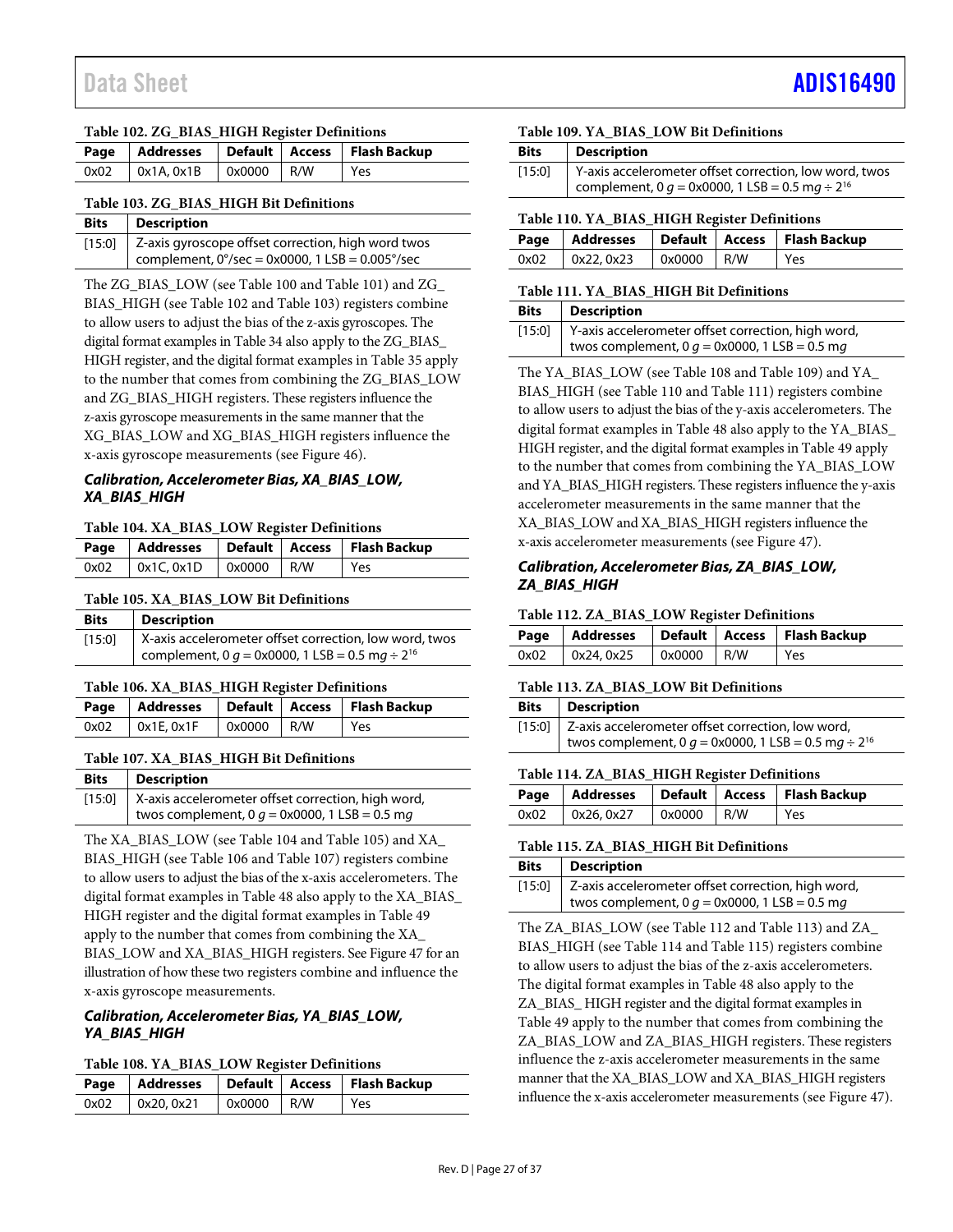### <span id="page-26-0"></span>**Table 102. ZG\_BIAS\_HIGH Register Definitions**

|                                    |  |  | Page   Addresses   Default   Access   Flash Backup |  |  |
|------------------------------------|--|--|----------------------------------------------------|--|--|
| $0x02$   0x1A, 0x1B   0x0000   R/W |  |  | Yes                                                |  |  |

#### <span id="page-26-1"></span>**Table 103. ZG\_BIAS\_HIGH Bit Definitions**

| <b>Bits</b> | <b>Description</b>                                                                                                     |
|-------------|------------------------------------------------------------------------------------------------------------------------|
|             | [15:0] Z-axis gyroscope offset correction, high word twos<br>complement, $0^{\circ}/sec = 0x0000$ , 1 LSB = 0.005°/sec |

The ZG\_BIAS\_LOW (se[e Table 100](#page-25-13) an[d Table 101\)](#page-25-14) and ZG\_ BIAS HIGH (se[e Table 102](#page-26-0) an[d Table 103\)](#page-26-1) registers combine to allow users to adjust the bias of the z-axis gyroscopes. The digital format examples i[n Table 34](#page-20-6) also apply to the ZG\_BIAS\_ HIGH register, and the digital format examples i[n Table 35](#page-20-7) apply to the number that comes from combining the ZG\_BIAS\_LOW and ZG\_BIAS\_HIGH registers. These registers influence the z-axis gyroscope measurements in the same manner that the XG\_BIAS\_LOW and XG\_BIAS\_HIGH registers influence the x-axis gyroscope measurements (see [Figure 46\)](#page-24-1).

# *Calibration, Accelerometer Bias, XA\_BIAS\_LOW, XA\_BIAS\_HIGH*

#### <span id="page-26-2"></span>**Table 104. XA\_BIAS\_LOW Register Definitions**

|      |           |              | Page   Addresses   Default   Access   Flash Backup |
|------|-----------|--------------|----------------------------------------------------|
| 0x02 | 0x1C.0x1D | $0x0000$ R/W | Yes                                                |

#### <span id="page-26-3"></span>**Table 105. XA\_BIAS\_LOW Bit Definitions**

| <b>Bits</b> | <b>Description</b>                                            |
|-------------|---------------------------------------------------------------|
| [15:0]      | X-axis accelerometer offset correction, low word, twos        |
|             | complement, 0 $q = 0x0000$ , 1 LSB = 0.5 mg ÷ 2 <sup>16</sup> |

#### <span id="page-26-4"></span>**Table 106. XA\_BIAS\_HIGH Register Definitions**

|                     |            | Page   Addresses   Default   Access   Flash Backup |
|---------------------|------------|----------------------------------------------------|
| $0x02$ $0x1E, 0x1F$ | 0x0000 R/W | Yes                                                |

#### <span id="page-26-5"></span>**Table 107. XA\_BIAS\_HIGH Bit Definitions**

| <b>Bits</b> | <b>Description</b>                                          |
|-------------|-------------------------------------------------------------|
|             | [15:0]   X-axis accelerometer offset correction, high word, |
|             | twos complement, 0 $q = 0$ x0000, 1 LSB = 0.5 mg            |

The XA\_BIAS\_LOW (see [Table 104](#page-26-2) an[d Table 105\)](#page-26-3) and XA\_ BIAS\_HIGH (se[e Table 106](#page-26-4) an[d Table 107\)](#page-26-5) registers combine to allow users to adjust the bias of the x-axis accelerometers. The digital format examples in [Table 48](#page-21-8) also apply to the XA\_BIAS\_ HIGH register and the digital format examples in [Table 49](#page-21-9) apply to the number that comes from combining the XA\_ BIAS\_LOW and XA\_BIAS\_HIGH registers. Se[e Figure 47](#page-25-0) for an illustration of how these two registers combine and influence the x-axis gyroscope measurements.

## *Calibration, Accelerometer Bias, YA\_BIAS\_LOW, YA\_BIAS\_HIGH*

#### <span id="page-26-6"></span>**Table 108. YA\_BIAS\_LOW Register Definitions**

|      |            |              | Page   Addresses   Default   Access   Flash Backup |
|------|------------|--------------|----------------------------------------------------|
| 0x02 | 0x20, 0x21 | $0x0000$ R/W | l Yes                                              |

#### <span id="page-26-7"></span>**Table 109. YA\_BIAS\_LOW Bit Definitions**

| <b>Bits</b> | <b>Description</b>                                            |
|-------------|---------------------------------------------------------------|
| [15:0]      | Y-axis accelerometer offset correction, low word, twos        |
|             | complement, 0 $q = 0x0000$ , 1 LSB = 0.5 mg ÷ 2 <sup>16</sup> |

#### <span id="page-26-8"></span>**Table 110. YA\_BIAS\_HIGH Register Definitions**

|                                        |  | Page   Addresses   Default   Access   Flash Backup |
|----------------------------------------|--|----------------------------------------------------|
| $0x02$   $0x22, 0x23$   $0x0000$   R/W |  | Yes                                                |

#### <span id="page-26-9"></span>**Table 111. YA\_BIAS\_HIGH Bit Definitions**

| <b>Bits</b>   Description                                   |
|-------------------------------------------------------------|
| [15:0]   Y-axis accelerometer offset correction, high word, |
| twos complement, 0 $g = 0 \times 0000$ , 1 LSB = 0.5 mg     |

The YA\_BIAS\_LOW (se[e Table 108](#page-26-6) an[d Table 109\)](#page-26-7) and YA\_ BIAS\_HIGH (se[e Table 110](#page-26-8) an[d Table 111\)](#page-26-9) registers combine to allow users to adjust the bias of the y-axis accelerometers. The digital format examples in [Table 48](#page-21-8) also apply to the YA\_BIAS\_ HIGH register, and the digital format examples i[n Table 49](#page-21-9) apply to the number that comes from combining the YA\_BIAS\_LOW and YA\_BIAS\_HIGH registers. These registers influence the y-axis accelerometer measurements in the same manner that the XA\_BIAS\_LOW and XA\_BIAS\_HIGH registers influence the x-axis accelerometer measurements (se[e Figure 47\)](#page-25-0).

### *Calibration, Accelerometer Bias, ZA\_BIAS\_LOW, ZA\_BIAS\_HIGH*

#### <span id="page-26-10"></span>**Table 112. ZA\_BIAS\_LOW Register Definitions**

|                     |                            | Page   Addresses   Default   Access   Flash Backup |
|---------------------|----------------------------|----------------------------------------------------|
| $0x02$ $0x24, 0x25$ | $\sqrt{0 \times 0000}$ R/W | Yes                                                |

#### <span id="page-26-11"></span>**Table 113. ZA\_BIAS\_LOW Bit Definitions**

| Bits   Description                                                        |
|---------------------------------------------------------------------------|
| [15:0] Z-axis accelerometer offset correction, low word,                  |
| twos complement, 0 $q = 0 \times 0000$ , 1 LSB = 0.5 mg ÷ 2 <sup>16</sup> |

#### <span id="page-26-12"></span>**Table 114. ZA\_BIAS\_HIGH Register Definitions**

|  |            | Page   Addresses   Default   Access   Flash Backup |
|--|------------|----------------------------------------------------|
|  | 0x0000 R/W | l Yes                                              |

#### <span id="page-26-13"></span>**Table 115. ZA\_BIAS\_HIGH Bit Definitions**

| <b>Bits</b> | <b>Description</b>                                        |
|-------------|-----------------------------------------------------------|
|             | [15:0] Z-axis accelerometer offset correction, high word, |
|             | twos complement, $0 g = 0x0000$ , 1 LSB = 0.5 mg          |

The ZA\_BIAS\_LOW (se[e Table 112](#page-26-10) and [Table 113\)](#page-26-11) and ZA\_ BIAS\_HIGH (see [Table 114](#page-26-12) and [Table 115\)](#page-26-13) registers combine to allow users to adjust the bias of the z-axis accelerometers. The digital format examples in [Table 48](#page-21-8) also apply to the ZA\_BIAS\_ HIGH register and the digital format examples in [Table 49](#page-21-9) apply to the number that comes from combining the ZA\_BIAS\_LOW and ZA\_BIAS\_HIGH registers. These registers influence the z-axis accelerometer measurements in the same manner that the XA\_BIAS\_LOW and XA\_BIAS\_HIGH registers influence the x-axis accelerometer measurements (se[e Figure 47\)](#page-25-0).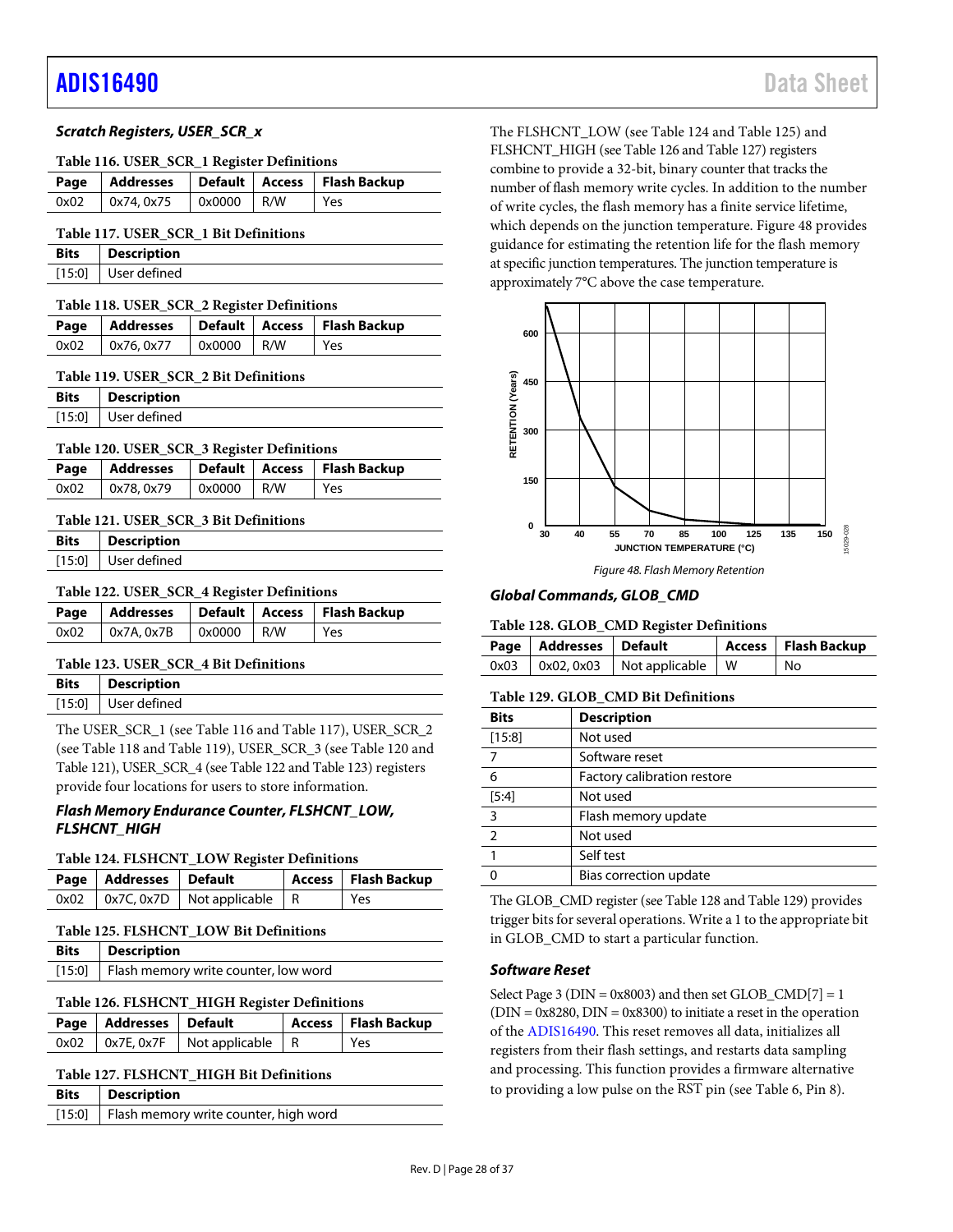#### *Scratch Registers, USER\_SCR\_x*

#### <span id="page-27-1"></span>**Table 116. USER\_SCR\_1 Register Definitions**

|  |                                        |  |  | Page   Addresses   Default   Access   Flash Backup |  |
|--|----------------------------------------|--|--|----------------------------------------------------|--|
|  | $0x02$   $0x74, 0x75$   $0x0000$   R/W |  |  | Yes                                                |  |

#### <span id="page-27-2"></span>**Table 117. USER\_SCR\_1 Bit Definitions**

| <b>Bits</b> | <b>Description</b>  |
|-------------|---------------------|
|             | [15:0] User defined |

<span id="page-27-3"></span>

| Table 118. USER_SCR_2 Register Definitions         |                                        |  |  |       |  |
|----------------------------------------------------|----------------------------------------|--|--|-------|--|
| Page   Addresses   Default   Access   Flash Backup |                                        |  |  |       |  |
|                                                    | $0x02$   $0x76, 0x77$   $0x0000$   R/W |  |  | l Yes |  |

<span id="page-27-4"></span>**Table 119. USER\_SCR\_2 Bit Definitions**

| <b>Bits</b> | <b>Description</b>    |
|-------------|-----------------------|
|             | $[15:0]$ User defined |

#### <span id="page-27-5"></span>**Table 120. USER\_SCR\_3 Register Definitions**

|      |            |            | Page   Addresses   Default   Access   Flash Backup |
|------|------------|------------|----------------------------------------------------|
| 0x02 | 0x78, 0x79 | 0x0000 R/W | l Yes                                              |

#### <span id="page-27-6"></span>**Table 121. USER\_SCR\_3 Bit Definitions**

| Bits | <b>Description</b>  |
|------|---------------------|
|      | [15:0] User defined |

# <span id="page-27-7"></span>**Table 122. USER\_SCR\_4 Register Definitions**

|                                        |  | Page   Addresses   Default   Access   Flash Backup |
|----------------------------------------|--|----------------------------------------------------|
| $0x02$   $0x7A, 0x7B$   $0x0000$   R/W |  | l Yes                                              |

#### <span id="page-27-8"></span>**Table 123. USER\_SCR\_4 Bit Definitions**

| <b>Bits</b> Description |
|-------------------------|
| $[15:0]$ User defined   |
|                         |

The USER\_SCR\_1 (see [Table 116](#page-27-1) an[d Table 117\)](#page-27-2), USER\_SCR\_2 (see [Table 118](#page-27-3) an[d Table 119\)](#page-27-4), USER\_SCR\_3 (se[e Table 120](#page-27-5) and [Table 121\)](#page-27-6), USER\_SCR\_4 (se[e Table 122](#page-27-7) an[d Table 123\)](#page-27-8) registers provide four locations for users to store information.

#### *Flash Memory Endurance Counter, FLSHCNT\_LOW, FLSHCNT\_HIGH*

#### <span id="page-27-9"></span>**Table 124. FLSHCNT\_LOW Register Definitions**

| Page   Addresses   Default |                                               | Access   Flash Backup |
|----------------------------|-----------------------------------------------|-----------------------|
|                            | $0x02$   $0x7C$ , $0x7D$   Not applicable   R | l Yes                 |

#### <span id="page-27-10"></span>**Table 125. FLSHCNT\_LOW Bit Definitions**

| <b>Bits</b>   Description                     |
|-----------------------------------------------|
| [15:0]   Flash memory write counter, low word |

#### <span id="page-27-11"></span>**Table 126. FLSHCNT\_HIGH Register Definitions**

| Page   Addresses   Default |                                               | Access   Flash Backup |
|----------------------------|-----------------------------------------------|-----------------------|
|                            | $0x02$   $0x7E$ , $0x7F$   Not applicable   R | l Yes                 |

#### <span id="page-27-12"></span>**Table 127. FLSHCNT\_HIGH Bit Definitions**

| Bits | <b>Description</b>                           |
|------|----------------------------------------------|
|      | [15:0] Flash memory write counter, high word |

The FLSHCNT\_LOW (se[e Table 124](#page-27-9) an[d Table 125\)](#page-27-10) and FLSHCNT\_HIGH (se[e Table 126](#page-27-11) an[d Table 127\)](#page-27-12) registers combine to provide a 32-bit, binary counter that tracks the number of flash memory write cycles. In addition to the number of write cycles, the flash memory has a finite service lifetime, which depends on the junction temperature[. Figure 48](#page-27-13) provides guidance for estimating the retention life for the flash memory at specific junction temperatures. The junction temperature is approximately 7°C above the case temperature.



#### <span id="page-27-13"></span>*Global Commands, GLOB\_CMD*

#### <span id="page-27-14"></span>**Table 128. GLOB\_CMD Register Definitions**

| Page   Addresses   Default |                                            | <b>Access</b> Flash Backup |
|----------------------------|--------------------------------------------|----------------------------|
|                            | $0x03$   $0x02, 0x03$   Not applicable   W | l No                       |

#### <span id="page-27-0"></span>**Table 129. GLOB\_CMD Bit Definitions**

| <b>Bits</b>   | <b>Description</b>          |
|---------------|-----------------------------|
| [15:8]        | Not used                    |
| 7             | Software reset              |
| 6             | Factory calibration restore |
| [5:4]         | Not used                    |
| 3             | Flash memory update         |
| $\mathcal{P}$ | Not used                    |
|               | Self test                   |
|               | Bias correction update      |

The GLOB\_CMD register (se[e Table 128](#page-27-14) an[d Table 129\)](#page-27-0) provides trigger bits for several operations. Write a 1 to the appropriate bit in GLOB\_CMD to start a particular function.

### *Software Reset*

Select Page 3 ( $DIN = 0x8003$ ) and then set  $GLOB\_CMD[7] = 1$  $(DIN = 0x8280, DIN = 0x8300)$  to initiate a reset in the operation of the [ADIS16490.](http://www.analog.com/ADIS16490?doc=ADIS16490.pdf) This reset removes all data, initializes all registers from their flash settings, and restarts data sampling and processing. This function provides a firmware alternative to providing a low pulse on the RST pin (se[e Table 6,](#page-7-1) Pin 8).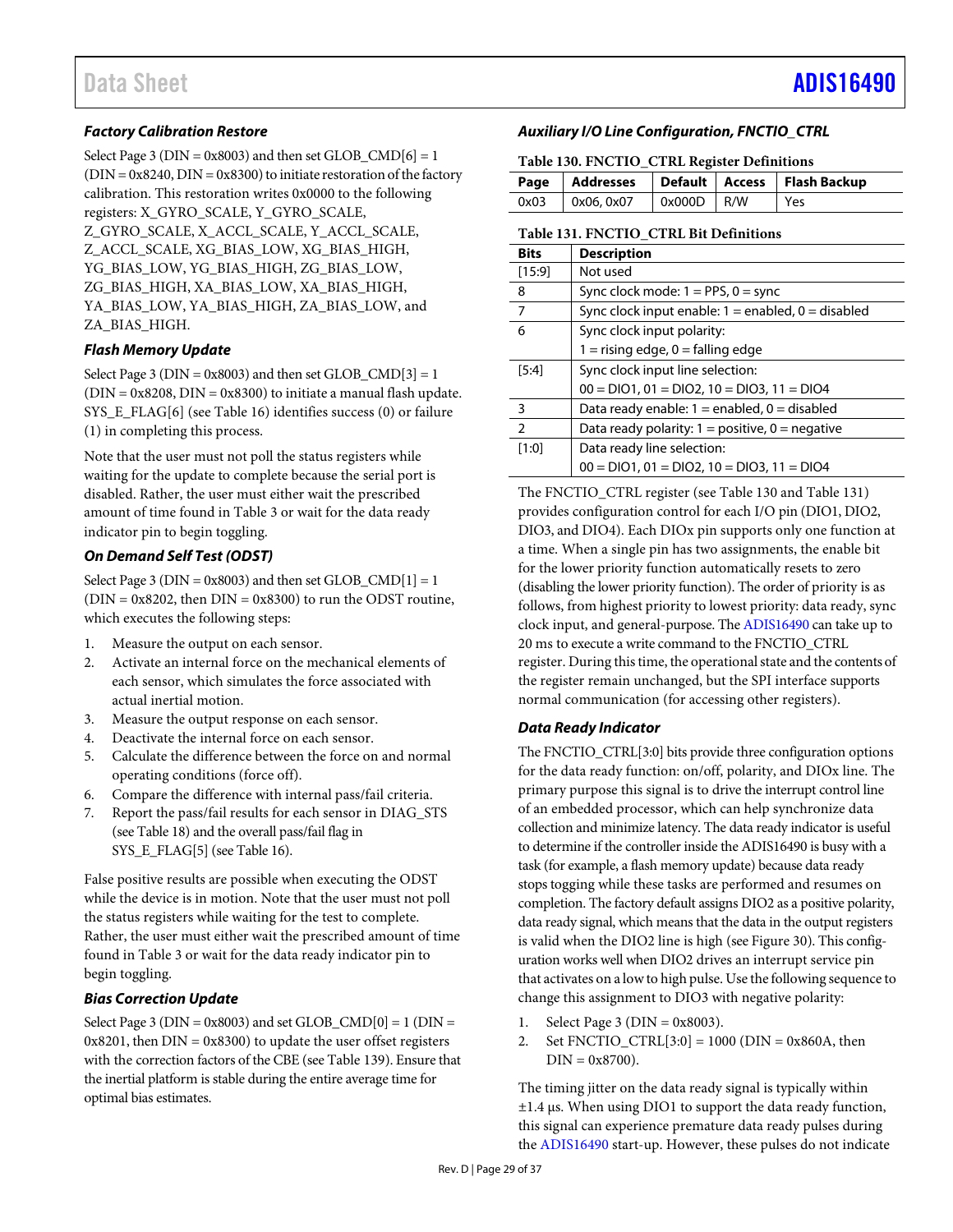# *Factory Calibration Restore*

Select Page 3 ( $DIN = 0x8003$ ) and then set  $GLOB\_CMD[6] = 1$  $(DIN = 0x8240, DIN = 0x8300)$  to initiate restoration of the factory calibration. This restoration writes 0x0000 to the following registers: X\_GYRO\_SCALE, Y\_GYRO\_SCALE, Z\_GYRO\_SCALE, X\_ACCL\_SCALE, Y\_ACCL\_SCALE, Z\_ACCL\_SCALE, XG\_BIAS\_LOW, XG\_BIAS\_HIGH, YG\_BIAS\_LOW, YG\_BIAS\_HIGH, ZG\_BIAS\_LOW, ZG\_BIAS\_HIGH, XA\_BIAS\_LOW, XA\_BIAS\_HIGH, YA\_BIAS\_LOW, YA\_BIAS\_HIGH, ZA\_BIAS\_LOW, and ZA\_BIAS\_HIGH.

# *Flash Memory Update*

Select Page 3 ( $DIN = 0x8003$ ) and then set GLOB  $CMD[3] = 1$  $(DIN = 0x8208, DIN = 0x8300)$  to initiate a manual flash update. SYS\_E\_FLAG[6] (se[e Table 16\)](#page-18-1) identifies success (0) or failure (1) in completing this process.

Note that the user must not poll the status registers while waiting for the update to complete because the serial port is disabled. Rather, the user must either wait the prescribed amount of time found i[n Table 3](#page-4-1) or wait for the data ready indicator pin to begin toggling.

# *On Demand Self Test (ODST)*

Select Page 3 ( $DIN = 0x8003$ ) and then set  $GLOB_CMD[1] = 1$  $(DIN = 0x8202,$  then  $DIN = 0x8300)$  to run the ODST routine, which executes the following steps:

- 1. Measure the output on each sensor.
- 2. Activate an internal force on the mechanical elements of each sensor, which simulates the force associated with actual inertial motion.
- 3. Measure the output response on each sensor.
- 4. Deactivate the internal force on each sensor.
- 5. Calculate the difference between the force on and normal operating conditions (force off).
- 6. Compare the difference with internal pass/fail criteria.
- 7. Report the pass/fail results for each sensor in DIAG\_STS (se[e Table 18\)](#page-19-2) and the overall pass/fail flag in SYS E\_FLAG[5] (se[e Table 16\)](#page-18-1).

False positive results are possible when executing the ODST while the device is in motion. Note that the user must not poll the status registers while waiting for the test to complete. Rather, the user must either wait the prescribed amount of time found in [Table 3](#page-4-1) or wait for the data ready indicator pin to begin toggling.

# *Bias Correction Update*

Select Page 3 ( $DIN = 0x8003$ ) and set  $GLOB\_CMD[0] = 1$  ( $DIN =$  $0x8201$ , then  $DIN = 0x8300$ ) to update the user offset registers with the correction factors of the CBE (se[e Table 139\)](#page-30-2). Ensure that the inertial platform is stable during the entire average time for optimal bias estimates.

# *Auxiliary I/O Line Configuration, FNCTIO\_CTRL*

<span id="page-28-1"></span>**Table 130. FNCTIO\_CTRL Register Definitions**

|      |            |              |  | Page   Addresses   Default   Access   Flash Backup |  |  |
|------|------------|--------------|--|----------------------------------------------------|--|--|
| 0x03 | 0x06, 0x07 | $0x000D$ R/W |  | Yes                                                |  |  |

#### <span id="page-28-0"></span>**Table 131. FNCTIO\_CTRL Bit Definitions**

| <b>Bits</b>    | <b>Description</b>                                     |  |  |
|----------------|--------------------------------------------------------|--|--|
| [15:9]         | Not used                                               |  |  |
| 8              | Sync clock mode: $1 = PPS$ , $0 = sync$                |  |  |
| 7              | Sync clock input enable: $1 =$ enabled, $0 =$ disabled |  |  |
| 6              | Sync clock input polarity:                             |  |  |
|                | $1 =$ rising edge, $0 =$ falling edge                  |  |  |
| $[5:4]$        | Sync clock input line selection:                       |  |  |
|                | $00 = DIO1$ , $01 = DIO2$ , $10 = DIO3$ , $11 = DIO4$  |  |  |
| 3              | Data ready enable: $1 =$ enabled, $0 =$ disabled       |  |  |
| $\overline{2}$ | Data ready polarity: $1 =$ positive, $0 =$ negative    |  |  |
| [1:0]          | Data ready line selection:                             |  |  |
|                | $00 = DIO1, 01 = DIO2, 10 = DIO3, 11 = DIO4$           |  |  |

The FNCTIO\_CTRL register (se[e Table 130](#page-28-1) and [Table 131\)](#page-28-0) provides configuration control for each I/O pin (DIO1, DIO2, DIO3, and DIO4). Each DIOx pin supports only one function at a time. When a single pin has two assignments, the enable bit for the lower priority function automatically resets to zero (disabling the lower priority function). The order of priority is as follows, from highest priority to lowest priority: data ready, sync clock input, and general-purpose. Th[e ADIS16490](http://www.analog.com/ADIS16490?doc=ADIS16490.pdf) can take up to 20 ms to execute a write command to the FNCTIO\_CTRL register. During this time, the operational state and the contents of the register remain unchanged, but the SPI interface supports normal communication (for accessing other registers).

# *Data Ready Indicator*

The FNCTIO\_CTRL[3:0] bits provide three configuration options for the data ready function: on/off, polarity, and DIOx line. The primary purpose this signal is to drive the interrupt control line of an embedded processor, which can help synchronize data collection and minimize latency. The data ready indicator is useful to determine if the controller inside the ADIS16490 is busy with a task (for example, a flash memory update) because data ready stops togging while these tasks are performed and resumes on completion. The factory default assigns DIO2 as a positive polarity, data ready signal, which means that the data in the output registers is valid when the DIO2 line is high (se[e Figure 30\)](#page-13-5). This configuration works well when DIO2 drives an interrupt service pin that activates on a low to high pulse. Use the following sequence to change this assignment to DIO3 with negative polarity:

- 1. Select Page 3 ( $DIN = 0x8003$ ).
- 2. Set FNCTIO\_CTRL[3:0] = 1000 (DIN = 0x860A, then  $DIN = 0x8700$ ).

The timing jitter on the data ready signal is typically within ±1.4 µs. When using DIO1 to support the data ready function, this signal can experience premature data ready pulses during the [ADIS16490](http://www.analog.com/ADIS16490?doc=ADIS16490.pdf) start-up. However, these pulses do not indicate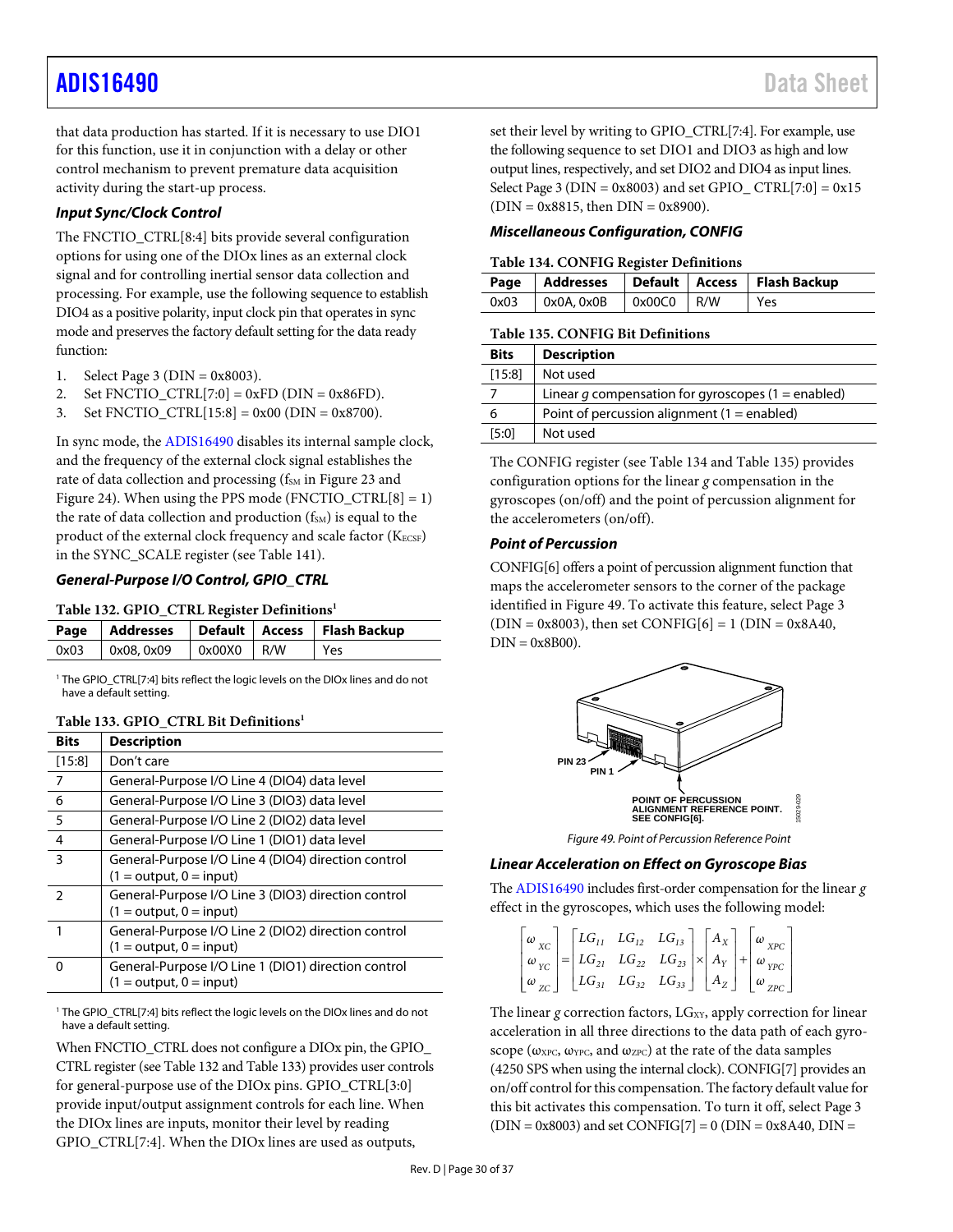that data production has started. If it is necessary to use DIO1 for this function, use it in conjunction with a delay or other control mechanism to prevent premature data acquisition activity during the start-up process.

# *Input Sync/Clock Control*

The FNCTIO\_CTRL[8:4] bits provide several configuration options for using one of the DIOx lines as an external clock signal and for controlling inertial sensor data collection and processing. For example, use the following sequence to establish DIO4 as a positive polarity, input clock pin that operates in sync mode and preserves the factory default setting for the data ready function:

- 1. Select Page 3 ( $DIN = 0x8003$ ).
- 2. Set FNCTIO\_CTRL[7:0] =  $0xFD$  (DIN =  $0x86FD$ ).
- 3. Set FNCTIO\_CTRL $[15:8] = 0x00$  (DIN = 0x8700).

In sync mode, the [ADIS16490](http://www.analog.com/ADIS16490?doc=ADIS16490.pdf) disables its internal sample clock, and the frequency of the external clock signal establishes the rate of data collection and processing (fsM i[n Figure 23](#page-11-3) and [Figure 24\)](#page-11-4). When using the PPS mode (FNCTIO\_CTRL[8] = 1) the rate of data collection and production  $(f<sub>SM</sub>)$  is equal to the product of the external clock frequency and scale factor (KECSF) in the SYNC\_SCALE register (se[e Table](#page-30-0) 141).

# *General-Purpose I/O Control, GPIO\_CTRL*

#### <span id="page-29-1"></span>**Table 132. GPIO\_CTRL Register Definitions1**

|      |           |              | Page   Addresses   Default   Access   Flash Backup |
|------|-----------|--------------|----------------------------------------------------|
| 0x03 | 0x08,0x09 | $0x00X0$ R/W | Yes                                                |

<sup>1</sup> The GPIO\_CTRL[7:4] bits reflect the logic levels on the DIOx lines and do not have a default setting.

# <span id="page-29-2"></span>**Table 133. GPIO\_CTRL Bit Definitions1**

| <b>Bits</b>   | <b>Description</b>                                                               |
|---------------|----------------------------------------------------------------------------------|
| [15:8]        | Don't care                                                                       |
| 7             | General-Purpose I/O Line 4 (DIO4) data level                                     |
| 6             | General-Purpose I/O Line 3 (DIO3) data level                                     |
| 5             | General-Purpose I/O Line 2 (DIO2) data level                                     |
| 4             | General-Purpose I/O Line 1 (DIO1) data level                                     |
| 3             | General-Purpose I/O Line 4 (DIO4) direction control<br>$(1 = output, 0 = input)$ |
| $\mathcal{P}$ | General-Purpose I/O Line 3 (DIO3) direction control<br>$(1 = output, 0 = input)$ |
| 1             | General-Purpose I/O Line 2 (DIO2) direction control<br>$(1 = output, 0 = input)$ |
| O             | General-Purpose I/O Line 1 (DIO1) direction control<br>$(1 = output, 0 = input)$ |

<sup>1</sup> The GPIO\_CTRL[7:4] bits reflect the logic levels on the DIOx lines and do not have a default setting.

When FNCTIO\_CTRL does not configure a DIOx pin, the GPIO CTRL register (se[e Table 132](#page-29-1) an[d Table 133\)](#page-29-2) provides user controls for general-purpose use of the DIOx pins. GPIO\_CTRL[3:0] provide input/output assignment controls for each line. When the DIOx lines are inputs, monitor their level by reading GPIO\_CTRL[7:4]. When the DIOx lines are used as outputs,

set their level by writing to GPIO\_CTRL[7:4]. For example, use the following sequence to set DIO1 and DIO3 as high and low output lines, respectively, and set DIO2 and DIO4 as input lines. Select Page 3 ( $DIN = 0x8003$ ) and set GPIO\_CTRL[7:0] =  $0x15$  $(DIN = 0x8815, then DIN = 0x8900).$ 

### *Miscellaneous Configuration, CONFIG*

#### <span id="page-29-3"></span>**Table 134. CONFIG Register Definitions**

|  |                                        |  | Page   Addresses   Default   Access   Flash Backup |
|--|----------------------------------------|--|----------------------------------------------------|
|  | $0x03$   $0x0A, 0x0B$   $0x00C0$   R/W |  | Yes                                                |

#### <span id="page-29-0"></span>**Table 135. CONFIG Bit Definitions**

| <b>Bits</b> | <b>Description</b>                                 |
|-------------|----------------------------------------------------|
| [15:8]      | Not used                                           |
|             | Linear q compensation for gyroscopes (1 = enabled) |
| 6           | Point of percussion alignment ( $1 =$ enabled)     |
| [5:0]       | Not used                                           |

The CONFIG register (se[e Table 134](#page-29-3) an[d Table 135\)](#page-29-0) provides configuration options for the linear *g* compensation in the gyroscopes (on/off) and the point of percussion alignment for the accelerometers (on/off).

# *Point of Percussion*

CONFIG[6] offers a point of percussion alignment function that maps the accelerometer sensors to the corner of the package identified i[n Figure 49.](#page-29-4) To activate this feature, select Page 3  $(DIN = 0x8003)$ , then set CONFIG[6] = 1 (DIN = 0x8A40,  $DIN = 0x8B00$ ).



*Figure 49. Point of Percussion Reference Point*

# <span id="page-29-4"></span>*Linear Acceleration on Effect on Gyroscope Bias*

Th[e ADIS16490](http://www.analog.com/ADIS16490?doc=ADIS16490.pdf) includes first-order compensation for the linear *g* effect in the gyroscopes, which uses the following model:

|  |  | $\begin{bmatrix} \omega_{XC} \\ \omega_{YC} \\ \omega_{ZC} \end{bmatrix} = \begin{bmatrix} LG_{11} & LG_{12} & LG_{13} \\ LG_{21} & LG_{22} & LG_{23} \\ LG_{31} & LG_{32} & LG_{33} \end{bmatrix} \times \begin{bmatrix} A_X \\ A_Y \\ A_Z \end{bmatrix} + \begin{bmatrix} \omega_{XPC} \\ \omega_{YPC} \\ \omega_{ZPC} \end{bmatrix}$ |  |  |
|--|--|-----------------------------------------------------------------------------------------------------------------------------------------------------------------------------------------------------------------------------------------------------------------------------------------------------------------------------------------|--|--|

The linear *g* correction factors, LG<sub>XY</sub>, apply correction for linear acceleration in all three directions to the data path of each gyroscope ( $\omega_{\text{XPC}}$ ,  $\omega_{\text{YPC}}$ , and  $\omega_{\text{ZPC}}$ ) at the rate of the data samples (4250 SPS when using the internal clock). CONFIG[7] provides an on/off control for this compensation. The factory default value for this bit activates this compensation. To turn it off, select Page 3  $(DIN = 0x8003)$  and set CONFIG[7] = 0 (DIN = 0x8A40, DIN =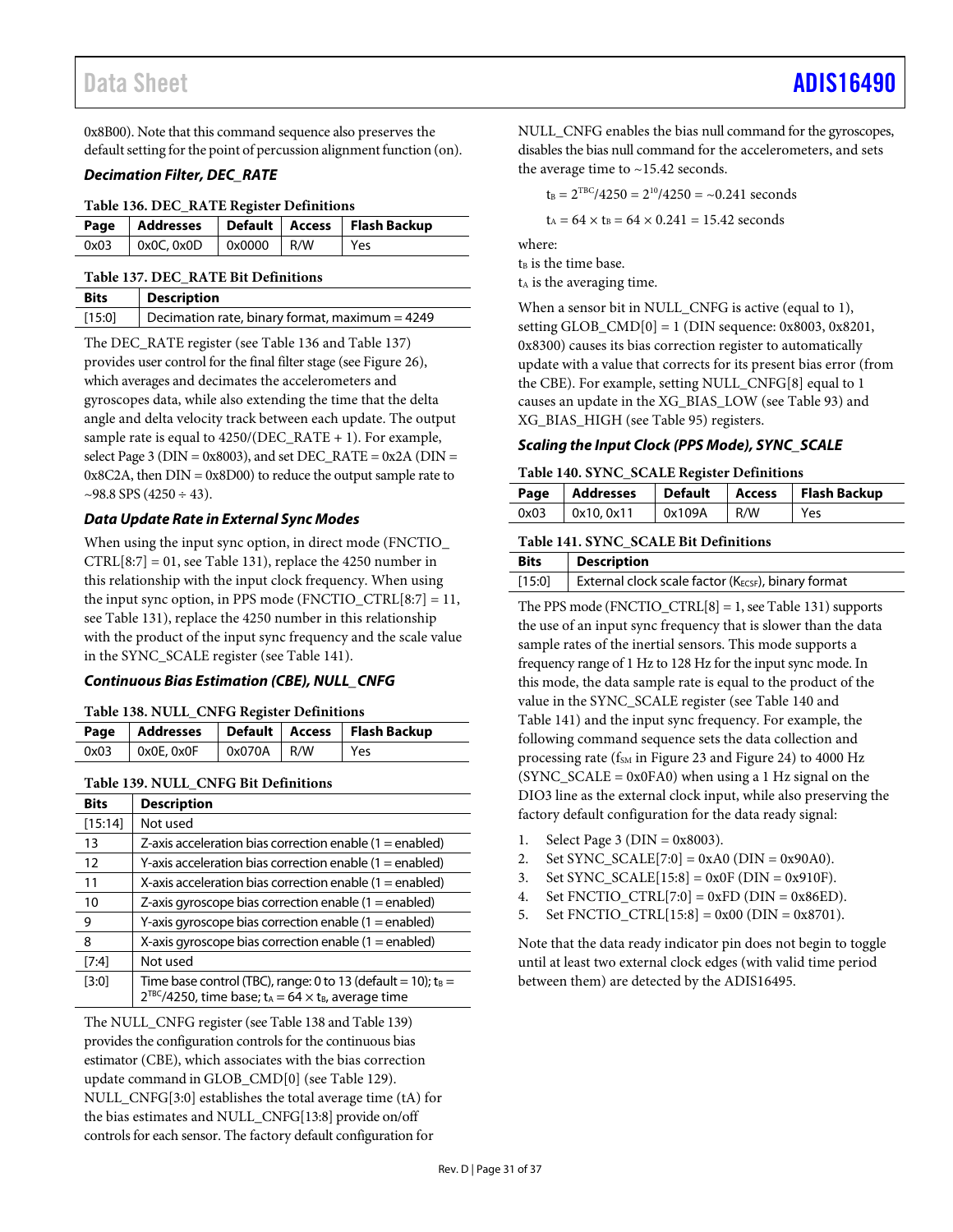0x8B00). Note that this command sequence also preserves the default setting for the point of percussion alignment function (on).

### *Decimation Filter, DEC\_RATE*

<span id="page-30-3"></span>

|      |                                               |  | Page   Addresses   Default   Access   Flash Backup |
|------|-----------------------------------------------|--|----------------------------------------------------|
| 0x03 | $\vert$ 0x0C, 0x0D $\vert$ 0x0000 $\vert$ R/W |  | Yes                                                |

<span id="page-30-1"></span>**Table 137. DEC\_RATE Bit Definitions**

| <b>Bits</b> | <b>Description</b>                               |
|-------------|--------------------------------------------------|
| [15:0]      | Decimation rate, binary format, maximum $=$ 4249 |

The DEC\_RATE register (see [Table 136](#page-30-3) and [Table 137\)](#page-30-1) provides user control for the final filter stage (see [Figure 26\)](#page-12-1), which averages and decimates the accelerometers and gyroscopes data, while also extending the time that the delta angle and delta velocity track between each update. The output sample rate is equal to 4250/(DEC\_RATE + 1). For example, select Page 3 ( $DIN = 0x8003$ ), and set DEC\_RATE =  $0x2A$  ( $DIN =$ 0x8C2A, then DIN = 0x8D00) to reduce the output sample rate to  $\sim$ 98.8 SPS (4250 ÷ 43).

# *Data Update Rate in External Sync Modes*

When using the input sync option, in direct mode (FNCTIO\_  $CTRL[8:7] = 01$ , see [Table 131\)](#page-28-0), replace the 4250 number in this relationship with the input clock frequency. When using the input sync option, in PPS mode (FNCTIO\_CTRL[8:7] = 11, see [Table 131\)](#page-28-0), replace the 4250 number in this relationship with the product of the input sync frequency and the scale value in the SYNC\_SCALE register (se[e Table](#page-30-0) 141).

# *Continuous Bias Estimation (CBE), NULL\_CNFG*

### <span id="page-30-4"></span>**Table 138. NULL\_CNFG Register Definitions**

|                                  |  | Page   Addresses   Default   Access   Flash Backup |
|----------------------------------|--|----------------------------------------------------|
| 0x03   0x0E, 0x0F   0x070A   R/W |  | <b>Yes</b>                                         |

# <span id="page-30-2"></span>**Table 139. NULL\_CNFG Bit Definitions**

| <b>Bits</b> | <b>Description</b>                                                                                                                                        |
|-------------|-----------------------------------------------------------------------------------------------------------------------------------------------------------|
| [15:14]     | Not used                                                                                                                                                  |
| 13          | Z-axis acceleration bias correction enable $(1 =$ enabled)                                                                                                |
| 12          | Y-axis acceleration bias correction enable $(1 =$ enabled)                                                                                                |
| 11          | X-axis acceleration bias correction enable $(1 =$ enabled)                                                                                                |
| 10          | Z-axis gyroscope bias correction enable $(1 =$ enabled)                                                                                                   |
| 9           | Y-axis gyroscope bias correction enable $(1 =$ enabled)                                                                                                   |
| 8           | X-axis gyroscope bias correction enable $(1 =$ enabled)                                                                                                   |
| [7:4]       | Not used                                                                                                                                                  |
| [3:0]       | Time base control (TBC), range: 0 to 13 (default = 10); $t_B =$<br>$2^{TBC}/4250$ , time base; t <sub>A</sub> = 64 $\times$ t <sub>B</sub> , average time |

The NULL\_CNFG register (se[e Table 138](#page-30-4) an[d Table 139\)](#page-30-2) provides the configuration controls for the continuous bias estimator (CBE), which associates with the bias correction update command in GLOB\_CMD[0] (se[e Table 129\)](#page-27-0). NULL\_CNFG[3:0] establishes the total average time (tA) for the bias estimates and NULL\_CNFG[13:8] provide on/off controls for each sensor. The factory default configuration for

NULL\_CNFG enables the bias null command for the gyroscopes, disables the bias null command for the accelerometers, and sets the average time to ~15.42 seconds.

 $t_B = 2^{TBC}/4250 = 2^{10}/4250 = -0.241$  seconds

 $t_A = 64 \times t_B = 64 \times 0.241 = 15.42$  seconds

where:

 $t_B$  is the time base.

t<sub>A</sub> is the averaging time.

When a sensor bit in NULL\_CNFG is active (equal to 1), setting GLOB\_CMD[0] = 1 (DIN sequence: 0x8003, 0x8201, 0x8300) causes its bias correction register to automatically update with a value that corrects for its present bias error (from the CBE). For example, setting NULL\_CNFG[8] equal to 1 causes an update in the XG\_BIAS\_LOW (se[e Table 93\)](#page-25-1) and XG\_BIAS\_HIGH (see [Table 95\)](#page-25-8) registers.

# *Scaling the Input Clock (PPS Mode), SYNC\_SCALE*

#### <span id="page-30-5"></span>**Table 140. SYNC\_SCALE Register Definitions**

|      | Page Addresses |        |     | Default   Access   Flash Backup |
|------|----------------|--------|-----|---------------------------------|
| 0x03 | 0x10.0x11      | 0x109A | R/W | Yes                             |

### <span id="page-30-0"></span>**Table 141. SYNC\_SCALE Bit Definitions**

| <b>Bits</b> | <b>Description</b>                                 |
|-------------|----------------------------------------------------|
| $[15:0]$    | External clock scale factor (KECSF), binary format |

The PPS mode (FNCTIO\_CTRL[8] = 1, see [Table 131\)](#page-28-0) supports the use of an input sync frequency that is slower than the data sample rates of the inertial sensors. This mode supports a frequency range of 1 Hz to 128 Hz for the input sync mode. In this mode, the data sample rate is equal to the product of the value in the SYNC\_SCALE register (se[e Table 140](#page-30-5) and [Table](#page-30-0) 141) and the input sync frequency. For example, the following command sequence sets the data collection and processing rate ( $f<sub>SM</sub>$  i[n Figure 23](#page-11-3) and [Figure 24\)](#page-11-4) to 4000 Hz  $(SYNC\_SCALE = 0x0FA0)$  when using a 1 Hz signal on the DIO3 line as the external clock input, while also preserving the factory default configuration for the data ready signal:

- 1. Select Page 3 ( $DIN = 0x8003$ ).
- 2. Set SYNC\_SCALE[7:0] =  $0xA0$  (DIN =  $0x90A0$ ).
- 3. Set SYNC\_SCALE $[15:8] = 0x0F$  (DIN = 0x910F).
- 4. Set FNCTIO\_CTRL[7:0] =  $0xFD$  (DIN =  $0x86ED$ ).
- 5. Set FNCTIO\_CTRL $[15:8] = 0x00$  (DIN = 0x8701).

Note that the data ready indicator pin does not begin to toggle until at least two external clock edges (with valid time period between them) are detected by the ADIS16495.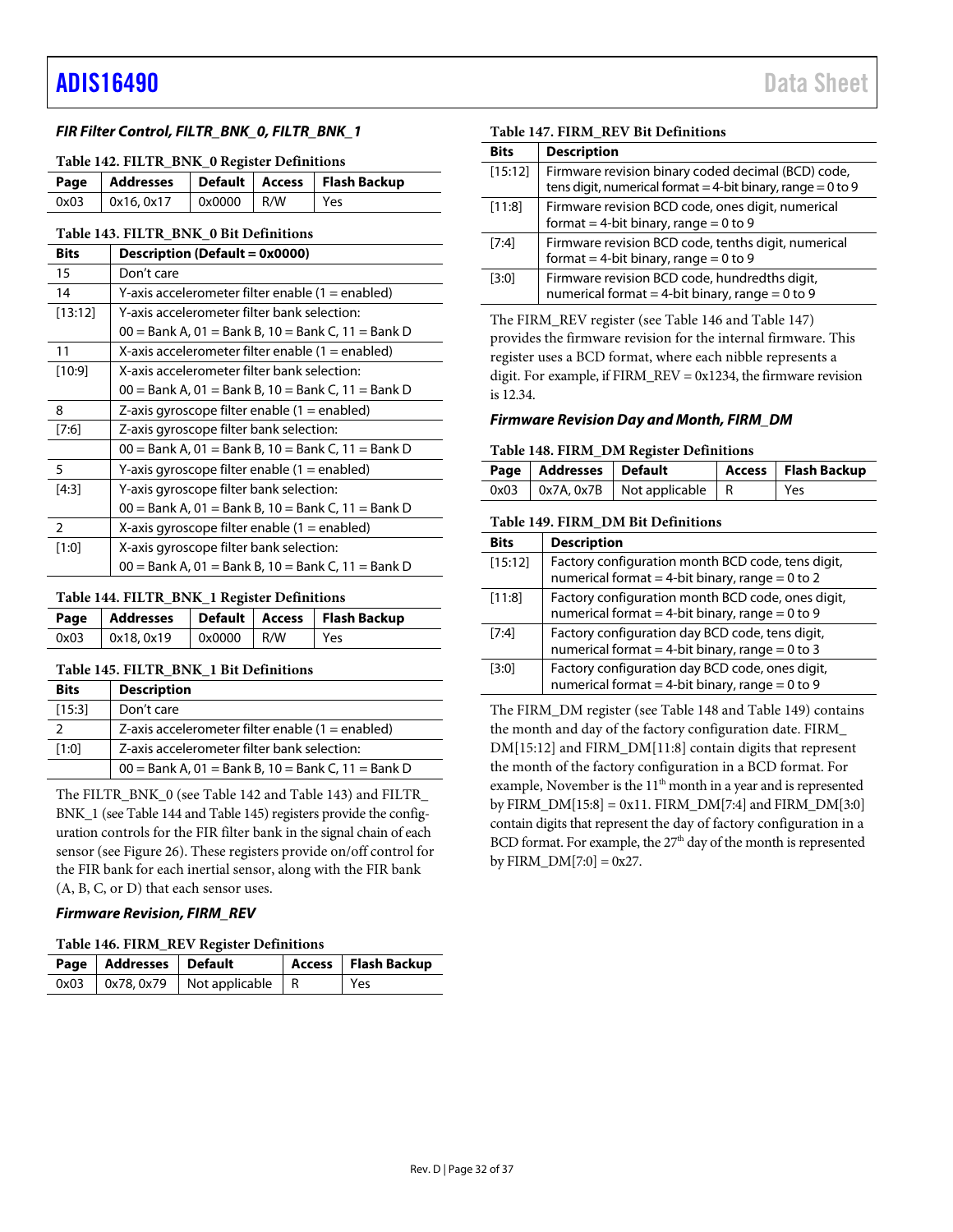### *FIR Filter Control, FILTR\_BNK\_0, FILTR\_BNK\_1*

#### <span id="page-31-2"></span>**Table 142. FILTR\_BNK\_0 Register Definitions**

|                                        |  | Page   Addresses   Default   Access   Flash Backup |
|----------------------------------------|--|----------------------------------------------------|
| $0x03$   $0x16, 0x17$   $0x0000$   R/W |  | l Yes                                              |

#### <span id="page-31-0"></span>**Table 143. FILTR\_BNK\_0 Bit Definitions**

| <b>Bits</b>    | Description (Default = 0x0000)                       |
|----------------|------------------------------------------------------|
| 15             | Don't care                                           |
| 14             | Y-axis accelerometer filter enable (1 = enabled)     |
| [13:12]        | Y-axis accelerometer filter bank selection:          |
|                | 00 = Bank A, 01 = Bank B, 10 = Bank C, 11 = Bank D   |
| 11             | X-axis accelerometer filter enable $(1 =$ enabled)   |
| [10:9]         | X-axis accelerometer filter bank selection:          |
|                | 00 = Bank A, 01 = Bank B, 10 = Bank C, 11 = Bank D   |
| 8              | Z-axis gyroscope filter enable $(1 =$ enabled)       |
| [7:6]          | Z-axis gyroscope filter bank selection:              |
|                | 00 = Bank A, 01 = Bank B, 10 = Bank C, 11 = Bank D   |
| 5              | Y-axis gyroscope filter enable (1 = enabled)         |
| [4:3]          | Y-axis gyroscope filter bank selection:              |
|                | $00 =$ Bank A, 01 = Bank B, 10 = Bank C, 11 = Bank D |
| $\overline{2}$ | X-axis gyroscope filter enable $(1 =$ enabled)       |
| [1:0]          | X-axis gyroscope filter bank selection:              |
|                | $00 =$ Bank A, 01 = Bank B, 10 = Bank C, 11 = Bank D |

#### <span id="page-31-3"></span>**Table 144. FILTR\_BNK\_1 Register Definitions**

|      |           |                            | Page   Addresses   Default   Access   Flash Backup |
|------|-----------|----------------------------|----------------------------------------------------|
| 0x03 | 0x18.0x19 | $\sqrt{0 \times 0000}$ R/W | Yes                                                |

### <span id="page-31-1"></span>**Table 145. FILTR\_BNK\_1 Bit Definitions**

| <b>Bits</b> | <b>Description</b>                                   |
|-------------|------------------------------------------------------|
| [15:3]      | Don't care                                           |
|             | Z-axis accelerometer filter enable $(1 =$ enabled)   |
| [1:0]       | Z-axis accelerometer filter bank selection:          |
|             | $00 =$ Bank A, 01 = Bank B, 10 = Bank C, 11 = Bank D |

The FILTR\_BNK\_0 (se[e Table 142](#page-31-2) an[d Table 143\)](#page-31-0) and FILTR\_ BNK\_1 (se[e Table 144](#page-31-3) an[d Table 145\)](#page-31-1) registers provide the configuration controls for the FIR filter bank in the signal chain of each sensor (se[e Figure 26\)](#page-12-1). These registers provide on/off control for the FIR bank for each inertial sensor, along with the FIR bank (A, B, C, or D) that each sensor uses.

#### *Firmware Revision, FIRM\_REV*

#### <span id="page-31-4"></span>**Table 146. FIRM\_REV Register Definitions**

| Page   Addresses   Default |                                            | Access   Flash Backup |
|----------------------------|--------------------------------------------|-----------------------|
|                            | $0x03$   $0x78, 0x79$   Not applicable   R | Yes                   |

#### <span id="page-31-5"></span>**Table 147. FIRM\_REV Bit Definitions**

| <b>Bits</b> | <b>Description</b>                                                                                                    |
|-------------|-----------------------------------------------------------------------------------------------------------------------|
| [15:12]     | Firmware revision binary coded decimal (BCD) code,<br>tens digit, numerical format = 4-bit binary, range = $0$ to $9$ |
| [11:8]      | Firmware revision BCD code, ones digit, numerical<br>format = 4-bit binary, range = $0$ to $9$                        |
| [7:4]       | Firmware revision BCD code, tenths digit, numerical<br>format = 4-bit binary, range = $0$ to 9                        |
| [3:0]       | Firmware revision BCD code, hundredths digit,<br>numerical format = 4-bit binary, range = $0$ to $9$                  |

The FIRM\_REV register (se[e Table 146](#page-31-4) and [Table 147\)](#page-31-5) provides the firmware revision for the internal firmware. This register uses a BCD format, where each nibble represents a digit. For example, if FIRM\_REV = 0x1234, the firmware revision is 12.34.

### *Firmware Revision Day and Month, FIRM\_DM*

#### <span id="page-31-6"></span>**Table 148. FIRM\_DM Register Definitions**

| Page   Addresses   Default |                                          | Access   Flash Backup |
|----------------------------|------------------------------------------|-----------------------|
|                            | $0x03$   0x7A, 0x7B   Not applicable   R | Yes                   |

#### <span id="page-31-7"></span>**Table 149. FIRM\_DM Bit Definitions**

| <b>Bits</b> | <b>Description</b>                                                                                       |
|-------------|----------------------------------------------------------------------------------------------------------|
| [15:12]     | Factory configuration month BCD code, tens digit,<br>numerical format = 4-bit binary, range = $0$ to $2$ |
| [11:8]      | Factory configuration month BCD code, ones digit,<br>numerical format = 4-bit binary, range = $0$ to $9$ |
| [7:4]       | Factory configuration day BCD code, tens digit,<br>numerical format = 4-bit binary, range = $0$ to 3     |
| [3:0]       | Factory configuration day BCD code, ones digit,<br>numerical format = 4-bit binary, range = $0$ to $9$   |

The FIRM\_DM register (see [Table 148](#page-31-6) an[d Table 149\)](#page-31-7) contains the month and day of the factory configuration date. FIRM\_ DM[15:12] and FIRM\_DM[11:8] contain digits that represent the month of the factory configuration in a BCD format. For example, November is the 11<sup>th</sup> month in a year and is represented by FIRM\_DM[15:8] = 0x11. FIRM\_DM[7:4] and FIRM\_DM[3:0] contain digits that represent the day of factory configuration in a BCD format. For example, the 27<sup>th</sup> day of the month is represented by  $FIRM\_DM[7:0] = 0x27$ .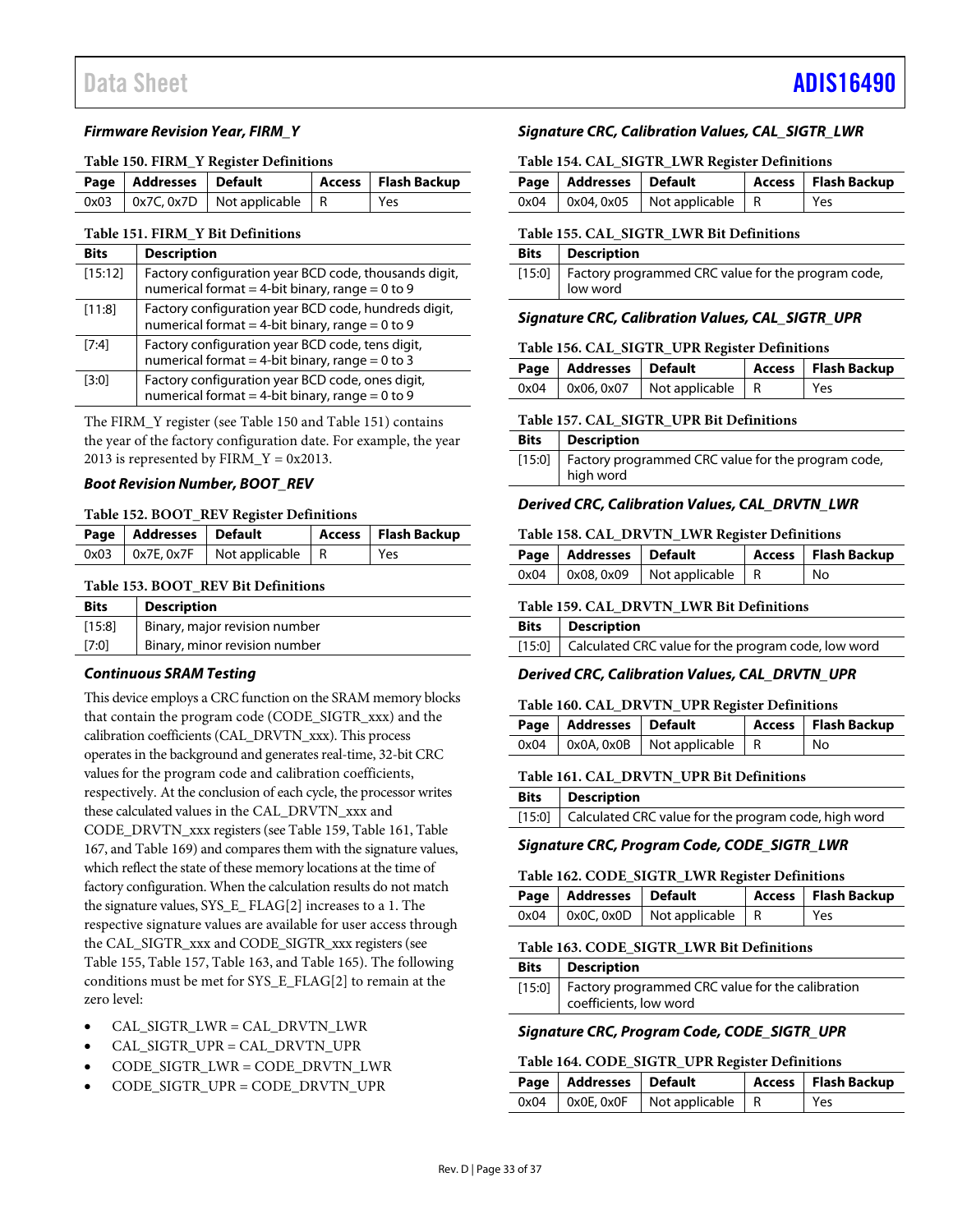#### *Firmware Revision Year, FIRM\_Y*

#### <span id="page-32-0"></span>**Table 150. FIRM\_Y Register Definitions**

| Page   Addresses   Default |                                            | Access   Flash Backup |
|----------------------------|--------------------------------------------|-----------------------|
|                            | $0x03$   $0x7C, 0x7D$   Not applicable   R | Yes                   |

#### <span id="page-32-1"></span>**Table 151. FIRM\_Y Bit Definitions**

| Rits    | <b>Description</b>                                                                                          |
|---------|-------------------------------------------------------------------------------------------------------------|
| [15:12] | Factory configuration year BCD code, thousands digit,<br>numerical format = 4-bit binary, range = $0$ to 9  |
| [11:8]  | Factory configuration year BCD code, hundreds digit,<br>numerical format = 4-bit binary, range = $0$ to $9$ |
| [7:4]   | Factory configuration year BCD code, tens digit,<br>numerical format = 4-bit binary, range = $0$ to 3       |
| [3:0]   | Factory configuration year BCD code, ones digit,<br>numerical format = 4-bit binary, range = $0$ to $9$     |

The FIRM\_Y register (se[e Table 150](#page-32-0) and [Table 151\)](#page-32-1) contains the year of the factory configuration date. For example, the year 2013 is represented by  $FIRM_Y = 0x2013$ .

#### *Boot Revision Number, BOOT\_REV*

#### **Table 152. BOOT\_REV Register Definitions**

| Page   Addresses   Default |                                          | Access   Flash Backup |
|----------------------------|------------------------------------------|-----------------------|
|                            | $0x03$   0x7E, 0x7F   Not applicable   R | Yes                   |

#### **Table 153. BOOT\_REV Bit Definitions**

| <b>Bits</b> | <b>Description</b>            |
|-------------|-------------------------------|
| [15:8]      | Binary, major revision number |
| [7:0]       | Binary, minor revision number |

#### *Continuous SRAM Testing*

This device employs a CRC function on the SRAM memory blocks that contain the program code (CODE\_SIGTR\_xxx) and the calibration coefficients (CAL\_DRVTN\_xxx). This process operates in the background and generates real-time, 32-bit CRC values for the program code and calibration coefficients, respectively. At the conclusion of each cycle, the processor writes these calculated values in the CAL\_DRVTN\_xxx and CODE\_DRVTN\_xxx registers (se[e Table 159,](#page-32-2) [Table 161,](#page-32-3) [Table](#page-33-4)  [167,](#page-33-4) an[d Table 169\)](#page-33-5) and compares them with the signature values, which reflect the state of these memory locations at the time of factory configuration. When the calculation results do not match the signature values, SYS\_E\_ FLAG[2] increases to a 1. The respective signature values are available for user access through the CAL\_SIGTR\_xxx and CODE\_SIGTR\_xxx registers (see [Table 155,](#page-32-4) [Table 157,](#page-32-5) [Table 163,](#page-32-6) an[d Table 165\)](#page-33-6). The following conditions must be met for SYS\_E\_FLAG[2] to remain at the zero level:

- CAL\_SIGTR\_LWR = CAL\_DRVTN\_LWR
- CAL\_SIGTR\_UPR = CAL\_DRVTN\_UPR
- CODE\_SIGTR\_LWR = CODE\_DRVTN\_LWR
- CODE\_SIGTR\_UPR = CODE\_DRVTN\_UPR

### *Signature CRC, Calibration Values, CAL\_SIGTR\_LWR*

#### **Table 154. CAL\_SIGTR\_LWR Register Definitions**

| Page   Addresses   Default |                                            | Access   Flash Backup |
|----------------------------|--------------------------------------------|-----------------------|
|                            | $0x04$   $0x04, 0x05$   Not applicable   R | Yes                   |

#### <span id="page-32-4"></span>**Table 155. CAL\_SIGTR\_LWR Bit Definitions**

| <b>Bits</b>   Description                                               |
|-------------------------------------------------------------------------|
| [15:0]   Factory programmed CRC value for the program code,<br>low word |

### *Signature CRC, Calibration Values, CAL\_SIGTR\_UPR*

#### **Table 156. CAL\_SIGTR\_UPR Register Definitions**

| Page   Addresses   Default |                                            | Access   Flash Backup |
|----------------------------|--------------------------------------------|-----------------------|
|                            | $0x04$   $0x06, 0x07$   Not applicable   R | Yes                   |

#### <span id="page-32-5"></span>**Table 157. CAL\_SIGTR\_UPR Bit Definitions**

| Bits Description                                            |
|-------------------------------------------------------------|
| [15:0]   Factory programmed CRC value for the program code, |
| high word                                                   |

#### *Derived CRC, Calibration Values, CAL\_DRVTN\_LWR*

#### **Table 158. CAL\_DRVTN\_LWR Register Definitions**

| Page   Addresses   Default |                                          | Access   Flash Backup |
|----------------------------|------------------------------------------|-----------------------|
|                            | $0x04$   0x08, 0x09   Not applicable   R | l No                  |

#### <span id="page-32-2"></span>**Table 159. CAL\_DRVTN\_LWR Bit Definitions**

| <b>Bits</b>   Description                                  |
|------------------------------------------------------------|
| [15:0] Calculated CRC value for the program code, low word |

# *Derived CRC, Calibration Values, CAL\_DRVTN\_UPR*

#### **Table 160. CAL\_DRVTN\_UPR Register Definitions**

| Page   Addresses   Default |                                          | Access   Flash Backup |
|----------------------------|------------------------------------------|-----------------------|
|                            | $0x04$   0x0A, 0x0B   Not applicable   R | No                    |

#### <span id="page-32-3"></span>**Table 161. CAL\_DRVTN\_UPR Bit Definitions**

| <b>Bits</b> Description                                     |
|-------------------------------------------------------------|
| [15:0] Calculated CRC value for the program code, high word |

#### *Signature CRC, Program Code, CODE\_SIGTR\_LWR*

#### **Table 162. CODE\_SIGTR\_LWR Register Definitions**

| Page   Addresses   Default |                                               | Access   Flash Backup |
|----------------------------|-----------------------------------------------|-----------------------|
|                            | $0x04$   $0x0C$ , $0x0D$   Not applicable   R | Yes                   |

#### <span id="page-32-6"></span>**Table 163. CODE\_SIGTR\_LWR Bit Definitions**

| <b>Bits</b> Description                                                             |
|-------------------------------------------------------------------------------------|
| [15:0]   Factory programmed CRC value for the calibration<br>coefficients, low word |

### *Signature CRC, Program Code, CODE\_SIGTR\_UPR*

#### **Table 164. CODE\_SIGTR\_UPR Register Definitions**

| Page   Addresses   Default |                                               | Access   Flash Backup |
|----------------------------|-----------------------------------------------|-----------------------|
|                            | $0x04$   $0x0E$ , $0x0F$   Not applicable   R | i Yes                 |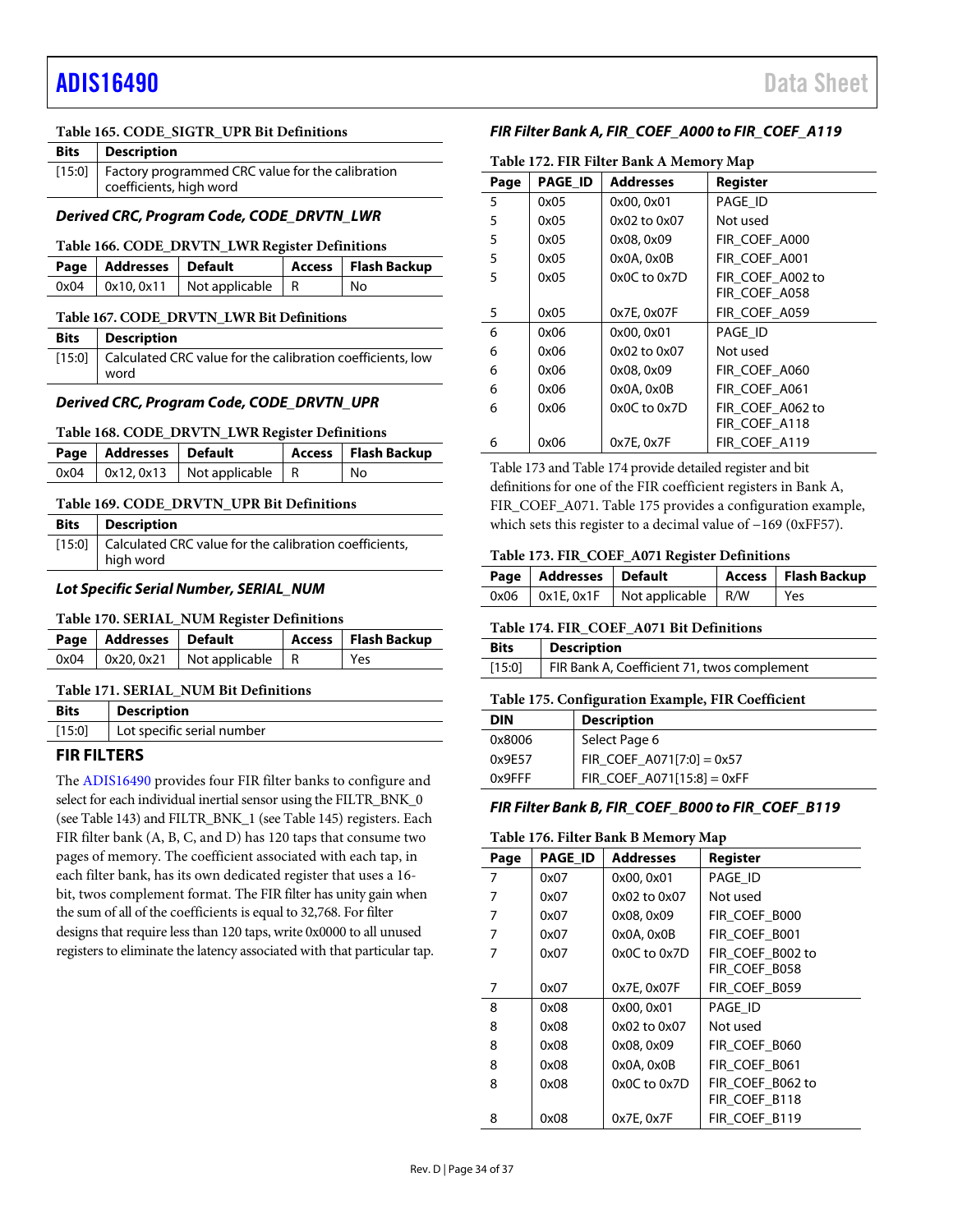# [ADIS16490](https://www.analog.com/ADIS16490?doc=ADIS16490.pdf) Data Sheet

#### <span id="page-33-6"></span>**Table 165. CODE\_SIGTR\_UPR Bit Definitions**

| <b>Bits</b> | Description                                                                          |
|-------------|--------------------------------------------------------------------------------------|
|             | [15:0]   Factory programmed CRC value for the calibration<br>coefficients, high word |

### *Derived CRC, Program Code, CODE\_DRVTN\_LWR*

#### **Table 166. CODE\_DRVTN\_LWR Register Definitions**

| Page Addresses Default |                                            | Access   Flash Backup |
|------------------------|--------------------------------------------|-----------------------|
|                        | $0x04$   $0x10, 0x11$   Not applicable   R | No                    |

<span id="page-33-4"></span>

|  |  | Table 167. CODE DRVTN LWR Bit Definitions |
|--|--|-------------------------------------------|
|  |  |                                           |

| <b>Bits</b>   Description                                                 |
|---------------------------------------------------------------------------|
| [15:0] Calculated CRC value for the calibration coefficients, low<br>word |
|                                                                           |

### *Derived CRC, Program Code, CODE\_DRVTN\_UPR*

#### **Table 168. CODE\_DRVTN\_LWR Register Definitions**

| Page   Addresses   Default |                                            | Access   Flash Backup |
|----------------------------|--------------------------------------------|-----------------------|
|                            | $0x04$   $0x12, 0x13$   Not applicable   R | l No                  |

#### <span id="page-33-5"></span>**Table 169. CODE\_DRVTN\_UPR Bit Definitions**

| <b>Bits</b> Description                                                    |
|----------------------------------------------------------------------------|
| [15:0] Calculated CRC value for the calibration coefficients,<br>high word |

### *Lot Specific Serial Number, SERIAL\_NUM*

#### **Table 170. SERIAL\_NUM Register Definitions**

| Page   Addresses   Default |                                            | Access   Flash Backup |
|----------------------------|--------------------------------------------|-----------------------|
|                            | $0x04$   $0x20, 0x21$   Not applicable   R | Yes                   |

#### **Table 171. SERIAL\_NUM Bit Definitions**

| <b>Bits</b> | <b>Description</b>         |
|-------------|----------------------------|
| [15:0]      | Lot specific serial number |

# <span id="page-33-0"></span>**FIR FILTERS**

The [ADIS16490](http://www.analog.com/ADIS16490?doc=ADIS16490.pdf) provides four FIR filter banks to configure and select for each individual inertial sensor using the FILTR\_BNK\_0 (se[e Table 143\)](#page-31-0) and FILTR\_BNK\_1 (se[e Table 145\)](#page-31-1) registers. Each FIR filter bank (A, B, C, and D) has 120 taps that consume two pages of memory. The coefficient associated with each tap, in each filter bank, has its own dedicated register that uses a 16 bit, twos complement format. The FIR filter has unity gain when the sum of all of the coefficients is equal to 32,768. For filter designs that require less than 120 taps, write 0x0000 to all unused registers to eliminate the latency associated with that particular tap.

### <span id="page-33-2"></span>*FIR Filter Bank A, FIR\_COEF\_A000 to FIR\_COEF\_A119*

| Table 172. FIR Filter Bank A Memory Map |                |                  |                  |  |
|-----------------------------------------|----------------|------------------|------------------|--|
| Page                                    | <b>PAGE ID</b> | <b>Addresses</b> | Register         |  |
| 5                                       | 0x05           | 0x00, 0x01       | PAGE ID          |  |
| 5                                       | 0x05           | 0x02 to 0x07     | Not used         |  |
| 5                                       | 0x05           | 0x08, 0x09       | FIR_COEF_A000    |  |
| 5                                       | 0x05           | 0x0A, 0x0B       | FIR COEF A001    |  |
| 5                                       | 0x05           | 0x0C to 0x7D     | FIR COEF A002 to |  |
|                                         |                |                  | FIR_COEF_A058    |  |
| 5                                       | 0x05           | 0x7E, 0x07F      | FIR_COEF_A059    |  |
| 6                                       | 0x06           | 0x00, 0x01       | PAGE ID          |  |
| 6                                       | 0x06           | 0x02 to 0x07     | Not used         |  |
| 6                                       | 0x06           | 0x08, 0x09       | FIR_COEF_A060    |  |
| 6                                       | 0x06           | 0x0A, 0x0B       | FIR COEF A061    |  |
| 6                                       | 0x06           | $0x0C$ to $0x7D$ | FIR COEF A062 to |  |
|                                         |                |                  | FIR_COEF_A118    |  |
| 6                                       | 0x06           | 0x7E, 0x7F       | FIR_COEF_A119    |  |

[Table 173](#page-33-7) an[d Table 174](#page-33-1) provide detailed register and bit definitions for one of the FIR coefficient registers in Bank A, FIR\_COEF\_A071. [Table 175](#page-33-8) provides a configuration example, which sets this register to a decimal value of −169 (0xFF57).

#### <span id="page-33-7"></span>**Table 173. FIR\_COEF\_A071 Register Definitions**

| Page   Addresses   Default |                    | Access   Flash Backup |
|----------------------------|--------------------|-----------------------|
| $0x06$ 0x1E, $0x1F$        | Not applicable R/W | Yes                   |

#### <span id="page-33-1"></span>**Table 174. FIR\_COEF\_A071 Bit Definitions**

| <b>Bits</b> | <b>Description</b>                          |
|-------------|---------------------------------------------|
| [15:0]      | FIR Bank A, Coefficient 71, twos complement |

#### <span id="page-33-8"></span>**Table 175. Configuration Example, FIR Coefficient**

| DIN       | <b>Description</b>           |
|-----------|------------------------------|
| 0x8006    | Select Page 6                |
| 0x9F57    | FIR_COEF_A071[7:0] = 0x57    |
| $0x9$ FFF | FIR COEF $A071[15:8] = 0xFF$ |

#### <span id="page-33-3"></span>*FIR Filter Bank B, FIR\_COEF\_B000 to FIR\_COEF\_B119*

#### **Table 176. Filter Bank B Memory Map**

| Page | <b>PAGE ID</b> | <b>Addresses</b> | <b>Register</b>  |
|------|----------------|------------------|------------------|
| 7    | 0x07           | 0x00, 0x01       | PAGE_ID          |
| 7    | 0x07           | 0x02 to 0x07     | Not used         |
| 7    | 0x07           | 0x08, 0x09       | FIR COEF B000    |
| 7    | 0x07           | $0x0A$ , $0x0B$  | FIR_COEF_B001    |
| 7    | 0x07           | 0x0C to 0x7D     | FIR COEF B002 to |
|      |                |                  | FIR COEF B058    |
| 7    | 0x07           | 0x7E, 0x07F      | FIR_COEF_B059    |
| 8    | 0x08           | 0x00, 0x01       | PAGE ID          |
| 8    | 0x08           | 0x02 to 0x07     | Not used         |
| 8    | 0x08           | 0x08, 0x09       | FIR COEF B060    |
| 8    | 0x08           | 0x0A, 0x0B       | FIR COEF B061    |
| 8    | 0x08           | 0x0C to 0x7D     | FIR_COEF_B062 to |
|      |                |                  | FIR COEF B118    |
| 8    | 0x08           | 0x7E, 0x7F       | FIR COEF B119    |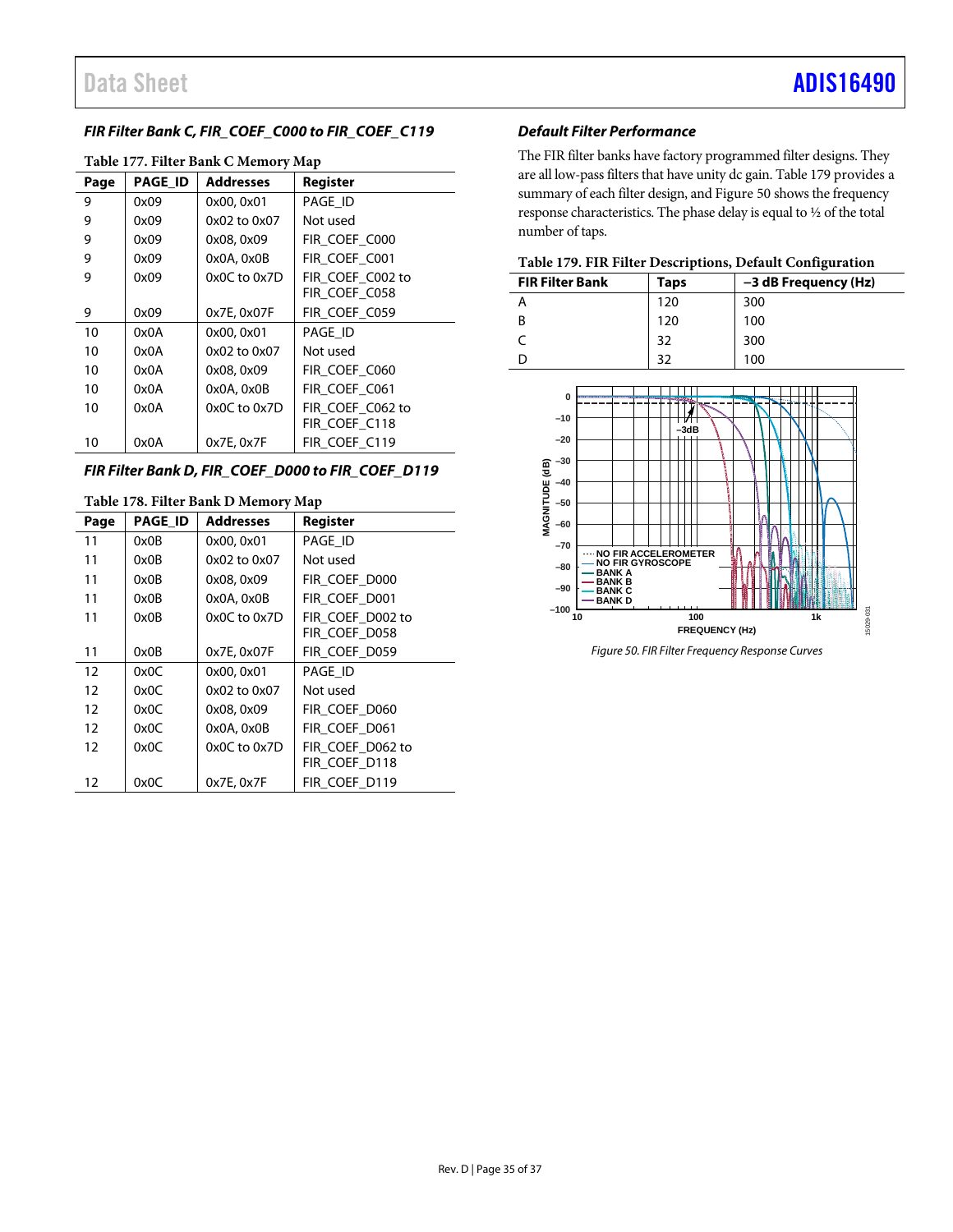# <span id="page-34-1"></span>*FIR Filter Bank C, FIR\_COEF\_C000 to FIR\_COEF\_C119*

| Table 177. Filter Bank C Memory Map |                |                  |                  |
|-------------------------------------|----------------|------------------|------------------|
| Page                                | <b>PAGE ID</b> | <b>Addresses</b> | Register         |
| 9                                   | 0x09           | 0x00, 0x01       | PAGE ID          |
| 9                                   | 0x09           | 0x02 to 0x07     | Not used         |
| 9                                   | 0x09           | 0x08, 0x09       | FIR_COEF_C000    |
| 9                                   | 0x09           | $0x0A$ , $0x0B$  | FIR COEF C001    |
| 9                                   | 0x09           | $0x0C$ to $0x7D$ | FIR COEF C002 to |
|                                     |                |                  | FIR COEF C058    |
| 9                                   | 0x09           | 0x7E, 0x07F      | FIR COEF C059    |
| 10                                  | 0x0A           | 0x00, 0x01       | PAGE ID          |
| 10                                  | 0x0A           | 0x02 to 0x07     | Not used         |
| 10                                  | 0x0A           | 0x08, 0x09       | FIR COEF C060    |
| 10                                  | 0x0A           | 0x0A, 0x0B       | FIR COEF C061    |
| 10                                  | 0x0A           | $0x0C$ to $0x7D$ | FIR_COEF_C062 to |
|                                     |                |                  | FIR COEF C118    |
| 10                                  | 0x0A           | 0x7E, 0x7F       | FIR COEF C119    |
|                                     |                |                  |                  |

# **Table 177. Filter Bank C Memory Map**

# <span id="page-34-2"></span>*FIR Filter Bank D, FIR\_COEF\_D000 to FIR\_COEF\_D119*

| Table 178. Filter Bank D Memory Map |                |                  |                  |  |
|-------------------------------------|----------------|------------------|------------------|--|
| Page                                | <b>PAGE ID</b> | <b>Addresses</b> | Register         |  |
| 11                                  | 0x0B           | 0x00, 0x01       | PAGE_ID          |  |
| 11                                  | 0x0B           | 0x02 to 0x07     | Not used         |  |
| 11                                  | 0x0B           | 0x08, 0x09       | FIR COEF D000    |  |
| 11                                  | 0x0B           | $0x0A$ , $0x0B$  | FIR COEF D001    |  |
| 11                                  | 0x0B           | $0x0C$ to $0x7D$ | FIR COEF D002 to |  |
|                                     |                |                  | FIR COEF D058    |  |
| 11                                  | 0x0B           | 0x7E, 0x07F      | FIR_COEF_D059    |  |
| 12                                  | 0x0C           | 0x00, 0x01       | PAGE_ID          |  |
| 12                                  | 0x0C           | 0x02 to 0x07     | Not used         |  |
| 12                                  | 0x0C           | 0x08, 0x09       | FIR COEF D060    |  |
| 12                                  | 0x0C           | 0x0A, 0x0B       | FIR_COEF_D061    |  |
| 12                                  | 0x0C           | $0x0C$ to $0x7D$ | FIR_COEF_D062 to |  |
|                                     |                |                  | FIR COEF D118    |  |
| 12                                  | 0x0C           | 0x7E, 0x7F       | FIR COEF D119    |  |

#### *Default Filter Performance*

The FIR filter banks have factory programmed filter designs. They are all low-pass filters that have unity dc gain[. Table 179](#page-34-3) provides a summary of each filter design, an[d Figure 50](#page-34-0) shows the frequency response characteristics. The phase delay is equal to ½ of the total number of taps.

# <span id="page-34-3"></span>**Table 179. FIR Filter Descriptions, Default Configuration**

| Twole 1771 Internet Descriptions Denamic Commentation |      |                      |
|-------------------------------------------------------|------|----------------------|
| <b>FIR Filter Bank</b>                                | Taps | -3 dB Frequency (Hz) |
|                                                       | 120  | 300                  |
|                                                       | 120  | 100                  |
|                                                       | 32   | 300                  |
|                                                       | つ    | 100                  |



<span id="page-34-0"></span>*Figure 50. FIR Filter Frequency Response Curves*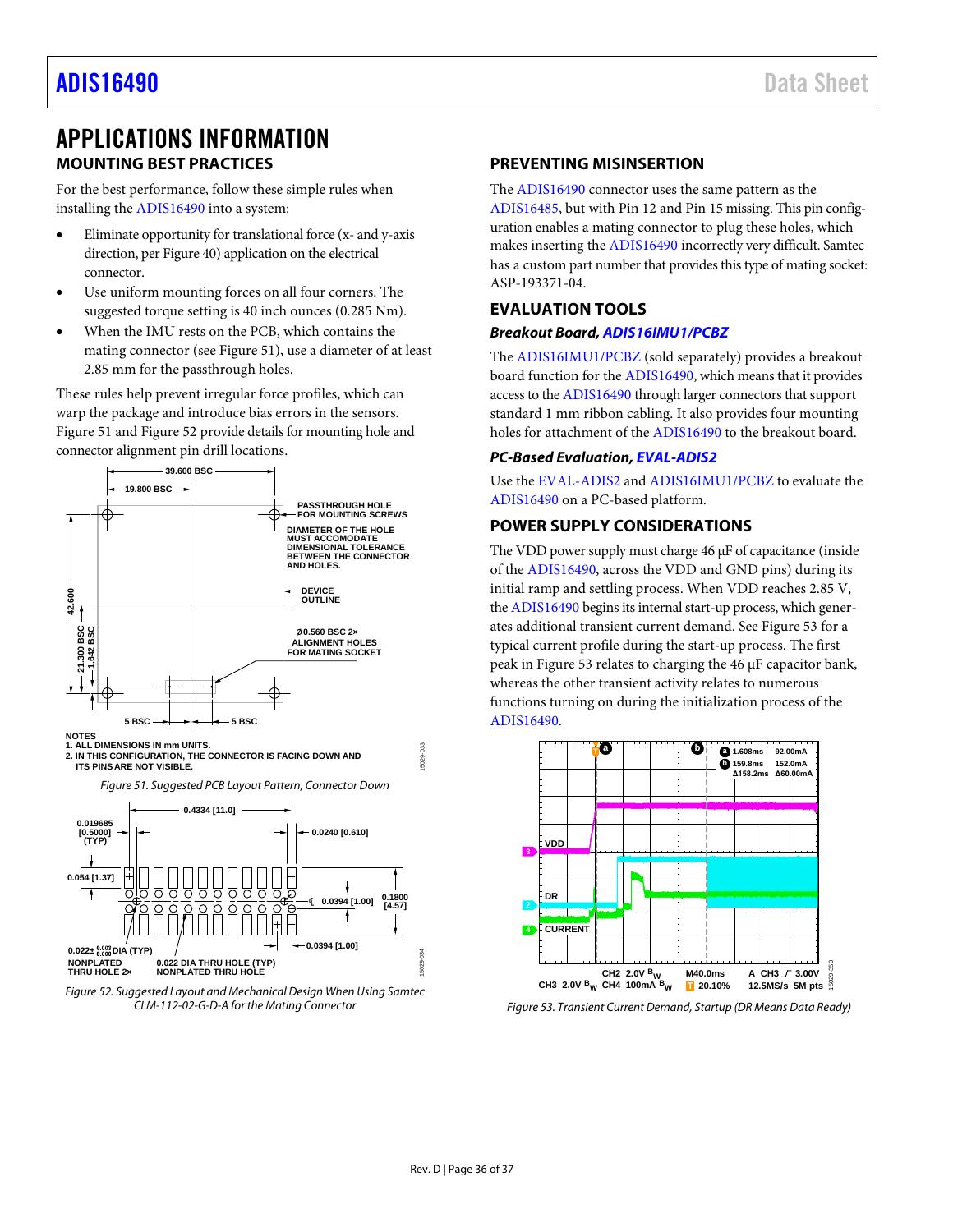# <span id="page-35-0"></span>APPLICATIONS INFORMATION **MOUNTING BEST PRACTICES**

<span id="page-35-1"></span>For the best performance, follow these simple rules when installing th[e ADIS16490](http://www.analog.com/ADIS16490?doc=ADIS16490.pdf) into a system:

- Eliminate opportunity for translational force (x- and y-axis direction, pe[r Figure 40\)](#page-20-8) application on the electrical connector.
- Use uniform mountin[g forces](http://www.analog.com/AN-1295?doc=ADIS16487.pdf) on all four corners. The suggested torque setting is 40 inch ounces (0.285 Nm).
- When the IMU rests on the PCB, which contains the mating connector (see [Figure 51\)](#page-35-5), use a diameter of at least 2.85 mm for the passthrough holes.

These rules help prevent irregular force profiles, which can warp the package and introduce bias errors in the sensors. [Figure 51](#page-35-5) an[d Figure 52](#page-35-6) provide details for mounting hole and connector alignment pin drill locations.



**NOTES 1. ALL DIMENSIONS IN mm UNITS.**

**2. IN THIS CONFIGURATION, THE CONNECTOR IS FACING DOWN AND ITS PINS ARE NOT VISIBLE.**

<span id="page-35-5"></span>

<span id="page-35-6"></span>

# <span id="page-35-2"></span>**PREVENTING MISINSERTION**

The [ADIS16490](http://www.analog.com/ADIS16490?doc=ADIS16490.pdf) connector uses the same pattern as the [ADIS16485,](http://www.analog.com/ADIS16485?doc=ADIS16490.pdf) but with Pin 12 and Pin 15 missing. This pin configuration enables a mating connector to plug these holes, which makes inserting th[e ADIS16490](http://www.analog.com/ADIS16490?doc=ADIS16490.pdf) incorrectly very difficult. Samtec has a custom part number that provides this type of mating socket: ASP-193371-04.

# <span id="page-35-3"></span>**EVALUATION TOOLS**

# *Breakout Board[, ADIS16IMU1/PCBZ](http://www.analog.com/ADIS16IMU1/PCBZ?doc=ADIS16490.pdf)*

The [ADIS16IMU1/PCBZ](http://www.analog.com/ADIS16IMU1/PCBZ?doc=ADIS16490.pdf) (sold separately) provides a breakout board function for the [ADIS16490,](http://www.analog.com/ADIS16490?doc=ADIS16490.pdf) which means that it provides access to th[e ADIS16490](http://www.analog.com/ADIS16490?doc=ADIS16490.pdf) through larger connectors that support standard 1 mm ribbon cabling. It also provides four mounting holes for attachment of th[e ADIS16490](http://www.analog.com/ADIS16490?doc=ADIS16490.pdf) to the breakout board.

# *PC-Based Evaluation[, EVAL-ADIS2](http://www.analog.com/EVAL-ADIS?doc=ADIS16490.pdf)*

Use the [EVAL-ADIS2](http://www.analog.com/EVAL-ADIS?doc=ADIS16490.pdf) an[d ADIS16IMU1/PCBZ](http://www.analog.com/ADIS16IMU1/PCBZ?doc=ADIS16490.pdf) to evaluate the [ADIS16490](http://www.analog.com/ADIS16490?doc=ADIS16490.pdf) on a PC-based platform.

# <span id="page-35-4"></span>**POWER SUPPLY CONSIDERATIONS**

The VDD power supply must charge 46 µF of capacitance (inside of the [ADIS16490,](http://www.analog.com/ADIS16490?doc=ADIS16490.pdf) across the VDD and GND pins) during its initial ramp and settling process. When VDD reaches 2.85 V, th[e ADIS16490](http://www.analog.com/ADIS16490?doc=ADIS16490.pdf) begins its internal start-up process, which generates additional transient current demand. Se[e Figure 53](#page-35-7) for a typical current profile during the start-up process. The first peak in [Figure 53](#page-35-7) relates to charging the 46 µF capacitor bank, whereas the other transient activity relates to numerous functions turning on during the initialization process of the [ADIS16490.](http://www.analog.com/ADIS16490?doc=ADIS16490.pdf)



<span id="page-35-7"></span>*Figure 53. Transient Current Demand, Startup (DR Means Data Ready)*

15029-033